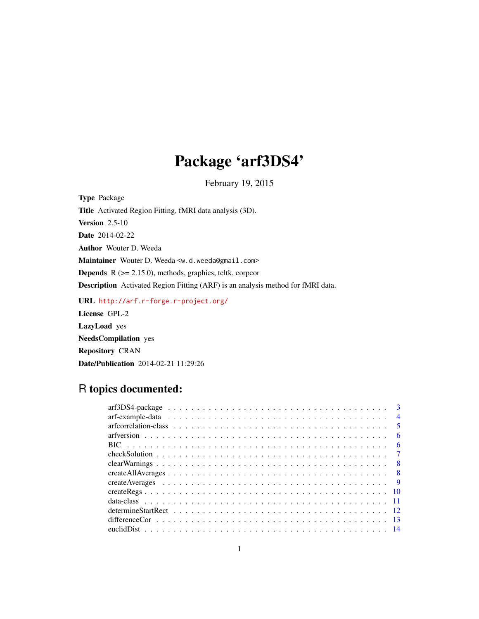# Package 'arf3DS4'

February 19, 2015

<span id="page-0-0"></span>Type Package Title Activated Region Fitting, fMRI data analysis (3D). **Version 2.5-10** Date 2014-02-22 Author Wouter D. Weeda Maintainer Wouter D. Weeda <w.d.weeda@gmail.com> Depends R (>= 2.15.0), methods, graphics, tcltk, corpcor Description Activated Region Fitting (ARF) is an analysis method for fMRI data. URL <http://arf.r-forge.r-project.org/> License GPL-2

LazyLoad yes NeedsCompilation yes Repository CRAN Date/Publication 2014-02-21 11:29:26

# R topics documented:

| $\overline{\mathbf{3}}$ |
|-------------------------|
| $\overline{4}$          |
| $\sqrt{5}$              |
| - 6                     |
| - 6                     |
|                         |
|                         |
|                         |
|                         |
|                         |
|                         |
|                         |
|                         |
|                         |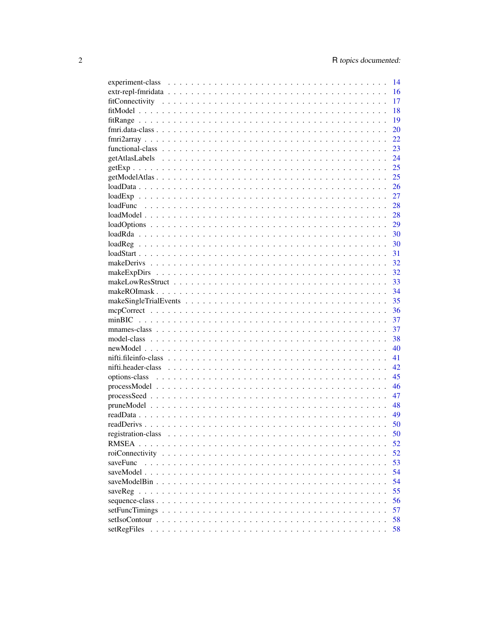|                                                                                                                                                                                                                                              | 14 |
|----------------------------------------------------------------------------------------------------------------------------------------------------------------------------------------------------------------------------------------------|----|
|                                                                                                                                                                                                                                              | 16 |
|                                                                                                                                                                                                                                              | 17 |
|                                                                                                                                                                                                                                              | 18 |
|                                                                                                                                                                                                                                              | 19 |
|                                                                                                                                                                                                                                              | 20 |
|                                                                                                                                                                                                                                              | 22 |
|                                                                                                                                                                                                                                              | 23 |
|                                                                                                                                                                                                                                              | 24 |
|                                                                                                                                                                                                                                              | 25 |
|                                                                                                                                                                                                                                              | 25 |
|                                                                                                                                                                                                                                              | 26 |
|                                                                                                                                                                                                                                              | 27 |
|                                                                                                                                                                                                                                              | 28 |
|                                                                                                                                                                                                                                              | 28 |
|                                                                                                                                                                                                                                              | 29 |
|                                                                                                                                                                                                                                              | 30 |
|                                                                                                                                                                                                                                              | 30 |
|                                                                                                                                                                                                                                              | 31 |
|                                                                                                                                                                                                                                              | 32 |
|                                                                                                                                                                                                                                              | 32 |
|                                                                                                                                                                                                                                              | 33 |
|                                                                                                                                                                                                                                              | 34 |
|                                                                                                                                                                                                                                              | 35 |
|                                                                                                                                                                                                                                              |    |
|                                                                                                                                                                                                                                              | 36 |
|                                                                                                                                                                                                                                              | 37 |
|                                                                                                                                                                                                                                              | 37 |
|                                                                                                                                                                                                                                              | 38 |
|                                                                                                                                                                                                                                              | 40 |
|                                                                                                                                                                                                                                              | 41 |
|                                                                                                                                                                                                                                              | 42 |
|                                                                                                                                                                                                                                              | 45 |
|                                                                                                                                                                                                                                              | 46 |
|                                                                                                                                                                                                                                              | 47 |
|                                                                                                                                                                                                                                              | 48 |
|                                                                                                                                                                                                                                              | 49 |
|                                                                                                                                                                                                                                              | 50 |
| registration-class                                                                                                                                                                                                                           | 50 |
|                                                                                                                                                                                                                                              | 52 |
|                                                                                                                                                                                                                                              | 52 |
| saveFunc                                                                                                                                                                                                                                     | 53 |
|                                                                                                                                                                                                                                              | 54 |
|                                                                                                                                                                                                                                              | 54 |
|                                                                                                                                                                                                                                              | 55 |
|                                                                                                                                                                                                                                              | 56 |
|                                                                                                                                                                                                                                              | 57 |
|                                                                                                                                                                                                                                              | 58 |
| setRegFiles<br>and a constitution of the contract of the construction of the construction of the construction of the construction of the construction of the construction of the construction of the construction of the construction of the | 58 |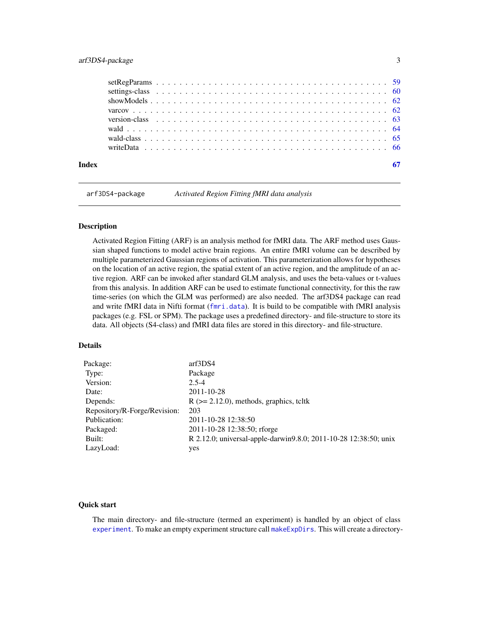<span id="page-2-0"></span>

| Indev |  |  |  |  |  |  |  |  |  |  |  |  |  |  |  |  |  |  |  |  |  |
|-------|--|--|--|--|--|--|--|--|--|--|--|--|--|--|--|--|--|--|--|--|--|
|       |  |  |  |  |  |  |  |  |  |  |  |  |  |  |  |  |  |  |  |  |  |
|       |  |  |  |  |  |  |  |  |  |  |  |  |  |  |  |  |  |  |  |  |  |
|       |  |  |  |  |  |  |  |  |  |  |  |  |  |  |  |  |  |  |  |  |  |
|       |  |  |  |  |  |  |  |  |  |  |  |  |  |  |  |  |  |  |  |  |  |
|       |  |  |  |  |  |  |  |  |  |  |  |  |  |  |  |  |  |  |  |  |  |
|       |  |  |  |  |  |  |  |  |  |  |  |  |  |  |  |  |  |  |  |  |  |
|       |  |  |  |  |  |  |  |  |  |  |  |  |  |  |  |  |  |  |  |  |  |

arf3DS4-package *Activated Region Fitting fMRI data analysis*

#### Description

Activated Region Fitting (ARF) is an analysis method for fMRI data. The ARF method uses Gaussian shaped functions to model active brain regions. An entire fMRI volume can be described by multiple parameterized Gaussian regions of activation. This parameterization allows for hypotheses on the location of an active region, the spatial extent of an active region, and the amplitude of an active region. ARF can be invoked after standard GLM analysis, and uses the beta-values or t-values from this analysis. In addition ARF can be used to estimate functional connectivity, for this the raw time-series (on which the GLM was performed) are also needed. The arf3DS4 package can read and write fMRI data in Nifti format ([fmri.data](#page-19-1)). It is build to be compatible with fMRI analysis packages (e.g. FSL or SPM). The package uses a predefined directory- and file-structure to store its data. All objects (S4-class) and fMRI data files are stored in this directory- and file-structure.

# Details

| Package:                     | arf3DS4                                                          |
|------------------------------|------------------------------------------------------------------|
| Type:                        | Package                                                          |
| Version:                     | $2.5 - 4$                                                        |
| Date:                        | 2011-10-28                                                       |
| Depends:                     | $R$ ( $>= 2.12.0$ ), methods, graphics, teltk                    |
| Repository/R-Forge/Revision: | 203                                                              |
| Publication:                 | 2011-10-28 12:38:50                                              |
| Packaged:                    | 2011-10-28 12:38:50; rforge                                      |
| Built:                       | R 2.12.0; universal-apple-darwin9.8.0; 2011-10-28 12:38:50; unix |
| LazyLoad:                    | yes                                                              |
|                              |                                                                  |

#### Quick start

The main directory- and file-structure (termed an experiment) is handled by an object of class [experiment](#page-13-1). To make an empty experiment structure call [makeExpDirs](#page-31-1). This will create a directory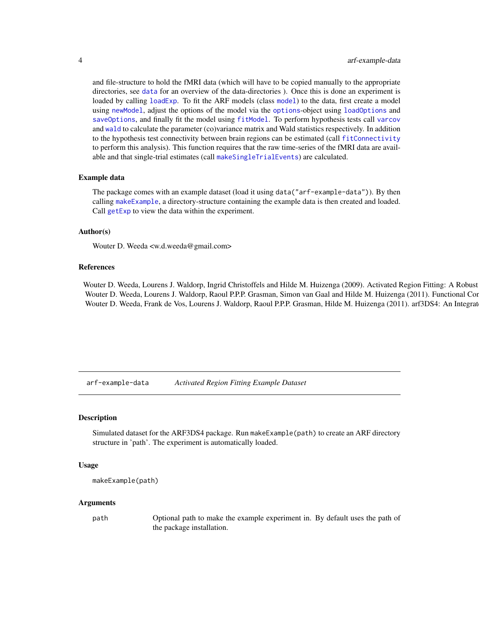and file-structure to hold the fMRI data (which will have to be copied manually to the appropriate directories, see [data](#page-10-1) for an overview of the data-directories ). Once this is done an experiment is loaded by calling [loadExp](#page-26-1). To fit the ARF [model](#page-37-1)s (class model) to the data, first create a model using [newModel](#page-39-1), adjust the options of the model via the [options](#page-44-1)-object using [loadOptions](#page-28-1) and [saveOptions](#page-28-2), and finally fit the model using [fitModel](#page-17-1). To perform hypothesis tests call [varcov](#page-61-1) and [wald](#page-63-1) to calculate the parameter (co)variance matrix and Wald statistics respectively. In addition to the hypothesis test connectivity between brain regions can be estimated (call [fitConnectivity](#page-16-1) to perform this analysis). This function requires that the raw time-series of the fMRI data are available and that single-trial estimates (call [makeSingleTrialEvents](#page-34-1)) are calculated.

#### Example data

The package comes with an example dataset (load it using data("arf-example-data")). By then calling [makeExample](#page-3-1), a directory-structure containing the example data is then created and loaded. Call [getExp](#page-24-1) to view the data within the experiment.

#### Author(s)

Wouter D. Weeda <w.d.weeda@gmail.com>

#### References

Wouter D. Weeda, Lourens J. Waldorp, Ingrid Christoffels and Hilde M. Huizenga (2009). Activated Region Fitting: A Robust Wouter D. Weeda, Lourens J. Waldorp, Raoul P.P.P. Grasman, Simon van Gaal and Hilde M. Huizenga (2011). Functional Con Wouter D. Weeda, Frank de Vos, Lourens J. Waldorp, Raoul P.P.P. Grasman, Hilde M. Huizenga (2011). arf3DS4: An Integrat

arf-example-data *Activated Region Fitting Example Dataset*

#### <span id="page-3-1"></span>**Description**

Simulated dataset for the ARF3DS4 package. Run makeExample(path) to create an ARF directory structure in 'path'. The experiment is automatically loaded.

#### Usage

```
makeExample(path)
```
#### Arguments

path Optional path to make the example experiment in. By default uses the path of the package installation.

<span id="page-3-0"></span>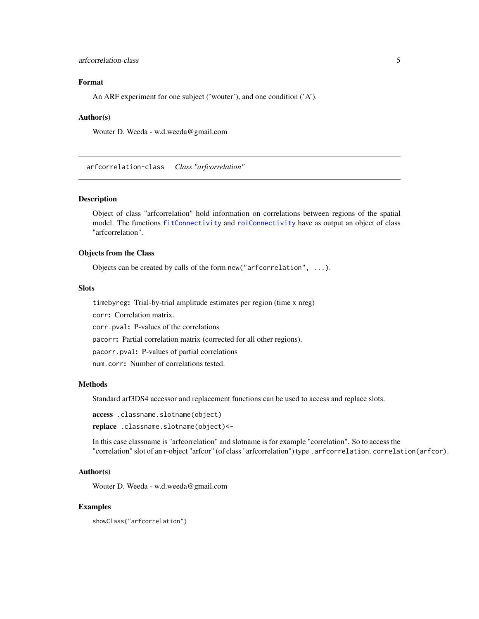# <span id="page-4-0"></span>arfcorrelation-class 5

# Format

An ARF experiment for one subject ('wouter'), and one condition ('A').

#### Author(s)

Wouter D. Weeda - w.d.weeda@gmail.com

<span id="page-4-1"></span>arfcorrelation-class *Class "arfcorrelation"*

#### Description

Object of class "arfcorrelation" hold information on correlations between regions of the spatial model. The functions [fitConnectivity](#page-16-1) and [roiConnectivity](#page-51-1) have as output an object of class "arfcorrelation".

# Objects from the Class

Objects can be created by calls of the form new("arfcorrelation", ...).

# Slots

timebyreg: Trial-by-trial amplitude estimates per region (time x nreg)

corr: Correlation matrix.

corr.pval: P-values of the correlations

pacorr: Partial correlation matrix (corrected for all other regions).

pacorr.pval: P-values of partial correlations

num.corr: Number of correlations tested.

# Methods

Standard arf3DS4 accessor and replacement functions can be used to access and replace slots.

access .classname.slotname(object)

replace .classname.slotname(object)<-

In this case classname is "arfcorrelation" and slotname is for example "correlation". So to access the "correlation" slot of an r-object "arfcor" (of class "arfcorrelation") type .arfcorrelation.correlation(arfcor).

#### Author(s)

Wouter D. Weeda - w.d.weeda@gmail.com

#### Examples

showClass("arfcorrelation")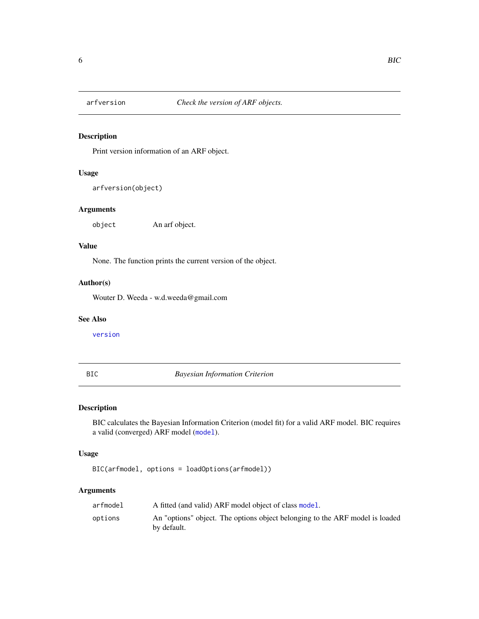<span id="page-5-0"></span>

Print version information of an ARF object.

# Usage

arfversion(object)

# Arguments

object An arf object.

#### Value

None. The function prints the current version of the object.

# Author(s)

Wouter D. Weeda - w.d.weeda@gmail.com

# See Also

[version](#page-62-1)

BIC *Bayesian Information Criterion*

# Description

BIC calculates the Bayesian Information Criterion (model fit) for a valid ARF model. BIC requires a valid (converged) ARF model ([model](#page-37-1)).

#### Usage

BIC(arfmodel, options = loadOptions(arfmodel))

# Arguments

| arfmodel | A fitted (and valid) ARF model object of class model.                                       |
|----------|---------------------------------------------------------------------------------------------|
| options  | An "options" object. The options object belonging to the ARF model is loaded<br>by default. |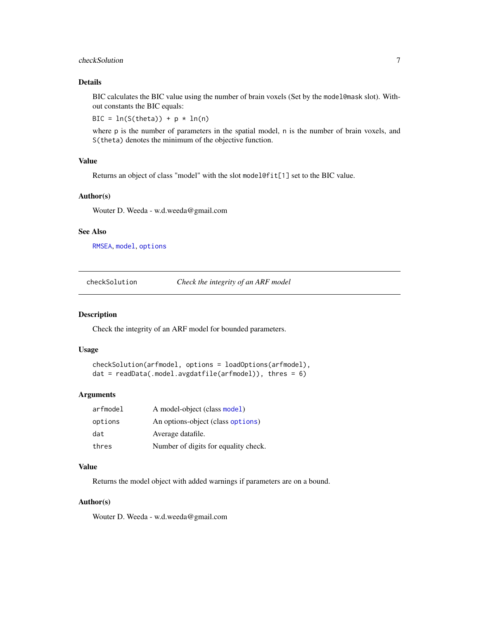# <span id="page-6-0"></span>checkSolution 7

# Details

BIC calculates the BIC value using the number of brain voxels (Set by the model@mask slot). Without constants the BIC equals:

BIC =  $ln(S(theta)) + p * ln(n)$ 

where p is the number of parameters in the spatial model, n is the number of brain voxels, and S(theta) denotes the minimum of the objective function.

#### Value

Returns an object of class "model" with the slot model@fit[1] set to the BIC value.

#### Author(s)

Wouter D. Weeda - w.d.weeda@gmail.com

#### See Also

[RMSEA](#page-51-2), [model](#page-37-1), [options](#page-44-1)

checkSolution *Check the integrity of an ARF model*

# Description

Check the integrity of an ARF model for bounded parameters.

#### Usage

```
checkSolution(arfmodel, options = loadOptions(arfmodel),
dat = readData(.model.avgdatfile(arfmodel)), thres = 6)
```
#### Arguments

| arfmodel | A model-object (class model)         |
|----------|--------------------------------------|
| options  | An options-object (class options)    |
| dat      | Average datafile.                    |
| thres    | Number of digits for equality check. |

# Value

Returns the model object with added warnings if parameters are on a bound.

# Author(s)

Wouter D. Weeda - w.d.weeda@gmail.com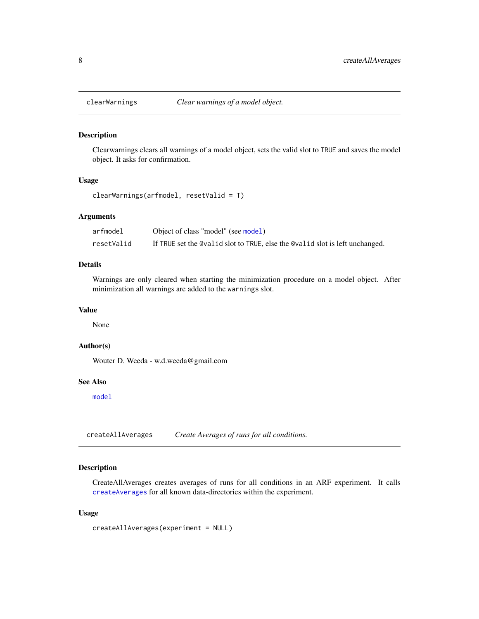<span id="page-7-0"></span>

Clearwarnings clears all warnings of a model object, sets the valid slot to TRUE and saves the model object. It asks for confirmation.

# Usage

clearWarnings(arfmodel, resetValid = T)

#### Arguments

| arfmodel   | Object of class "model" (see model)                                          |
|------------|------------------------------------------------------------------------------|
| resetValid | If TRUE set the @valid slot to TRUE, else the @valid slot is left unchanged. |

# Details

Warnings are only cleared when starting the minimization procedure on a model object. After minimization all warnings are added to the warnings slot.

# Value

None

#### Author(s)

Wouter D. Weeda - w.d.weeda@gmail.com

# See Also

[model](#page-37-1)

<span id="page-7-1"></span>createAllAverages *Create Averages of runs for all conditions.*

# Description

CreateAllAverages creates averages of runs for all conditions in an ARF experiment. It calls [createAverages](#page-8-1) for all known data-directories within the experiment.

#### Usage

createAllAverages(experiment = NULL)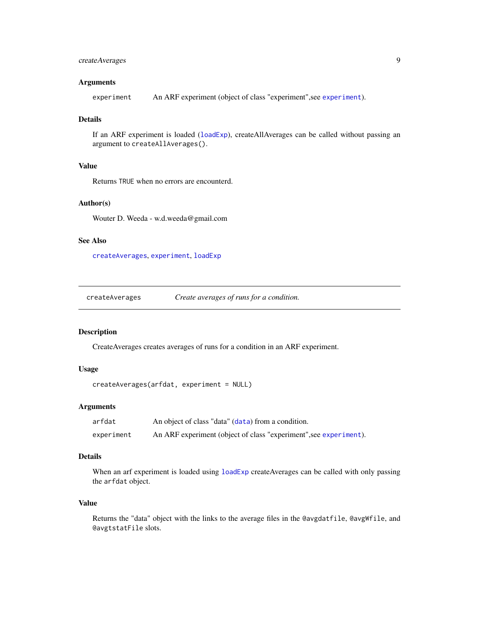# <span id="page-8-0"></span>createAverages 9

#### Arguments

experiment An ARF experiment (object of class "experiment",see [experiment](#page-13-1)).

# Details

If an ARF experiment is loaded ([loadExp](#page-26-1)), createAllAverages can be called without passing an argument to createAllAverages().

# Value

Returns TRUE when no errors are encounterd.

# Author(s)

Wouter D. Weeda - w.d.weeda@gmail.com

# See Also

[createAverages](#page-8-1), [experiment](#page-13-1), [loadExp](#page-26-1)

<span id="page-8-1"></span>createAverages *Create averages of runs for a condition.*

#### Description

CreateAverages creates averages of runs for a condition in an ARF experiment.

# Usage

```
createAverages(arfdat, experiment = NULL)
```
#### Arguments

| arfdat     | An object of class "data" (data) from a condition.                |
|------------|-------------------------------------------------------------------|
| experiment | An ARF experiment (object of class "experiment", see experiment). |

#### Details

When an arf experiment is loaded using [loadExp](#page-26-1) createAverages can be called with only passing the arfdat object.

#### Value

Returns the "data" object with the links to the average files in the @avgdatfile, @avgWfile, and @avgtstatFile slots.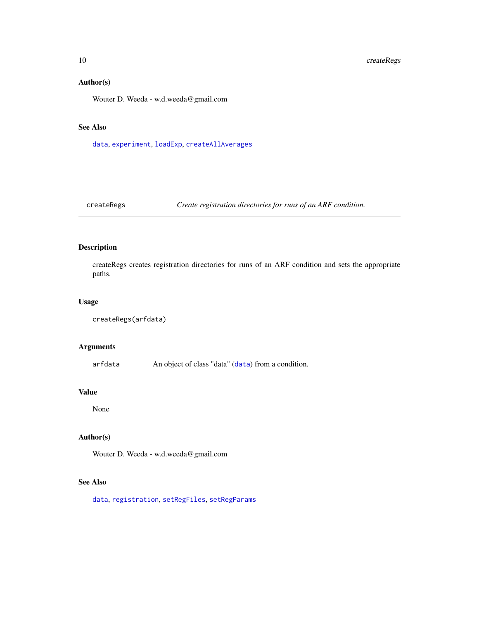# Author(s)

Wouter D. Weeda - w.d.weeda@gmail.com

# See Also

[data](#page-10-1), [experiment](#page-13-1), [loadExp](#page-26-1), [createAllAverages](#page-7-1)

createRegs *Create registration directories for runs of an ARF condition.*

# Description

createRegs creates registration directories for runs of an ARF condition and sets the appropriate paths.

# Usage

```
createRegs(arfdata)
```
# Arguments

arfdata An object of class "data" ([data](#page-10-1)) from a condition.

#### Value

None

#### Author(s)

Wouter D. Weeda - w.d.weeda@gmail.com

# See Also

[data](#page-10-1), [registration](#page-49-1), [setRegFiles](#page-57-1), [setRegParams](#page-58-1)

<span id="page-9-0"></span>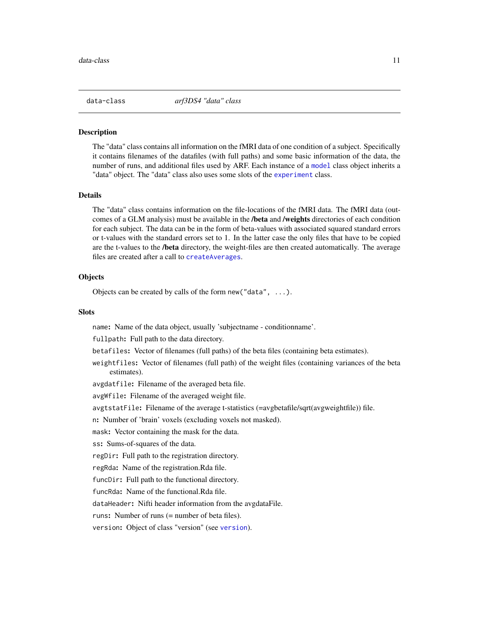<span id="page-10-1"></span><span id="page-10-0"></span>

The "data" class contains all information on the fMRI data of one condition of a subject. Specifically it contains filenames of the datafiles (with full paths) and some basic information of the data, the number of runs, and additional files used by ARF. Each instance of a [model](#page-37-1) class object inherits a "data" object. The "data" class also uses some slots of the [experiment](#page-13-1) class.

#### Details

The "data" class contains information on the file-locations of the fMRI data. The fMRI data (outcomes of a GLM analysis) must be available in the **/beta** and **/weights** directories of each condition for each subject. The data can be in the form of beta-values with associated squared standard errors or t-values with the standard errors set to 1. In the latter case the only files that have to be copied are the t-values to the /beta directory, the weight-files are then created automatically. The average files are created after a call to [createAverages](#page-8-1).

#### **Objects**

Objects can be created by calls of the form new("data", ...).

#### **Slots**

name: Name of the data object, usually 'subjectname - conditionname'.

fullpath: Full path to the data directory.

betafiles: Vector of filenames (full paths) of the beta files (containing beta estimates).

weightfiles: Vector of filenames (full path) of the weight files (containing variances of the beta estimates).

avgdatfile: Filename of the averaged beta file.

avgWfile: Filename of the averaged weight file.

avgtstatFile: Filename of the average t-statistics (=avgbetafile/sqrt(avgweightfile)) file.

n: Number of 'brain' voxels (excluding voxels not masked).

mask: Vector containing the mask for the data.

ss: Sums-of-squares of the data.

regDir: Full path to the registration directory.

regRda: Name of the registration.Rda file.

funcDir: Full path to the functional directory.

funcRda: Name of the functional.Rda file.

dataHeader: Nifti header information from the avgdataFile.

runs: Number of runs (= number of beta files).

version: Object of class "version" (see [version](#page-62-1)).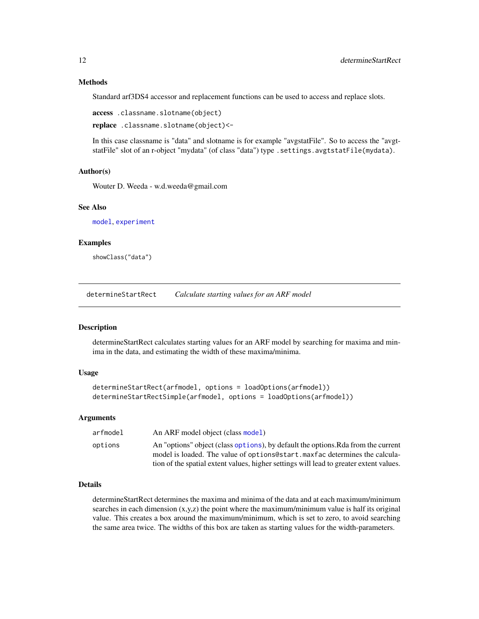#### Methods

Standard arf3DS4 accessor and replacement functions can be used to access and replace slots.

access .classname.slotname(object)

replace .classname.slotname(object)<-

In this case classname is "data" and slotname is for example "avgstatFile". So to access the "avgtstatFile" slot of an r-object "mydata" (of class "data") type .settings.avgtstatFile(mydata).

# Author(s)

Wouter D. Weeda - w.d.weeda@gmail.com

#### See Also

[model](#page-37-1), [experiment](#page-13-1)

#### Examples

showClass("data")

determineStartRect *Calculate starting values for an ARF model*

#### **Description**

determineStartRect calculates starting values for an ARF model by searching for maxima and minima in the data, and estimating the width of these maxima/minima.

#### Usage

```
determineStartRect(arfmodel, options = loadOptions(arfmodel))
determineStartRectSimple(arfmodel, options = loadOptions(arfmodel))
```
#### Arguments

| arfmodel | An ARF model object (class model)                                                                                                                                |
|----------|------------------------------------------------------------------------------------------------------------------------------------------------------------------|
| options  | An "options" object (class options), by default the options. Rda from the current<br>model is loaded. The value of options estart maxfac determines the calcula- |
|          | tion of the spatial extent values, higher settings will lead to greater extent values.                                                                           |

#### Details

determineStartRect determines the maxima and minima of the data and at each maximum/minimum searches in each dimension  $(x,y,z)$  the point where the maximum/minimum value is half its original value. This creates a box around the maximum/minimum, which is set to zero, to avoid searching the same area twice. The widths of this box are taken as starting values for the width-parameters.

<span id="page-11-0"></span>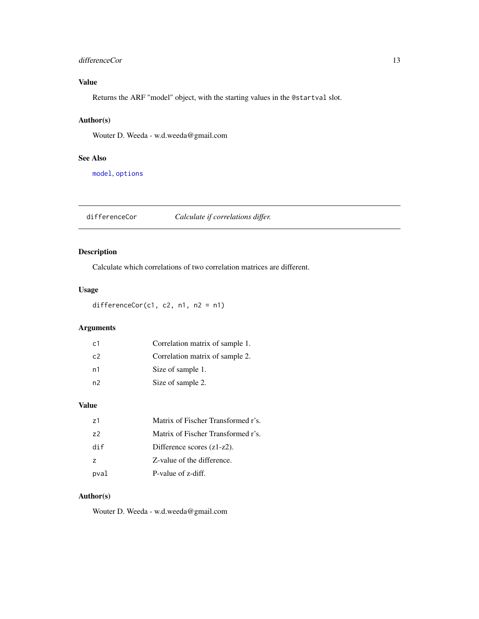# <span id="page-12-0"></span>differenceCor 13

# Value

Returns the ARF "model" object, with the starting values in the @startval slot.

# Author(s)

Wouter D. Weeda - w.d.weeda@gmail.com

# See Also

[model](#page-37-1), [options](#page-44-1)

differenceCor *Calculate if correlations differ.*

# Description

Calculate which correlations of two correlation matrices are different.

# Usage

differenceCor(c1, c2, n1, n2 = n1)

# Arguments

| c1             | Correlation matrix of sample 1. |
|----------------|---------------------------------|
| C <sub>2</sub> | Correlation matrix of sample 2. |
| n1             | Size of sample 1.               |
| n2             | Size of sample 2.               |

# Value

| 71             | Matrix of Fischer Transformed r's. |
|----------------|------------------------------------|
| 72             | Matrix of Fischer Transformed r's. |
| dif            | Difference scores $(z1-z2)$ .      |
| $\overline{z}$ | Z-value of the difference.         |
| pval           | P-value of z-diff.                 |

# Author(s)

Wouter D. Weeda - w.d.weeda@gmail.com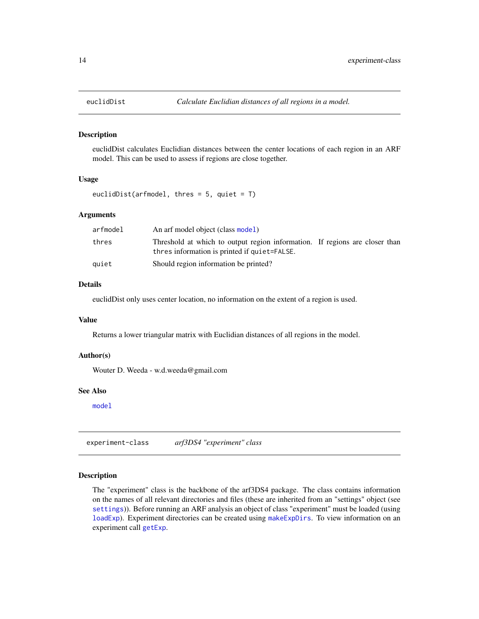euclidDist calculates Euclidian distances between the center locations of each region in an ARF model. This can be used to assess if regions are close together.

#### Usage

euclidDist(arfmodel, thres =  $5$ , quiet =  $T$ )

# Arguments

| arfmodel | An arf model object (class model)                                                                                           |  |  |
|----------|-----------------------------------------------------------------------------------------------------------------------------|--|--|
| thres    | Threshold at which to output region information. If regions are closer than<br>thres information is printed if quiet=FALSE. |  |  |
| auiet    | Should region information be printed?                                                                                       |  |  |

#### Details

euclidDist only uses center location, no information on the extent of a region is used.

#### Value

Returns a lower triangular matrix with Euclidian distances of all regions in the model.

#### Author(s)

Wouter D. Weeda - w.d.weeda@gmail.com

#### See Also

[model](#page-37-1)

<span id="page-13-1"></span>experiment-class *arf3DS4 "experiment" class*

#### Description

The "experiment" class is the backbone of the arf3DS4 package. The class contains information on the names of all relevant directories and files (these are inherited from an "settings" object (see [settings](#page-59-1))). Before running an ARF analysis an object of class "experiment" must be loaded (using [loadExp](#page-26-1)). Experiment directories can be created using [makeExpDirs](#page-31-1). To view information on an experiment call [getExp](#page-24-1).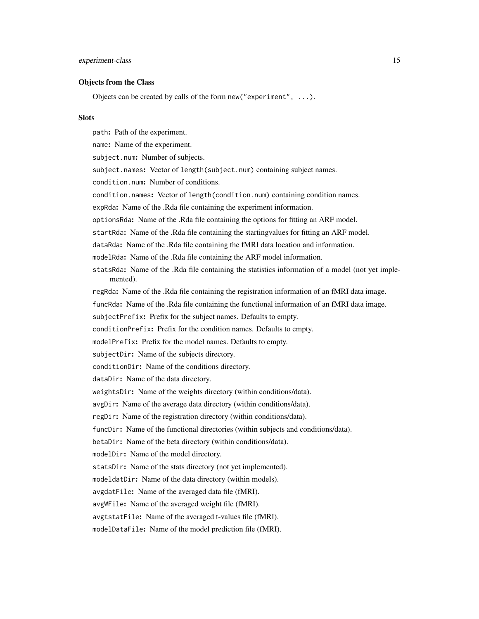#### Objects from the Class

Objects can be created by calls of the form new ("experiment",  $\dots$ ).

#### **Slots**

path: Path of the experiment. name: Name of the experiment. subject.num: Number of subjects. subject.names: Vector of length(subject.num) containing subject names. condition.num: Number of conditions. condition.names: Vector of length(condition.num) containing condition names. expRda: Name of the .Rda file containing the experiment information. optionsRda: Name of the .Rda file containing the options for fitting an ARF model. startRda: Name of the .Rda file containing the startingvalues for fitting an ARF model. dataRda: Name of the .Rda file containing the fMRI data location and information. modelRda: Name of the .Rda file containing the ARF model information. statsRda: Name of the .Rda file containing the statistics information of a model (not yet implemented). regRda: Name of the .Rda file containing the registration information of an fMRI data image. funcRda: Name of the .Rda file containing the functional information of an fMRI data image. subjectPrefix: Prefix for the subject names. Defaults to empty. conditionPrefix: Prefix for the condition names. Defaults to empty. modelPrefix: Prefix for the model names. Defaults to empty. subjectDir: Name of the subjects directory. conditionDir: Name of the conditions directory. dataDir: Name of the data directory. weightsDir: Name of the weights directory (within conditions/data). avgDir: Name of the average data directory (within conditions/data). regDir: Name of the registration directory (within conditions/data). funcDir: Name of the functional directories (within subjects and conditions/data). betaDir: Name of the beta directory (within conditions/data). modelDir: Name of the model directory. statsDir: Name of the stats directory (not yet implemented). modeldatDir: Name of the data directory (within models). avgdatFile: Name of the averaged data file (fMRI). avgWFile: Name of the averaged weight file (fMRI). avgtstatFile: Name of the averaged t-values file (fMRI). modelDataFile: Name of the model prediction file (fMRI).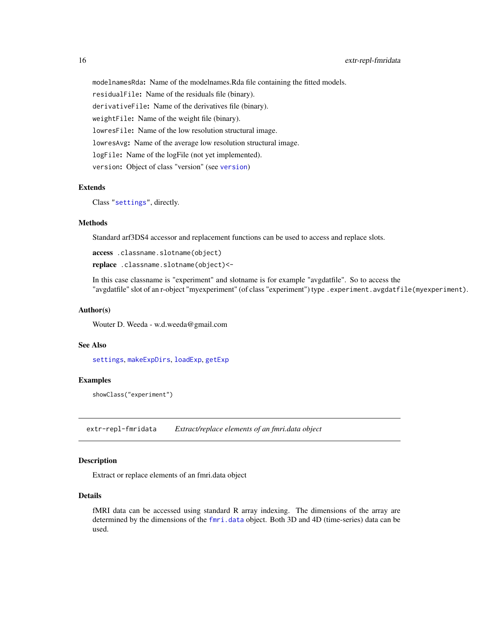modelnamesRda: Name of the modelnames.Rda file containing the fitted models.

residualFile: Name of the residuals file (binary).

derivativeFile: Name of the derivatives file (binary).

weightFile: Name of the weight file (binary).

lowresFile: Name of the low resolution structural image.

lowresAvg: Name of the average low resolution structural image.

logFile: Name of the logFile (not yet implemented).

version: Object of class "version" (see [version](#page-62-1))

#### Extends

Class ["settings"](#page-59-1), directly.

#### Methods

Standard arf3DS4 accessor and replacement functions can be used to access and replace slots.

access .classname.slotname(object)

replace .classname.slotname(object)<-

In this case classname is "experiment" and slotname is for example "avgdatfile". So to access the "avgdatfile" slot of an r-object "myexperiment" (of class "experiment") type .experiment.avgdatfile(myexperiment).

#### Author(s)

Wouter D. Weeda - w.d.weeda@gmail.com

# See Also

[settings](#page-59-1), [makeExpDirs](#page-31-1), [loadExp](#page-26-1), [getExp](#page-24-1)

#### Examples

showClass("experiment")

extr-repl-fmridata *Extract/replace elements of an fmri.data object*

# Description

Extract or replace elements of an fmri.data object

#### Details

fMRI data can be accessed using standard R array indexing. The dimensions of the array are determined by the dimensions of the [fmri.data](#page-19-1) object. Both 3D and 4D (time-series) data can be used.

<span id="page-15-0"></span>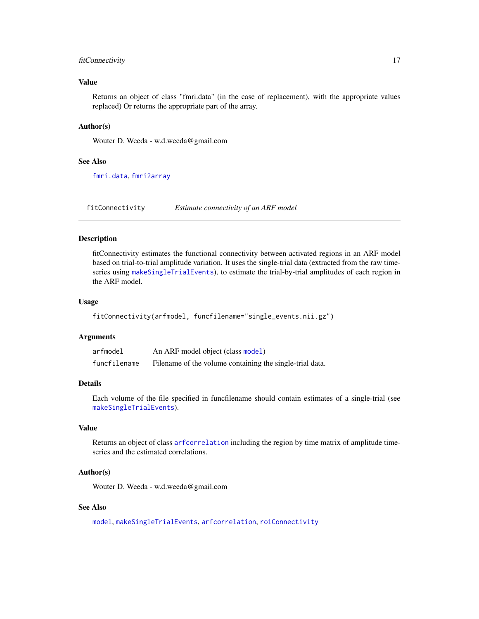# <span id="page-16-0"></span>fitConnectivity 17

#### Value

Returns an object of class "fmri.data" (in the case of replacement), with the appropriate values replaced) Or returns the appropriate part of the array.

#### Author(s)

Wouter D. Weeda - w.d.weeda@gmail.com

#### See Also

[fmri.data](#page-19-1), [fmri2array](#page-21-1)

<span id="page-16-1"></span>fitConnectivity *Estimate connectivity of an ARF model*

#### Description

fitConnectivity estimates the functional connectivity between activated regions in an ARF model based on trial-to-trial amplitude variation. It uses the single-trial data (extracted from the raw timeseries using [makeSingleTrialEvents](#page-34-1)), to estimate the trial-by-trial amplitudes of each region in the ARF model.

#### Usage

```
fitConnectivity(arfmodel, funcfilename="single_events.nii.gz")
```
#### Arguments

| arfmodel     | An ARF model object (class model)                        |
|--------------|----------------------------------------------------------|
| funcfilename | Filename of the volume containing the single-trial data. |

#### Details

Each volume of the file specified in funcfilename should contain estimates of a single-trial (see [makeSingleTrialEvents](#page-34-1)).

#### Value

Returns an object of class [arfcorrelation](#page-4-1) including the region by time matrix of amplitude timeseries and the estimated correlations.

#### Author(s)

Wouter D. Weeda - w.d.weeda@gmail.com

#### See Also

[model](#page-37-1), [makeSingleTrialEvents](#page-34-1), [arfcorrelation](#page-4-1), [roiConnectivity](#page-51-1)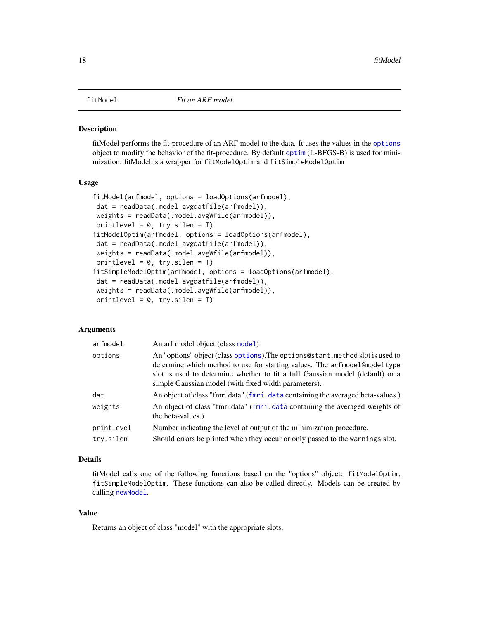<span id="page-17-1"></span><span id="page-17-0"></span>

fitModel performs the fit-procedure of an ARF model to the data. It uses the values in the [options](#page-44-1) object to modify the behavior of the fit-procedure. By default [optim](#page-0-0) (L-BFGS-B) is used for minimization. fitModel is a wrapper for fitModelOptim and fitSimpleModelOptim

#### Usage

```
fitModel(arfmodel, options = loadOptions(arfmodel),
dat = readData(.model.avgdatfile(arfmodel)),
weights = readData(.model.avgWfile(arfmodel)),
printlevel = 0, try.silen = T)
fitModelOptim(arfmodel, options = loadOptions(arfmodel),
dat = readData(.model.avgdatfile(arfmodel)),
weights = readData(.model.avgWfile(arfmodel)),
printlevel = 0, try.silen = T)
fitSimpleModelOptim(arfmodel, options = loadOptions(arfmodel),
dat = readData(.model.avgdatfile(arfmodel)),
weights = readData(.model.avgWfile(arfmodel)),
printlevel = 0, try.silen = T)
```
# Arguments

| arfmodel   | An arf model object (class model)                                                                                                                                                                                                                                                                     |
|------------|-------------------------------------------------------------------------------------------------------------------------------------------------------------------------------------------------------------------------------------------------------------------------------------------------------|
| options    | An "options" object (class options). The options @start. method slot is used to<br>determine which method to use for starting values. The arfmodel@modeltype<br>slot is used to determine whether to fit a full Gaussian model (default) or a<br>simple Gaussian model (with fixed width parameters). |
| dat        | An object of class "fmri.data" (fmri.data containing the averaged beta-values.)                                                                                                                                                                                                                       |
| weights    | An object of class "fmri.data" (fmri.data containing the averaged weights of<br>the beta-values.)                                                                                                                                                                                                     |
| printlevel | Number indicating the level of output of the minimization procedure.                                                                                                                                                                                                                                  |
| try.silen  | Should errors be printed when they occur or only passed to the warnings slot.                                                                                                                                                                                                                         |

# Details

fitModel calls one of the following functions based on the "options" object: fitModelOptim, fitSimpleModelOptim. These functions can also be called directly. Models can be created by calling [newModel](#page-39-1).

# Value

Returns an object of class "model" with the appropriate slots.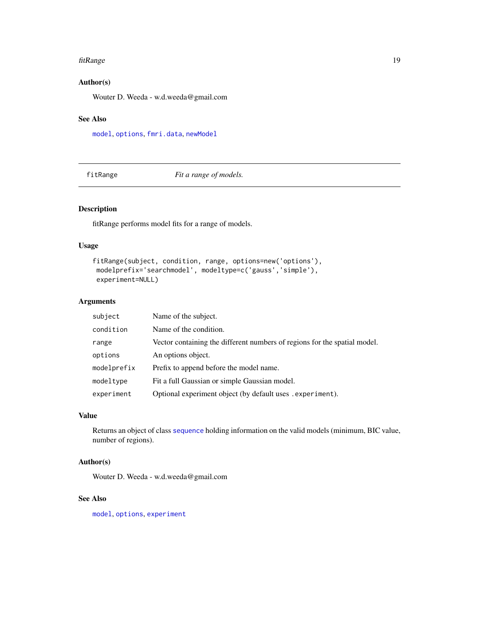#### <span id="page-18-0"></span>fitRange the contract of the contract of the contract of the contract of the contract of the contract of the contract of the contract of the contract of the contract of the contract of the contract of the contract of the c

# Author(s)

Wouter D. Weeda - w.d.weeda@gmail.com

# See Also

[model](#page-37-1), [options](#page-44-1), [fmri.data](#page-19-1), [newModel](#page-39-1)

fitRange *Fit a range of models.*

# Description

fitRange performs model fits for a range of models.

# Usage

```
fitRange(subject, condition, range, options=new('options'),
modelprefix='searchmodel', modeltype=c('gauss','simple'),
experiment=NULL)
```
#### Arguments

| subject     | Name of the subject.                                                      |
|-------------|---------------------------------------------------------------------------|
| condition   | Name of the condition.                                                    |
| range       | Vector containing the different numbers of regions for the spatial model. |
| options     | An options object.                                                        |
| modelprefix | Prefix to append before the model name.                                   |
| modeltype   | Fit a full Gaussian or simple Gaussian model.                             |
| experiment  | Optional experiment object (by default uses . experiment).                |

# Value

Returns an object of class [sequence](#page-55-1) holding information on the valid models (minimum, BIC value, number of regions).

#### Author(s)

Wouter D. Weeda - w.d.weeda@gmail.com

# See Also

[model](#page-37-1), [options](#page-44-1), [experiment](#page-13-1)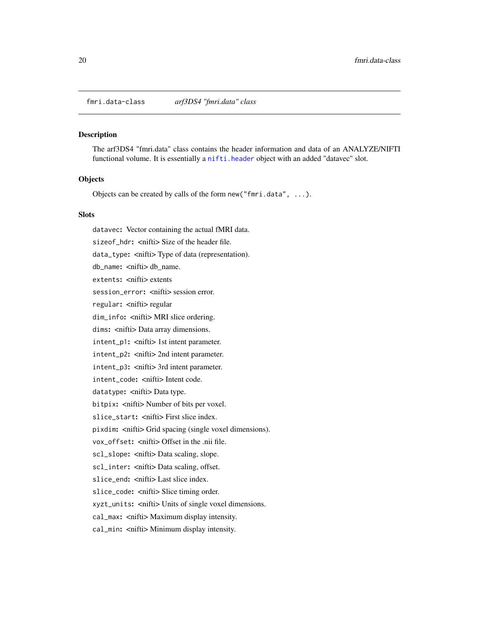<span id="page-19-1"></span><span id="page-19-0"></span>fmri.data-class *arf3DS4 "fmri.data" class*

#### Description

The arf3DS4 "fmri.data" class contains the header information and data of an ANALYZE/NIFTI functional volume. It is essentially a [nifti.header](#page-41-1) object with an added "datavec" slot.

#### **Objects**

Objects can be created by calls of the form new ("fmri.data",  $\dots$ ).

#### **Slots**

datavec: Vector containing the actual fMRI data. sizeof\_hdr: <nifti> Size of the header file. data\_type: <nifti> Type of data (representation). db\_name: <nifti> db\_name. extents: < nifti> extents session\_error: <nifti> session error. regular: < nifti> regular dim\_info: <nifti> MRI slice ordering. dims: <nifti> Data array dimensions. intent\_p1: <nifti> 1st intent parameter. intent\_p2: <nifti> 2nd intent parameter. intent\_p3: <nifti> 3rd intent parameter. intent\_code: <nifti> Intent code. datatype: < nifti> Data type. bitpix: <nifti> Number of bits per voxel. slice\_start: < nifti> First slice index. pixdim: <nifti> Grid spacing (single voxel dimensions). vox\_offset: <nifti> Offset in the .nii file. scl\_slope: <nifti> Data scaling, slope. scl\_inter: < nifti> Data scaling, offset. slice end: < nifti> Last slice index. slice\_code: <nifti> Slice timing order. xyzt\_units: <nifti> Units of single voxel dimensions. cal\_max: <nifti> Maximum display intensity. cal\_min: <nifti> Minimum display intensity.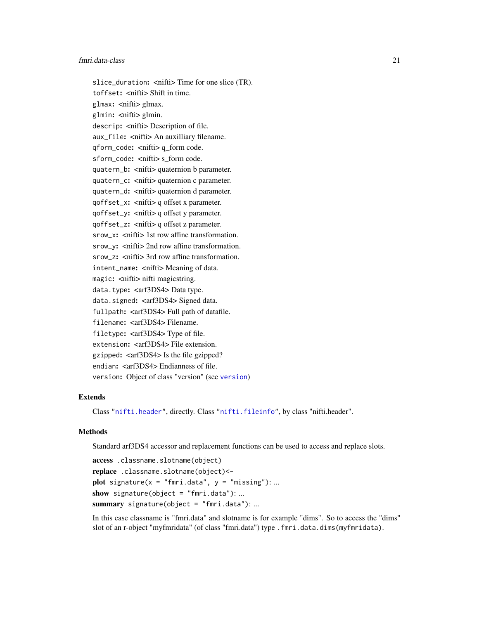#### fmri.data-class 21

slice\_duration: <nifti> Time for one slice (TR). toffset: < nifti> Shift in time. glmax: <nifti> glmax. glmin: <nifti> glmin. descrip: < nifti> Description of file. aux\_file: <nifti> An auxilliary filename. qform\_code: <nifti> q\_form code. sform\_code: <nifti> s form code. quatern\_b: <nifti> quaternion b parameter. quatern\_c: <nifti> quaternion c parameter. quatern\_d: <nifti> quaternion d parameter. qoffset\_x: <nifti> q offset x parameter. qoffset\_y: <nifti> q offset y parameter. qoffset\_z: <nifti> q offset z parameter. srow\_x: <nifti> 1st row affine transformation. srow\_y: <nifti> 2nd row affine transformation. srow\_z: <nifti> 3rd row affine transformation. intent\_name: <nifti>Meaning of data. magic: < nifti> nifti magicstring. data.type: <arf3DS4>Data type. data.signed: <arf3DS4>Signed data. fullpath: <arf3DS4> Full path of datafile. filename: <arf3DS4>Filename. filetype: <arf3DS4> Type of file. extension: <arf3DS4>File extension. gzipped: <arf3DS4> Is the file gzipped? endian: <arf3DS4> Endianness of file. version: Object of class "version" (see [version](#page-62-1))

#### Extends

Class ["nifti.header"](#page-41-1), directly. Class ["nifti.fileinfo"](#page-40-1), by class "nifti.header".

#### **Methods**

Standard arf3DS4 accessor and replacement functions can be used to access and replace slots.

```
access .classname.slotname(object)
replace .classname.slotname(object)<-
plot signature(x = "fmri.data", y = "missing"); ...show signature(object = "fmri.data"): ...
summary signature(object = "fmri.data"): ...
```
In this case classname is "fmri.data" and slotname is for example "dims". So to access the "dims" slot of an r-object "myfmridata" (of class "fmri.data") type .fmri.data.dims(myfmridata).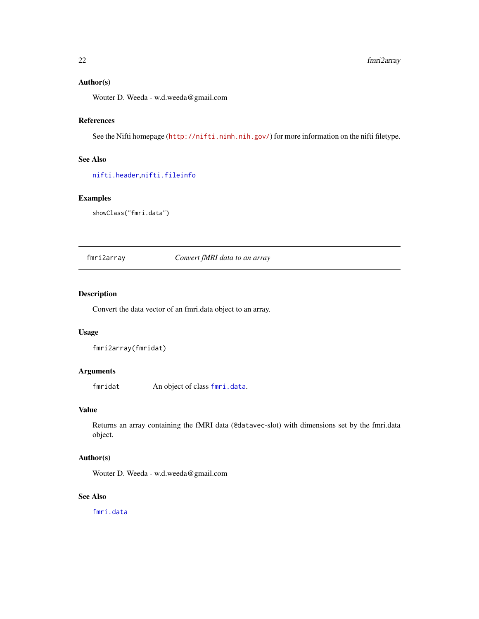# <span id="page-21-0"></span>Author(s)

Wouter D. Weeda - w.d.weeda@gmail.com

# References

See the Nifti homepage (<http://nifti.nimh.nih.gov/>) for more information on the nifti filetype.

# See Also

[nifti.header](#page-41-1),[nifti.fileinfo](#page-40-1)

# Examples

showClass("fmri.data")

<span id="page-21-1"></span>fmri2array *Convert fMRI data to an array*

#### Description

Convert the data vector of an fmri.data object to an array.

# Usage

fmri2array(fmridat)

#### Arguments

fmridat An object of class [fmri.data](#page-19-1).

# Value

Returns an array containing the fMRI data (@datavec-slot) with dimensions set by the fmri.data object.

#### Author(s)

Wouter D. Weeda - w.d.weeda@gmail.com

#### See Also

[fmri.data](#page-19-1)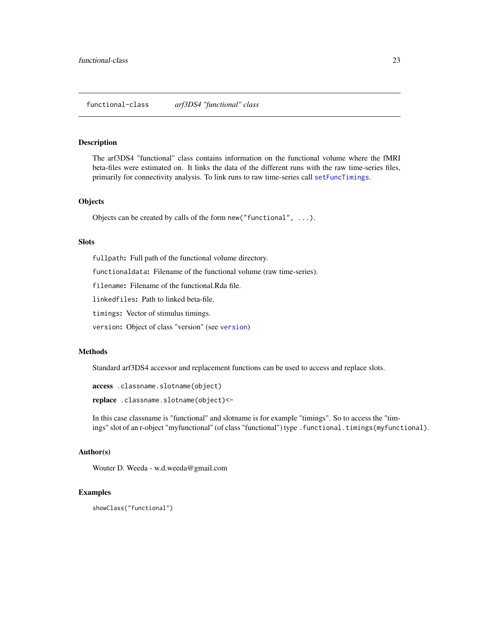<span id="page-22-1"></span><span id="page-22-0"></span>The arf3DS4 "functional" class contains information on the functional volume where the fMRI beta-files were estimated on. It links the data of the different runs with the raw time-series files, primarily for connectivity analysis. To link runs to raw time-series call [setFuncTimings](#page-56-1).

#### **Objects**

Objects can be created by calls of the form new("functional", ...).

#### Slots

fullpath: Full path of the functional volume directory.

functionaldata: Filename of the functional volume (raw time-series).

filename: Filename of the functional.Rda file.

linkedfiles: Path to linked beta-file.

timings: Vector of stimulus timings.

version: Object of class "version" (see [version](#page-62-1))

#### Methods

Standard arf3DS4 accessor and replacement functions can be used to access and replace slots.

access .classname.slotname(object)

replace .classname.slotname(object)<-

In this case classname is "functional" and slotname is for example "timings". So to access the "timings" slot of an r-object "myfunctional" (of class "functional") type .functional.timings(myfunctional).

# Author(s)

Wouter D. Weeda - w.d.weeda@gmail.com

#### Examples

showClass("functional")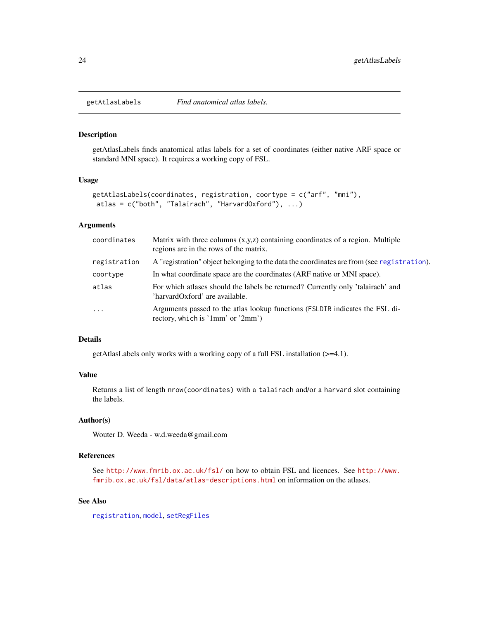getAtlasLabels finds anatomical atlas labels for a set of coordinates (either native ARF space or standard MNI space). It requires a working copy of FSL.

# Usage

```
getAtlasLabels(coordinates, registration, coortype = c("arf", "mni"),
 atlas = c("both", "Talairach", "HarvardOxford"), ...)
```
#### Arguments

| coordinates  | Matrix with three columns $(x, y, z)$ containing coordinates of a region. Multiple<br>regions are in the rows of the matrix. |
|--------------|------------------------------------------------------------------------------------------------------------------------------|
| registration | A "registration" object belonging to the data the coordinates are from (see registration).                                   |
| coortype     | In what coordinate space are the coordinates (ARF native or MNI space).                                                      |
| atlas        | For which atlases should the labels be returned? Currently only 'talairach' and<br>'harvardOxford' are available.            |
| $\cdot$      | Arguments passed to the atlas lookup functions (FSLDIR indicates the FSL di-<br>rectory, which is '1mm' or '2mm')            |

# Details

getAtlasLabels only works with a working copy of a full FSL installation (>=4.1).

#### Value

Returns a list of length nrow(coordinates) with a talairach and/or a harvard slot containing the labels.

#### Author(s)

Wouter D. Weeda - w.d.weeda@gmail.com

#### References

See <http://www.fmrib.ox.ac.uk/fsl/> on how to obtain FSL and licences. See [http://www.](http://www.fmrib.ox.ac.uk/fsl/data/atlas-descriptions.html) [fmrib.ox.ac.uk/fsl/data/atlas-descriptions.html](http://www.fmrib.ox.ac.uk/fsl/data/atlas-descriptions.html) on information on the atlases.

# See Also

[registration](#page-49-1), [model](#page-37-1), [setRegFiles](#page-57-1)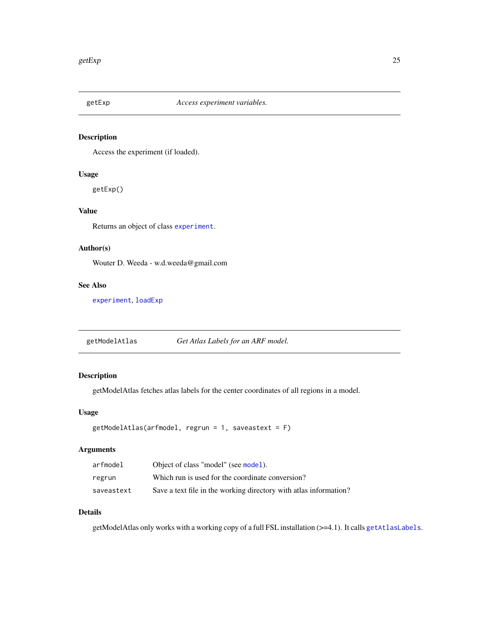<span id="page-24-1"></span><span id="page-24-0"></span>

Access the experiment (if loaded).

# Usage

getExp()

# Value

Returns an object of class [experiment](#page-13-1).

# Author(s)

Wouter D. Weeda - w.d.weeda@gmail.com

#### See Also

[experiment](#page-13-1), [loadExp](#page-26-1)

getModelAtlas *Get Atlas Labels for an ARF model.*

# Description

getModelAtlas fetches atlas labels for the center coordinates of all regions in a model.

# Usage

```
getModelAtlas(arfmodel, regrun = 1, saveastext = F)
```
# Arguments

| arfmodel   | Object of class "model" (see model).                              |
|------------|-------------------------------------------------------------------|
| regrun     | Which run is used for the coordinate conversion?                  |
| saveastext | Save a text file in the working directory with at as information? |

# Details

getModelAtlas only works with a working copy of a full FSL installation (>=4.1). It calls [getAtlasLabels](#page-23-1).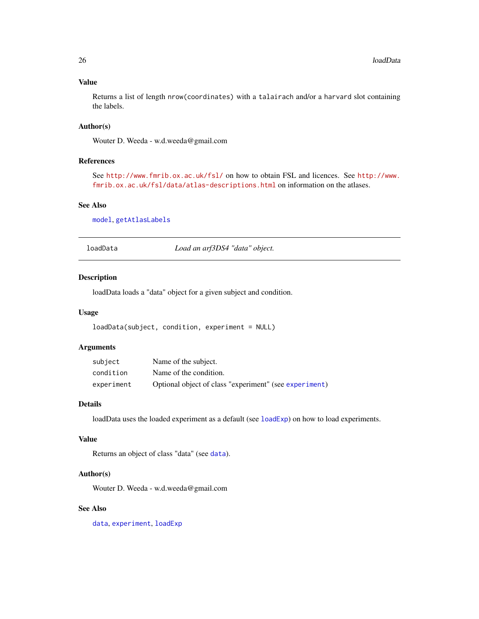# Value

Returns a list of length nrow(coordinates) with a talairach and/or a harvard slot containing the labels.

# Author(s)

Wouter D. Weeda - w.d.weeda@gmail.com

#### References

See <http://www.fmrib.ox.ac.uk/fsl/> on how to obtain FSL and licences. See [http://www.](http://www.fmrib.ox.ac.uk/fsl/data/atlas-descriptions.html) [fmrib.ox.ac.uk/fsl/data/atlas-descriptions.html](http://www.fmrib.ox.ac.uk/fsl/data/atlas-descriptions.html) on information on the atlases.

# See Also

[model](#page-37-1), [getAtlasLabels](#page-23-1)

loadData *Load an arf3DS4 "data" object.*

#### Description

loadData loads a "data" object for a given subject and condition.

#### Usage

```
loadData(subject, condition, experiment = NULL)
```
# Arguments

| subject    | Name of the subject.                                   |
|------------|--------------------------------------------------------|
| condition  | Name of the condition.                                 |
| experiment | Optional object of class "experiment" (see experiment) |

# Details

loadData uses the loaded experiment as a default (see  $loadExp)$  $loadExp)$  on how to load experiments.

# Value

Returns an object of class "data" (see [data](#page-10-1)).

#### Author(s)

Wouter D. Weeda - w.d.weeda@gmail.com

# See Also

[data](#page-10-1), [experiment](#page-13-1), [loadExp](#page-26-1)

<span id="page-25-0"></span>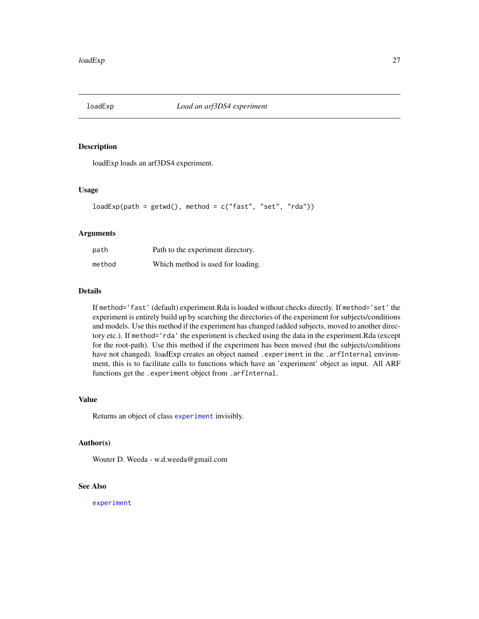<span id="page-26-1"></span><span id="page-26-0"></span>

loadExp loads an arf3DS4 experiment.

#### Usage

loadExp(path = getwd(), method = c("fast", "set", "rda"))

# Arguments

| path   | Path to the experiment directory. |
|--------|-----------------------------------|
| method | Which method is used for loading. |

#### Details

If method='fast' (default) experiment.Rda is loaded without checks directly. If method='set' the experiment is entirely build up by searching the directories of the experiment for subjects/conditions and models. Use this method if the experiment has changed (added subjects, moved to another directory etc.). If method='rda' the experiment is checked using the data in the experiment.Rda (except for the root-path). Use this method if the experiment has been moved (but the subjects/conditions have not changed). loadExp creates an object named . experiment in the . arfInternal environment, this is to facilitate calls to functions which have an 'experiment' object as input. All ARF functions get the .experiment object from .arfInternal.

# Value

Returns an object of class [experiment](#page-13-1) invisibly.

#### Author(s)

Wouter D. Weeda - w.d.weeda@gmail.com

# See Also

[experiment](#page-13-1)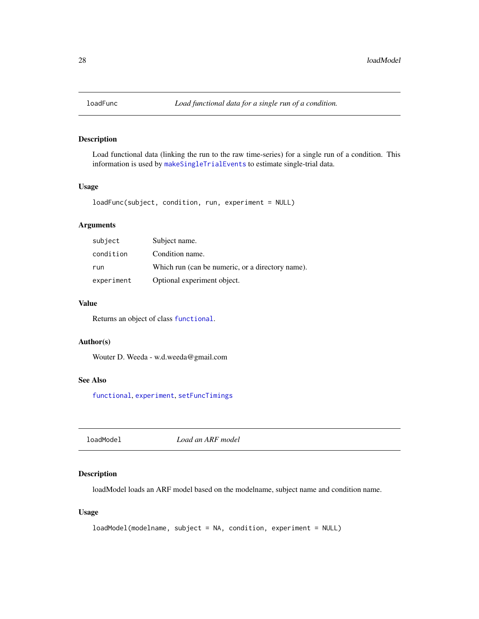<span id="page-27-0"></span>

Load functional data (linking the run to the raw time-series) for a single run of a condition. This information is used by [makeSingleTrialEvents](#page-34-1) to estimate single-trial data.

#### Usage

```
loadFunc(subject, condition, run, experiment = NULL)
```
# Arguments

| subject    | Subject name.                                    |
|------------|--------------------------------------------------|
| condition  | Condition name.                                  |
| run        | Which run (can be numeric, or a directory name). |
| experiment | Optional experiment object.                      |

# Value

Returns an object of class [functional](#page-22-1).

#### Author(s)

Wouter D. Weeda - w.d.weeda@gmail.com

# See Also

[functional](#page-22-1), [experiment](#page-13-1), [setFuncTimings](#page-56-1)

loadModel *Load an ARF model*

#### Description

loadModel loads an ARF model based on the modelname, subject name and condition name.

# Usage

```
loadModel(modelname, subject = NA, condition, experiment = NULL)
```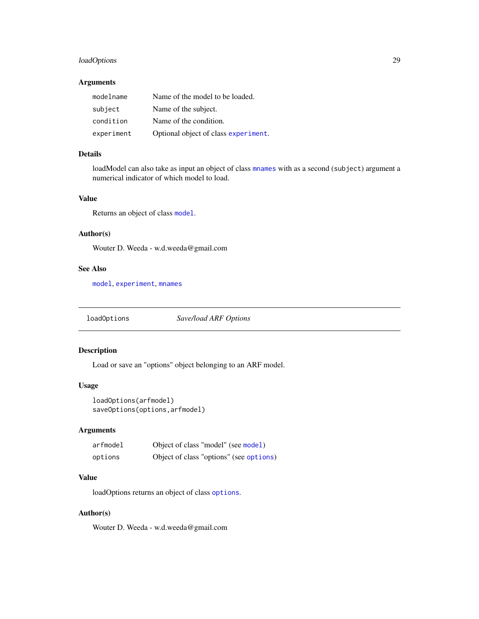# <span id="page-28-0"></span>loadOptions 29

#### Arguments

| modelname  | Name of the model to be loaded.      |
|------------|--------------------------------------|
| subject    | Name of the subject.                 |
| condition  | Name of the condition.               |
| experiment | Optional object of class experiment. |

#### Details

loadModel can also take as input an object of class [mnames](#page-36-1) with as a second (subject) argument a numerical indicator of which model to load.

# Value

Returns an object of class [model](#page-37-1).

#### Author(s)

Wouter D. Weeda - w.d.weeda@gmail.com

# See Also

[model](#page-37-1), [experiment](#page-13-1), [mnames](#page-36-1)

<span id="page-28-1"></span>loadOptions *Save/load ARF Options*

# <span id="page-28-2"></span>Description

Load or save an "options" object belonging to an ARF model.

#### Usage

loadOptions(arfmodel) saveOptions(options,arfmodel)

# Arguments

| arfmodel | Object of class "model" (see model)     |
|----------|-----------------------------------------|
| options  | Object of class "options" (see options) |

# Value

loadOptions returns an object of class [options](#page-44-1).

# Author(s)

Wouter D. Weeda - w.d.weeda@gmail.com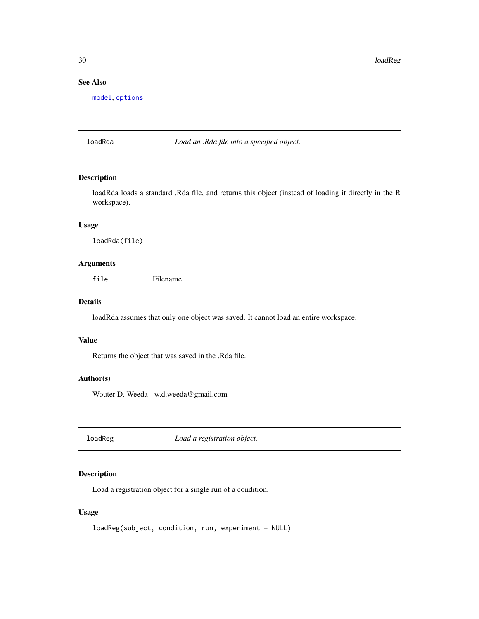<span id="page-29-0"></span>30 loadReg

# See Also

[model](#page-37-1), [options](#page-44-1)

loadRda *Load an .Rda file into a specified object.*

# Description

loadRda loads a standard .Rda file, and returns this object (instead of loading it directly in the R workspace).

# Usage

loadRda(file)

#### Arguments

file Filename

# Details

loadRda assumes that only one object was saved. It cannot load an entire workspace.

#### Value

Returns the object that was saved in the .Rda file.

# Author(s)

Wouter D. Weeda - w.d.weeda@gmail.com

loadReg *Load a registration object.*

# Description

Load a registration object for a single run of a condition.

# Usage

```
loadReg(subject, condition, run, experiment = NULL)
```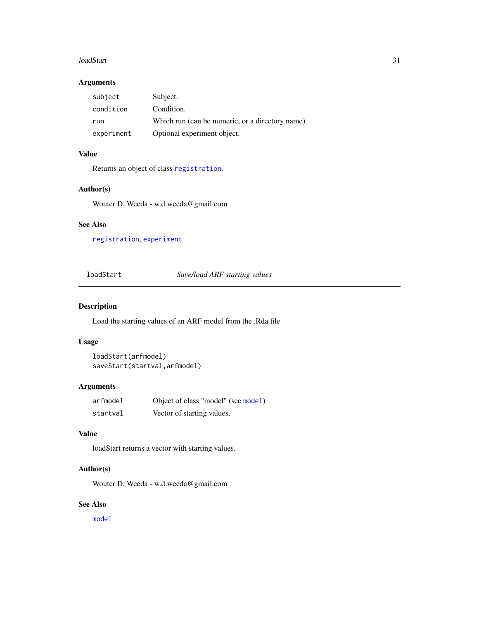#### <span id="page-30-0"></span>loadStart 31

# Arguments

| subject    | Subject.                                        |
|------------|-------------------------------------------------|
| condition  | Condition.                                      |
| run        | Which run (can be numeric, or a directory name) |
| experiment | Optional experiment object.                     |

#### Value

Returns an object of class [registration](#page-49-1).

# Author(s)

Wouter D. Weeda - w.d.weeda@gmail.com

# See Also

[registration](#page-49-1), [experiment](#page-13-1)

loadStart *Save/load ARF starting values*

# Description

Load the starting values of an ARF model from the .Rda file

#### Usage

```
loadStart(arfmodel)
saveStart(startval,arfmodel)
```
# Arguments

| arfmodel | Object of class "model" (see model) |
|----------|-------------------------------------|
| startval | Vector of starting values.          |

# Value

loadStart returns a vector with starting values.

# Author(s)

Wouter D. Weeda - w.d.weeda@gmail.com

#### See Also

[model](#page-37-1)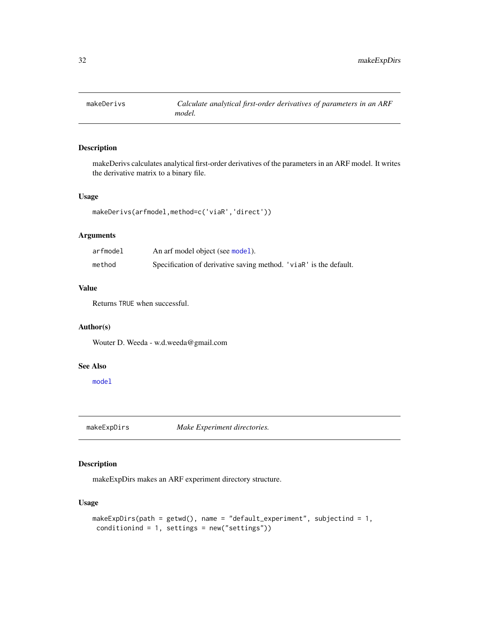<span id="page-31-0"></span>

makeDerivs calculates analytical first-order derivatives of the parameters in an ARF model. It writes the derivative matrix to a binary file.

#### Usage

```
makeDerivs(arfmodel,method=c('viaR','direct'))
```
#### Arguments

| arfmodel | An arf model object (see model).                                  |  |
|----------|-------------------------------------------------------------------|--|
| method   | Specification of derivative saving method. 'viaR' is the default. |  |

# Value

Returns TRUE when successful.

# Author(s)

Wouter D. Weeda - w.d.weeda@gmail.com

# See Also

[model](#page-37-1)

<span id="page-31-1"></span>makeExpDirs *Make Experiment directories.*

# Description

makeExpDirs makes an ARF experiment directory structure.

# Usage

```
makeExpDirs(path = getwd(), name = "default_experiment", subjectind = 1,
conditionind = 1, settings = new("settings"))
```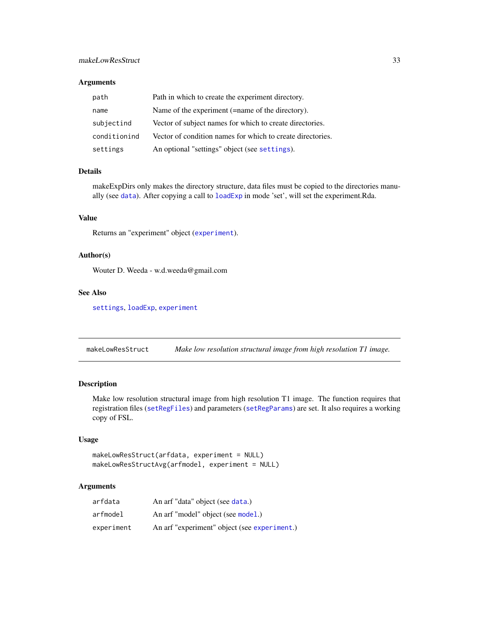# <span id="page-32-0"></span>makeLowResStruct 33

#### Arguments

| path         | Path in which to create the experiment directory.          |
|--------------|------------------------------------------------------------|
| name         | Name of the experiment (=name of the directory).           |
| subjectind   | Vector of subject names for which to create directories.   |
| conditionind | Vector of condition names for which to create directories. |
| settings     | An optional "settings" object (see settings).              |

# Details

makeExpDirs only makes the directory structure, data files must be copied to the directories manually (see [data](#page-10-1)). After copying a call to [loadExp](#page-26-1) in mode 'set', will set the experiment.Rda.

# Value

Returns an "experiment" object ([experiment](#page-13-1)).

#### Author(s)

Wouter D. Weeda - w.d.weeda@gmail.com

# See Also

[settings](#page-59-1), [loadExp](#page-26-1), [experiment](#page-13-1)

makeLowResStruct *Make low resolution structural image from high resolution T1 image.*

# Description

Make low resolution structural image from high resolution T1 image. The function requires that registration files ([setRegFiles](#page-57-1)) and parameters ([setRegParams](#page-58-1)) are set. It also requires a working copy of FSL.

#### Usage

```
makeLowResStruct(arfdata, experiment = NULL)
makeLowResStructAvg(arfmodel, experiment = NULL)
```
#### Arguments

| arfdata    | An arf "data" object (see data.)             |
|------------|----------------------------------------------|
| arfmodel   | An arf "model" object (see model.)           |
| experiment | An arf "experiment" object (see experiment.) |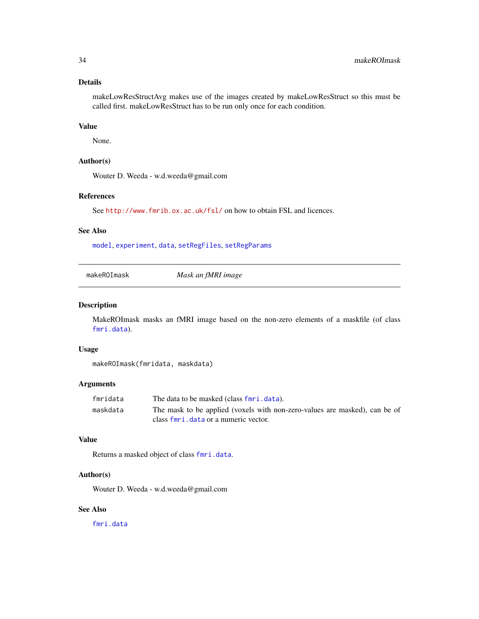# <span id="page-33-0"></span>Details

makeLowResStructAvg makes use of the images created by makeLowResStruct so this must be called first. makeLowResStruct has to be run only once for each condition.

#### Value

None.

#### Author(s)

Wouter D. Weeda - w.d.weeda@gmail.com

#### References

See <http://www.fmrib.ox.ac.uk/fsl/> on how to obtain FSL and licences.

#### See Also

[model](#page-37-1), [experiment](#page-13-1), [data](#page-10-1), [setRegFiles](#page-57-1), [setRegParams](#page-58-1)

makeROImask *Mask an fMRI image*

# Description

MakeROImask masks an fMRI image based on the non-zero elements of a maskfile (of class [fmri.data](#page-19-1)).

#### Usage

makeROImask(fmridata, maskdata)

# Arguments

| fmridata | The data to be masked (class fmri. data).                                  |
|----------|----------------------------------------------------------------------------|
| maskdata | The mask to be applied (voxels with non-zero-values are masked), can be of |
|          | class for i. data or a numeric vector.                                     |

#### Value

Returns a masked object of class [fmri.data](#page-19-1).

#### Author(s)

Wouter D. Weeda - w.d.weeda@gmail.com

# See Also

[fmri.data](#page-19-1)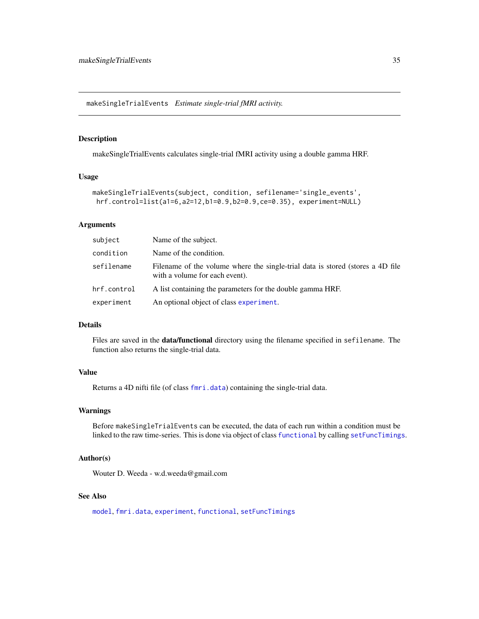<span id="page-34-1"></span><span id="page-34-0"></span>makeSingleTrialEvents *Estimate single-trial fMRI activity.*

# Description

makeSingleTrialEvents calculates single-trial fMRI activity using a double gamma HRF.

#### Usage

```
makeSingleTrialEvents(subject, condition, sefilename='single_events',
hrf.control=list(a1=6,a2=12,b1=0.9,b2=0.9,ce=0.35), experiment=NULL)
```
#### Arguments

| subject     | Name of the subject.                                                                                             |
|-------------|------------------------------------------------------------------------------------------------------------------|
| condition   | Name of the condition.                                                                                           |
| sefilename  | Filename of the volume where the single-trial data is stored (stores a 4D file<br>with a volume for each event). |
| hrf.control | A list containing the parameters for the double gamma HRF.                                                       |
| experiment  | An optional object of class experiment.                                                                          |

#### Details

Files are saved in the data/functional directory using the filename specified in sefilename. The function also returns the single-trial data.

# Value

Returns a 4D nifti file (of class [fmri.data](#page-19-1)) containing the single-trial data.

#### Warnings

Before makeSingleTrialEvents can be executed, the data of each run within a condition must be linked to the raw time-series. This is done via object of class [functional](#page-22-1) by calling [setFuncTimings](#page-56-1).

#### Author(s)

Wouter D. Weeda - w.d.weeda@gmail.com

#### See Also

[model](#page-37-1), [fmri.data](#page-19-1), [experiment](#page-13-1), [functional](#page-22-1), [setFuncTimings](#page-56-1)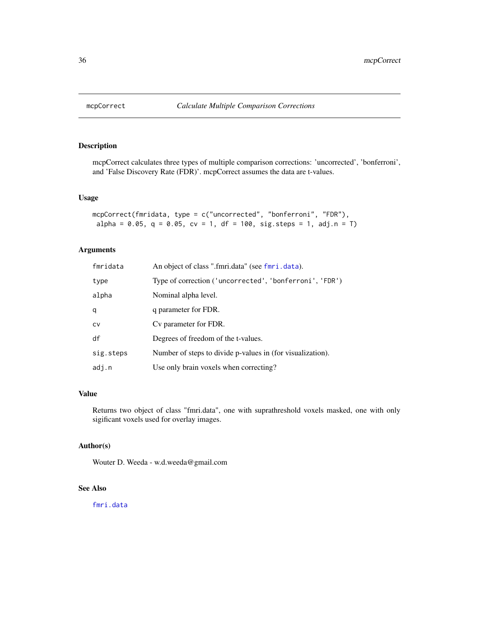<span id="page-35-0"></span>

mcpCorrect calculates three types of multiple comparison corrections: 'uncorrected', 'bonferroni', and 'False Discovery Rate (FDR)'. mcpCorrect assumes the data are t-values.

#### Usage

```
mcpCorrect(fmridata, type = c("uncorrected", "bonferroni", "FDR"),
alpha = 0.05, q = 0.05, cv = 1, df = 100, sig.steps = 1, adj.n = T)
```
# Arguments

| fmridata  | An object of class ".fmri.data" (see fmri.data).           |
|-----------|------------------------------------------------------------|
| type      | Type of correction ('uncorrected', 'bonferroni', 'FDR')    |
| alpha     | Nominal alpha level.                                       |
| q         | q parameter for FDR.                                       |
| CV        | Cy parameter for FDR.                                      |
| df        | Degrees of freedom of the t-values.                        |
| sig.steps | Number of steps to divide p-values in (for visualization). |
| adj.n     | Use only brain voxels when correcting?                     |

#### Value

Returns two object of class "fmri.data", one with suprathreshold voxels masked, one with only sigificant voxels used for overlay images.

#### Author(s)

Wouter D. Weeda - w.d.weeda@gmail.com

#### See Also

[fmri.data](#page-19-1)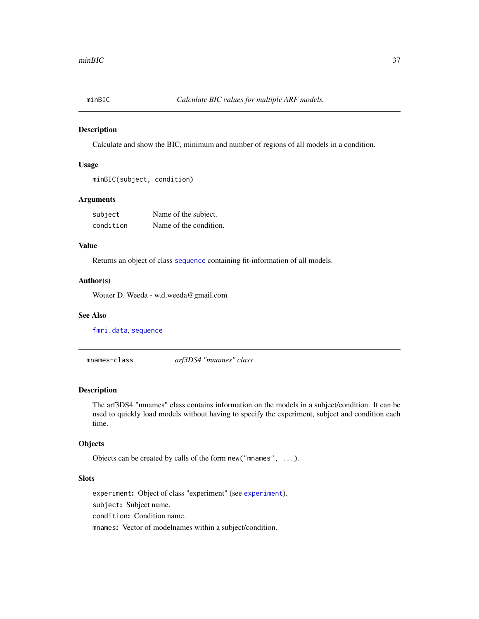<span id="page-36-2"></span><span id="page-36-0"></span>

Calculate and show the BIC, minimum and number of regions of all models in a condition.

## Usage

```
minBIC(subject, condition)
```
#### Arguments

| subject   | Name of the subject.   |
|-----------|------------------------|
| condition | Name of the condition. |

## Value

Returns an object of class [sequence](#page-55-0) containing fit-information of all models.

#### Author(s)

Wouter D. Weeda - w.d.weeda@gmail.com

#### See Also

[fmri.data](#page-19-0), [sequence](#page-55-0)

<span id="page-36-1"></span>mnames-class *arf3DS4 "mnames" class*

#### Description

The arf3DS4 "mnames" class contains information on the models in a subject/condition. It can be used to quickly load models without having to specify the experiment, subject and condition each time.

## **Objects**

Objects can be created by calls of the form new("mnames", ...).

## Slots

experiment: Object of class "experiment" (see [experiment](#page-13-0)). subject: Subject name. condition: Condition name. mnames: Vector of modelnames within a subject/condition.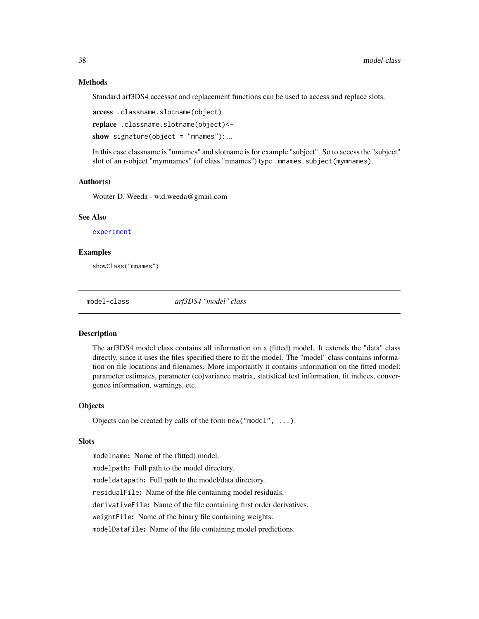#### Methods

Standard arf3DS4 accessor and replacement functions can be used to access and replace slots.

access .classname.slotname(object)

replace .classname.slotname(object)<-

show signature(object = "mnames"): ...

In this case classname is "mnames" and slotname is for example "subject". So to access the "subject" slot of an r-object "mymnames" (of class "mnames") type .mnames.subject(mymnames).

#### Author(s)

Wouter D. Weeda - w.d.weeda@gmail.com

## See Also

[experiment](#page-13-0)

#### Examples

showClass("mnames")

<span id="page-37-0"></span>model-class *arf3DS4 "model" class*

### Description

The arf3DS4 model class contains all information on a (fitted) model. It extends the "data" class directly, since it uses the files specified there to fit the model. The "model" class contains information on file locations and filenames. More importantly it contains information on the fitted model: parameter estimates, parameter (co)variance matrix, statistical test information, fit indices, convergence information, warnings, etc.

## **Objects**

Objects can be created by calls of the form new("model", ...).

#### **Slots**

modelname: Name of the (fitted) model. modelpath: Full path to the model directory. modeldatapath: Full path to the model/data directory. residualFile: Name of the file containing model residuals. derivativeFile: Name of the file containing first order derivatives. weightFile: Name of the binary file containing weights. modelDataFile: Name of the file containing model predictions.

<span id="page-37-1"></span>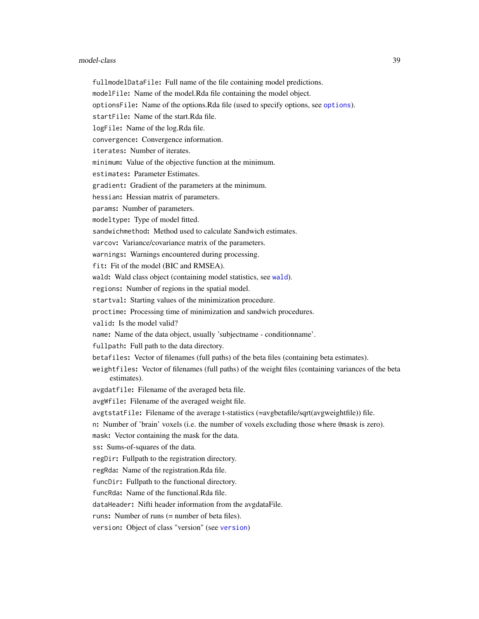#### model-class 39

- fullmodelDataFile: Full name of the file containing model predictions.
- modelFile: Name of the model.Rda file containing the model object.
- optionsFile: Name of the options.Rda file (used to specify options, see [options](#page-44-0)).
- startFile: Name of the start.Rda file.
- logFile: Name of the log.Rda file.
- convergence: Convergence information.
- iterates: Number of iterates.
- minimum: Value of the objective function at the minimum.
- estimates: Parameter Estimates.
- gradient: Gradient of the parameters at the minimum.
- hessian: Hessian matrix of parameters.
- params: Number of parameters.
- modeltype: Type of model fitted.
- sandwichmethod: Method used to calculate Sandwich estimates.
- varcov: Variance/covariance matrix of the parameters.
- warnings: Warnings encountered during processing.
- fit: Fit of the model (BIC and RMSEA).
- [wald](#page-64-0): Wald class object (containing model statistics, see wald).
- regions: Number of regions in the spatial model.
- startval: Starting values of the minimization procedure.
- proctime: Processing time of minimization and sandwich procedures.
- valid: Is the model valid?
- name: Name of the data object, usually 'subjectname conditionname'.
- fullpath: Full path to the data directory.
- betafiles: Vector of filenames (full paths) of the beta files (containing beta estimates).
- weightfiles: Vector of filenames (full paths) of the weight files (containing variances of the beta estimates).
- avgdatfile: Filename of the averaged beta file.
- avgWfile: Filename of the averaged weight file.
- avgtstatFile: Filename of the average t-statistics (=avgbetafile/sqrt(avgweightfile)) file.
- n: Number of 'brain' voxels (i.e. the number of voxels excluding those where @mask is zero).
- mask: Vector containing the mask for the data.
- ss: Sums-of-squares of the data.
- regDir: Fullpath to the registration directory.
- regRda: Name of the registration.Rda file.
- funcDir: Fullpath to the functional directory.
- funcRda: Name of the functional.Rda file.
- dataHeader: Nifti header information from the avgdataFile.
- runs: Number of runs (= number of beta files).
- version: Object of class "version" (see [version](#page-62-0))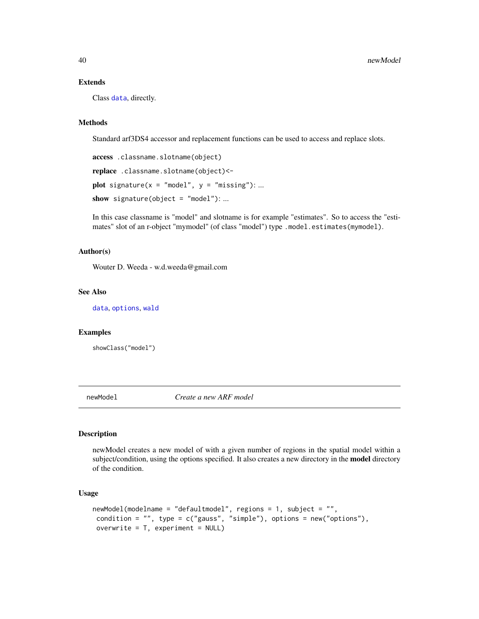## <span id="page-39-1"></span>Extends

Class [data](#page-10-0), directly.

# Methods

Standard arf3DS4 accessor and replacement functions can be used to access and replace slots.

```
access .classname.slotname(object)
replace .classname.slotname(object)<-
plot signature(x = "model", y = "missing"); ...show signature(object = "model"): ...
```
In this case classname is "model" and slotname is for example "estimates". So to access the "estimates" slot of an r-object "mymodel" (of class "model") type .model.estimates(mymodel).

#### Author(s)

Wouter D. Weeda - w.d.weeda@gmail.com

## See Also

[data](#page-10-0), [options](#page-44-0), [wald](#page-64-0)

#### Examples

showClass("model")

<span id="page-39-0"></span>newModel *Create a new ARF model*

## Description

newModel creates a new model of with a given number of regions in the spatial model within a subject/condition, using the options specified. It also creates a new directory in the **model** directory of the condition.

#### Usage

```
newModel(modelname = "defaultmodel", regions = 1, subject = "",
 condition = "", type = c("gauss", "simple"), options = new("options"),
 overwrite = T, experiment = NULL)
```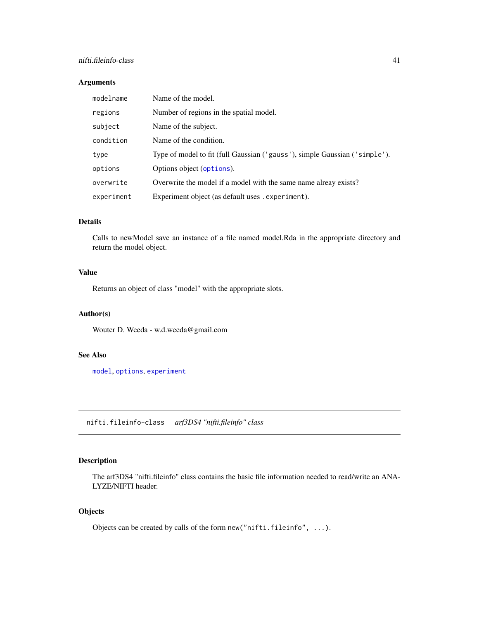## <span id="page-40-1"></span>nifti.fileinfo-class 41

# Arguments

| modelname  | Name of the model.                                                         |
|------------|----------------------------------------------------------------------------|
| regions    | Number of regions in the spatial model.                                    |
| subject    | Name of the subject.                                                       |
| condition  | Name of the condition.                                                     |
| type       | Type of model to fit (full Gaussian ('gauss'), simple Gaussian ('simple'). |
| options    | Options object (options).                                                  |
| overwrite  | Overwrite the model if a model with the same name alreay exists?           |
| experiment | Experiment object (as default uses . experiment).                          |

# Details

Calls to newModel save an instance of a file named model.Rda in the appropriate directory and return the model object.

## Value

Returns an object of class "model" with the appropriate slots.

# Author(s)

Wouter D. Weeda - w.d.weeda@gmail.com

#### See Also

[model](#page-37-0), [options](#page-44-0), [experiment](#page-13-0)

<span id="page-40-0"></span>nifti.fileinfo-class *arf3DS4 "nifti.fileinfo" class*

# Description

The arf3DS4 "nifti.fileinfo" class contains the basic file information needed to read/write an ANA-LYZE/NIFTI header.

# **Objects**

Objects can be created by calls of the form new ("nifti.fileinfo", ...).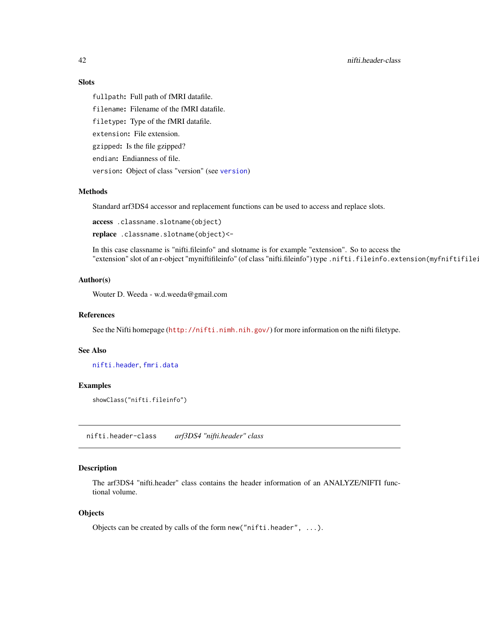# Slots

fullpath: Full path of fMRI datafile. filename: Filename of the fMRI datafile. filetype: Type of the fMRI datafile. extension: File extension. gzipped: Is the file gzipped? endian: Endianness of file. version: Object of class "version" (see [version](#page-62-0))

#### Methods

Standard arf3DS4 accessor and replacement functions can be used to access and replace slots.

access .classname.slotname(object)

replace .classname.slotname(object)<-

In this case classname is "nifti.fileinfo" and slotname is for example "extension". So to access the "extension" slot of an r-object "myniftifileinfo" (of class "nifti.fileinfo") type .nifti.fileinfo.extension(myfniftifileinfo).

## Author(s)

Wouter D. Weeda - w.d.weeda@gmail.com

## References

See the Nifti homepage (<http://nifti.nimh.nih.gov/>) for more information on the nifti filetype.

#### See Also

[nifti.header](#page-41-0), [fmri.data](#page-19-0)

## Examples

showClass("nifti.fileinfo")

<span id="page-41-0"></span>nifti.header-class *arf3DS4 "nifti.header" class*

# Description

The arf3DS4 "nifti.header" class contains the header information of an ANALYZE/NIFTI functional volume.

#### **Objects**

Objects can be created by calls of the form new("nifti.header", ...).

<span id="page-41-1"></span>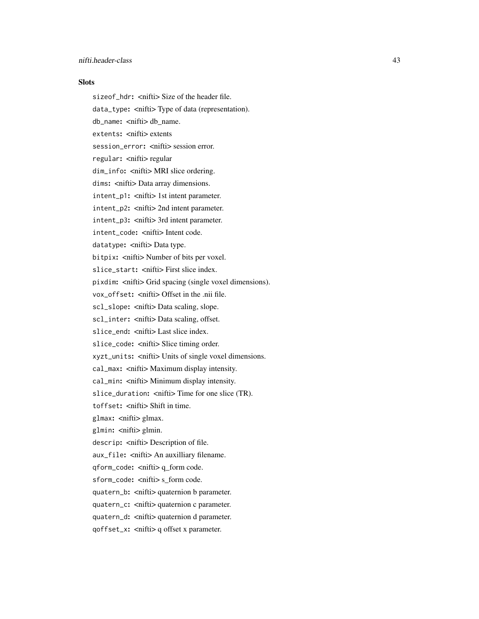#### **Slots**

sizeof\_hdr: <nifti> Size of the header file. data\_type: <nifti> Type of data (representation). db\_name: <nifti> db\_name. extents: < nifti> extents session\_error: <nifti> session error. regular: < nifti> regular dim\_info: <nifti> MRI slice ordering. dims: <nifti> Data array dimensions. intent\_p1: <nifti> 1st intent parameter. intent\_p2: <nifti> 2nd intent parameter. intent\_p3: <nifti> 3rd intent parameter. intent\_code: <nifti> Intent code. datatype: < nifti> Data type. bitpix: <nifti> Number of bits per voxel. slice\_start: <nifti> First slice index. pixdim: <nifti> Grid spacing (single voxel dimensions). vox\_offset: <nifti> Offset in the .nii file. sc1\_slope: <nifti> Data scaling, slope. scl\_inter: <nifti> Data scaling, offset. slice\_end: <nifti> Last slice index. slice\_code: <nifti> Slice timing order. xyzt\_units: <nifti> Units of single voxel dimensions. cal\_max: <nifti> Maximum display intensity. cal\_min: <nifti> Minimum display intensity. slice\_duration: <nifti> Time for one slice (TR). toffset: < nifti> Shift in time. glmax: <nifti> glmax. glmin: <nifti> glmin. descrip: < nifti> Description of file. aux\_file: <nifti> An auxilliary filename. qform\_code: <nifti> q\_form code. sform\_code: <nifti> s\_form code. quatern\_b: <nifti> quaternion b parameter. quatern\_c: < nifti> quaternion c parameter. quatern\_d: < nifti> quaternion d parameter. qoffset\_x: <nifti> q offset x parameter.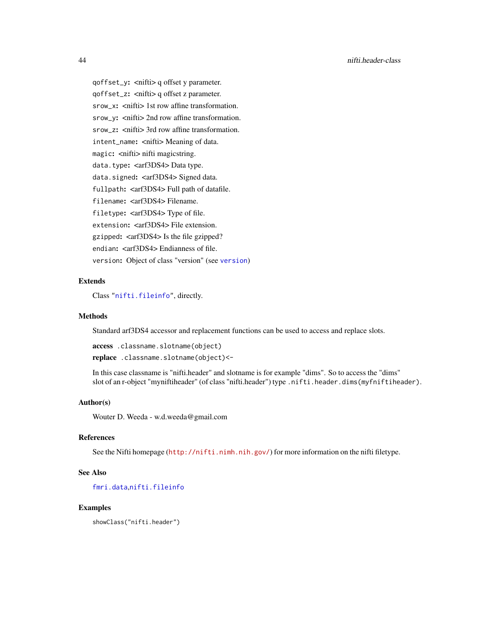qoffset\_y: <nifti> q offset y parameter. qoffset\_z: <nifti> q offset z parameter. srow\_x: <nifti> 1st row affine transformation. srow\_y: <nifti> 2nd row affine transformation. srow\_z: <nifti> 3rd row affine transformation. intent\_name: <nifti>Meaning of data. magic: < nifti> nifti magicstring. data.type: < arf3DS4> Data type. data.signed: <arf3DS4>Signed data. fullpath: <arf3DS4> Full path of datafile. filename: <arf3DS4>Filename. filetype: <arf3DS4> Type of file. extension: <arf3DS4>File extension. gzipped: <arf3DS4> Is the file gzipped? endian: <arf3DS4> Endianness of file. version: Object of class "version" (see [version](#page-62-0))

## Extends

Class ["nifti.fileinfo"](#page-40-0), directly.

#### Methods

Standard arf3DS4 accessor and replacement functions can be used to access and replace slots.

access .classname.slotname(object) replace .classname.slotname(object)<-

In this case classname is "nifti.header" and slotname is for example "dims". So to access the "dims" slot of an r-object "myniftiheader" (of class "nifti.header") type .nifti.header.dims(myfniftiheader).

#### Author(s)

Wouter D. Weeda - w.d.weeda@gmail.com

## References

See the Nifti homepage (<http://nifti.nimh.nih.gov/>) for more information on the nifti filetype.

## See Also

[fmri.data](#page-19-0),[nifti.fileinfo](#page-40-0)

#### Examples

showClass("nifti.header")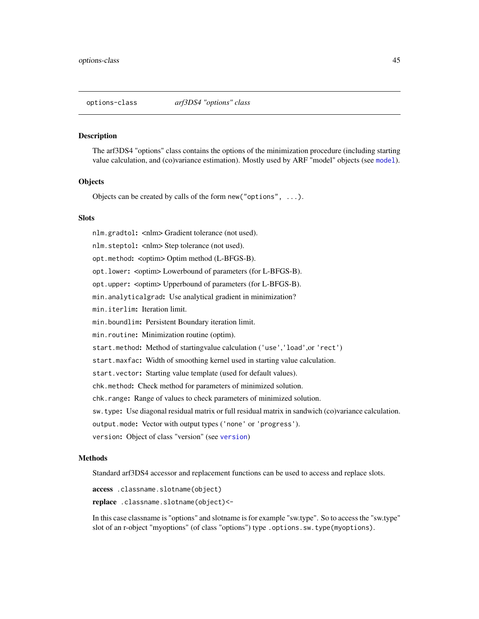<span id="page-44-1"></span><span id="page-44-0"></span>

The arf3DS4 "options" class contains the options of the minimization procedure (including starting value calculation, and (co)variance estimation). Mostly used by ARF "model" objects (see [model](#page-37-0)).

#### **Objects**

Objects can be created by calls of the form new("options", ...).

#### **Slots**

nlm.gradtol: <nlm> Gradient tolerance (not used). nlm.steptol: <nlm> Step tolerance (not used). opt.method: <optim> Optim method (L-BFGS-B). opt.lower: <optim> Lowerbound of parameters (for L-BFGS-B). opt.upper: <optim> Upperbound of parameters (for L-BFGS-B). min.analyticalgrad: Use analytical gradient in minimization? min.iterlim: Iteration limit. min.boundlim: Persistent Boundary iteration limit. min.routine: Minimization routine (optim). start.method: Method of startingvalue calculation ('use','load',or 'rect') start.maxfac: Width of smoothing kernel used in starting value calculation. start.vector: Starting value template (used for default values). chk.method: Check method for parameters of minimized solution. chk.range: Range of values to check parameters of minimized solution. sw.type: Use diagonal residual matrix or full residual matrix in sandwich (co)variance calculation. output.mode: Vector with output types ('none' or 'progress'). version: Object of class "version" (see [version](#page-62-0))

#### Methods

Standard arf3DS4 accessor and replacement functions can be used to access and replace slots.

access .classname.slotname(object)

replace .classname.slotname(object)<-

In this case classname is "options" and slotname is for example "sw.type". So to access the "sw.type" slot of an r-object "myoptions" (of class "options") type .options.sw.type(myoptions).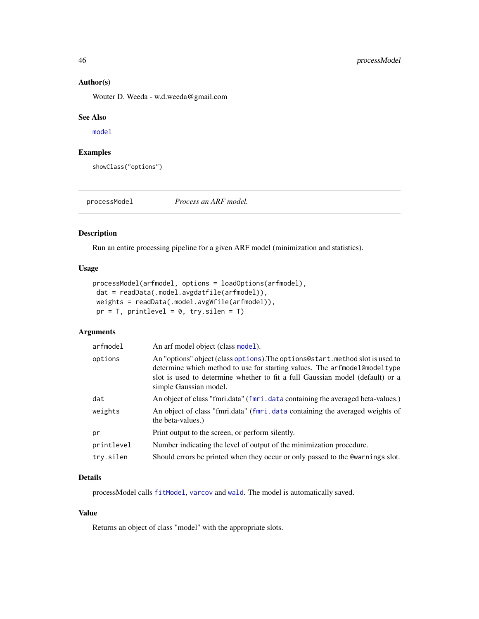#### Author(s)

Wouter D. Weeda - w.d.weeda@gmail.com

#### See Also

[model](#page-37-0)

## Examples

showClass("options")

<span id="page-45-0"></span>processModel *Process an ARF model.*

# Description

Run an entire processing pipeline for a given ARF model (minimization and statistics).

#### Usage

```
processModel(arfmodel, options = loadOptions(arfmodel),
dat = readData(.model.avgdatfile(arfmodel)),
weights = readData(.model.avgWfile(arfmodel)),
pr = T, printlevel = 0, try.silen = T)
```
# Arguments

| arfmodel   | An arf model object (class model).                                                                                                                                                                                                                                     |
|------------|------------------------------------------------------------------------------------------------------------------------------------------------------------------------------------------------------------------------------------------------------------------------|
| options    | An "options" object (class options). The options estart method slot is used to<br>determine which method to use for starting values. The arfmodel@modeltype<br>slot is used to determine whether to fit a full Gaussian model (default) or a<br>simple Gaussian model. |
| dat        | An object of class "fmri.data" (fmri.data containing the averaged beta-values.)                                                                                                                                                                                        |
| weights    | An object of class "fmri.data" (fmri.data containing the averaged weights of<br>the beta-values.)                                                                                                                                                                      |
| pr         | Print output to the screen, or perform silently.                                                                                                                                                                                                                       |
| printlevel | Number indicating the level of output of the minimization procedure.                                                                                                                                                                                                   |
| try.silen  | Should errors be printed when they occur or only passed to the Comernings slot.                                                                                                                                                                                        |

# Details

processModel calls [fitModel](#page-17-0), [varcov](#page-61-0) and [wald](#page-63-0). The model is automatically saved.

# Value

Returns an object of class "model" with the appropriate slots.

<span id="page-45-1"></span>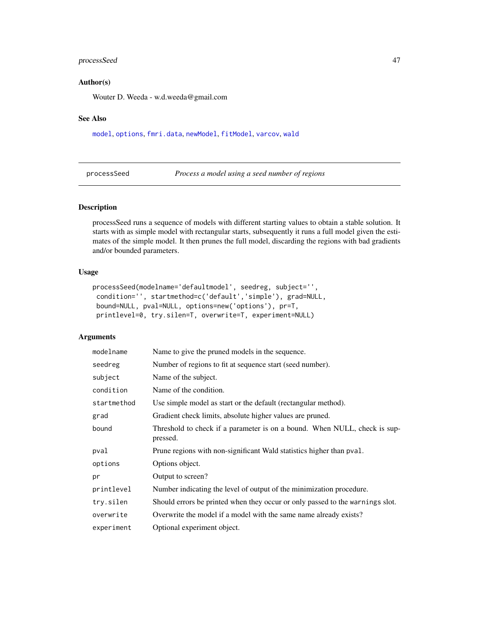# <span id="page-46-1"></span>processSeed 47

## Author(s)

Wouter D. Weeda - w.d.weeda@gmail.com

#### See Also

[model](#page-37-0), [options](#page-44-0), [fmri.data](#page-19-0), [newModel](#page-39-0), [fitModel](#page-17-0), [varcov](#page-61-0), [wald](#page-63-0)

<span id="page-46-0"></span>processSeed *Process a model using a seed number of regions*

# Description

processSeed runs a sequence of models with different starting values to obtain a stable solution. It starts with as simple model with rectangular starts, subsequently it runs a full model given the estimates of the simple model. It then prunes the full model, discarding the regions with bad gradients and/or bounded parameters.

## Usage

```
processSeed(modelname='defaultmodel', seedreg, subject='',
condition='', startmethod=c('default','simple'), grad=NULL,
bound=NULL, pval=NULL, options=new('options'), pr=T,
printlevel=0, try.silen=T, overwrite=T, experiment=NULL)
```
# Arguments

| modelname   | Name to give the pruned models in the sequence.                                       |
|-------------|---------------------------------------------------------------------------------------|
| seedreg     | Number of regions to fit at sequence start (seed number).                             |
| subject     | Name of the subject.                                                                  |
| condition   | Name of the condition.                                                                |
| startmethod | Use simple model as start or the default (rectangular method).                        |
| grad        | Gradient check limits, absolute higher values are pruned.                             |
| bound       | Threshold to check if a parameter is on a bound. When NULL, check is sup-<br>pressed. |
| pval        | Prune regions with non-significant Wald statistics higher than pval.                  |
| options     | Options object.                                                                       |
| pr          | Output to screen?                                                                     |
| printlevel  | Number indicating the level of output of the minimization procedure.                  |
| try.silen   | Should errors be printed when they occur or only passed to the warnings slot.         |
| overwrite   | Overwrite the model if a model with the same name already exists?                     |
| experiment  | Optional experiment object.                                                           |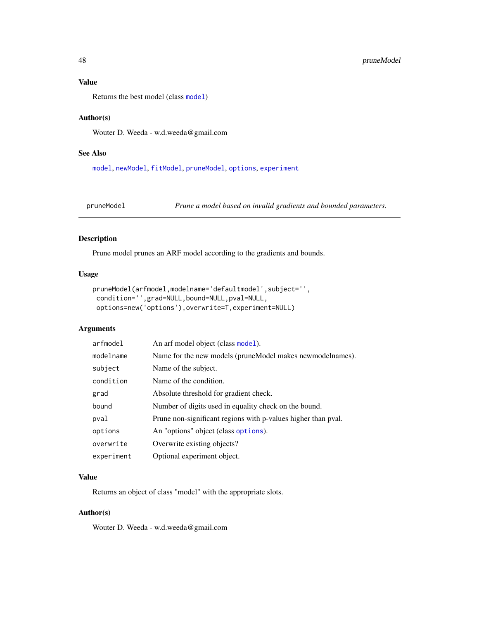## Value

Returns the best model (class [model](#page-37-0))

## Author(s)

Wouter D. Weeda - w.d.weeda@gmail.com

## See Also

[model](#page-37-0), [newModel](#page-39-0), [fitModel](#page-17-0), [pruneModel](#page-47-0), [options](#page-44-0), [experiment](#page-13-0)

```
pruneModel Prune a model based on invalid gradients and bounded parameters.
```
## Description

Prune model prunes an ARF model according to the gradients and bounds.

#### Usage

```
pruneModel(arfmodel,modelname='defaultmodel',subject='',
condition='',grad=NULL,bound=NULL,pval=NULL,
options=new('options'),overwrite=T,experiment=NULL)
```
# Arguments

| arfmodel   | An arf model object (class model).                            |
|------------|---------------------------------------------------------------|
| modelname  | Name for the new models (pruneModel makes newmodelnames).     |
| subject    | Name of the subject.                                          |
| condition  | Name of the condition.                                        |
| grad       | Absolute threshold for gradient check.                        |
| bound      | Number of digits used in equality check on the bound.         |
| pval       | Prune non-significant regions with p-values higher than pval. |
| options    | An "options" object (class options).                          |
| overwrite  | Overwrite existing objects?                                   |
| experiment | Optional experiment object.                                   |

## Value

Returns an object of class "model" with the appropriate slots.

## Author(s)

Wouter D. Weeda - w.d.weeda@gmail.com

<span id="page-47-1"></span>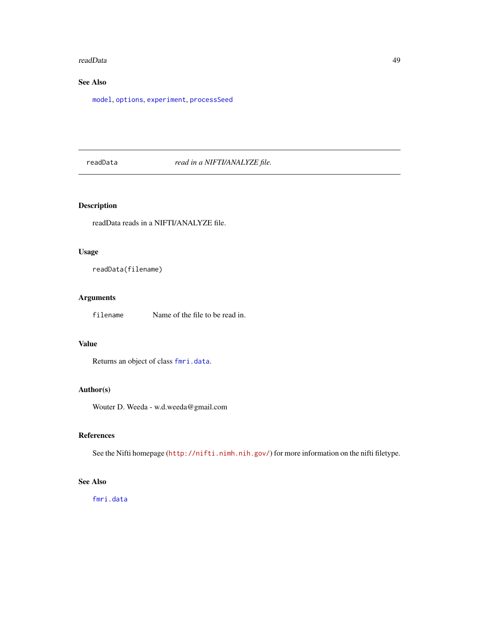#### <span id="page-48-1"></span>readData 49

# See Also

[model](#page-37-0), [options](#page-44-0), [experiment](#page-13-0), [processSeed](#page-46-0)

## <span id="page-48-0"></span>readData *read in a NIFTI/ANALYZE file.*

# Description

readData reads in a NIFTI/ANALYZE file.

# Usage

readData(filename)

# Arguments

filename Name of the file to be read in.

# Value

Returns an object of class [fmri.data](#page-19-0).

## Author(s)

Wouter D. Weeda - w.d.weeda@gmail.com

## References

See the Nifti homepage (<http://nifti.nimh.nih.gov/>) for more information on the nifti filetype.

# See Also

[fmri.data](#page-19-0)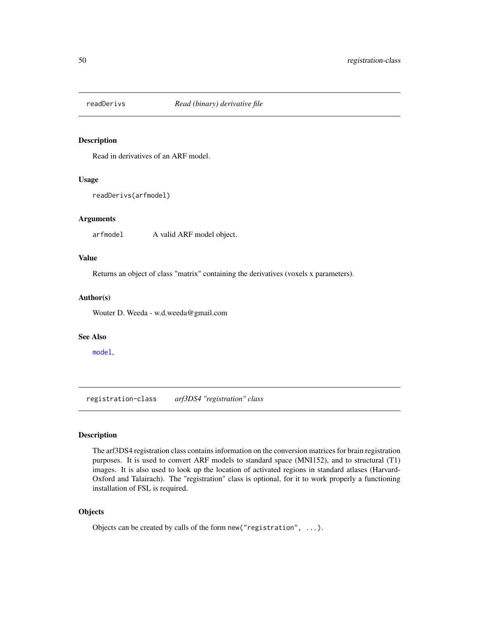<span id="page-49-1"></span>

Read in derivatives of an ARF model.

## Usage

readDerivs(arfmodel)

## Arguments

arfmodel A valid ARF model object.

## Value

Returns an object of class "matrix" containing the derivatives (voxels x parameters).

## Author(s)

Wouter D. Weeda - w.d.weeda@gmail.com

#### See Also

[model](#page-37-0),

<span id="page-49-0"></span>registration-class *arf3DS4 "registration" class*

## Description

The arf3DS4 registration class contains information on the conversion matrices for brain registration purposes. It is used to convert ARF models to standard space (MNI152), and to structural (T1) images. It is also used to look up the location of activated regions in standard atlases (Harvard-Oxford and Talairach). The "registration" class is optional, for it to work properly a functioning installation of FSL is required.

## **Objects**

Objects can be created by calls of the form new("registration", ...).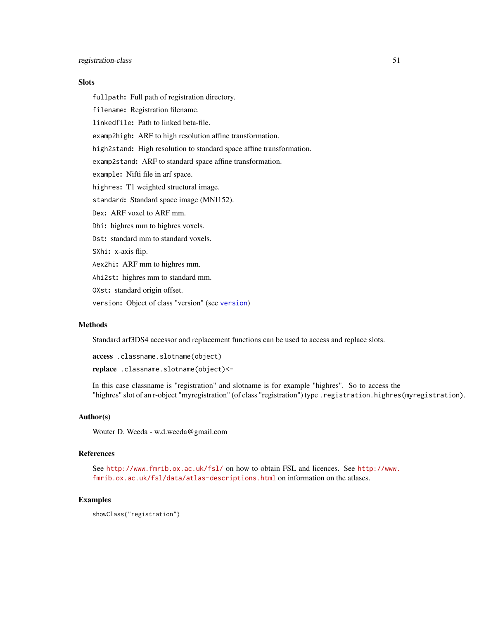## **Slots**

fullpath: Full path of registration directory.

filename: Registration filename.

linkedfile: Path to linked beta-file.

examp2high: ARF to high resolution affine transformation.

high2stand: High resolution to standard space affine transformation.

examp2stand: ARF to standard space affine transformation.

example: Nifti file in arf space.

highres: T1 weighted structural image.

standard: Standard space image (MNI152).

Dex: ARF voxel to ARF mm.

Dhi: highres mm to highres voxels.

Dst: standard mm to standard voxels.

SXhi: x-axis flip.

Aex2hi: ARF mm to highres mm.

Ahi2st: highres mm to standard mm.

OXst: standard origin offset.

version: Object of class "version" (see [version](#page-62-0))

## Methods

Standard arf3DS4 accessor and replacement functions can be used to access and replace slots.

access .classname.slotname(object)

replace .classname.slotname(object)<-

In this case classname is "registration" and slotname is for example "highres". So to access the "highres" slot of an r-object "myregistration" (of class "registration") type .registration.highres(myregistration).

#### Author(s)

Wouter D. Weeda - w.d.weeda@gmail.com

#### References

See <http://www.fmrib.ox.ac.uk/fsl/> on how to obtain FSL and licences. See [http://www.](http://www.fmrib.ox.ac.uk/fsl/data/atlas-descriptions.html) [fmrib.ox.ac.uk/fsl/data/atlas-descriptions.html](http://www.fmrib.ox.ac.uk/fsl/data/atlas-descriptions.html) on information on the atlases.

#### Examples

showClass("registration")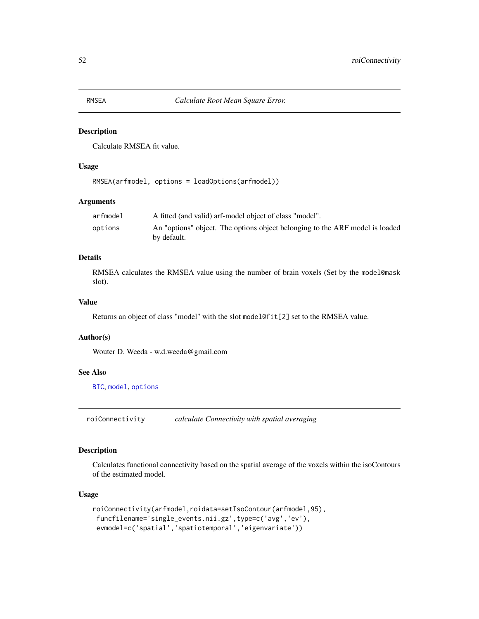<span id="page-51-1"></span>Calculate RMSEA fit value.

## Usage

RMSEA(arfmodel, options = loadOptions(arfmodel))

# Arguments

| arfmodel | A fitted (and valid) arf-model object of class "model".                                     |
|----------|---------------------------------------------------------------------------------------------|
| options  | An "options" object. The options object belonging to the ARF model is loaded<br>by default. |

## Details

RMSEA calculates the RMSEA value using the number of brain voxels (Set by the model@mask slot).

# Value

Returns an object of class "model" with the slot model@fit[2] set to the RMSEA value.

## Author(s)

Wouter D. Weeda - w.d.weeda@gmail.com

# See Also

[BIC](#page-5-0), [model](#page-37-0), [options](#page-44-0)

<span id="page-51-0"></span>roiConnectivity *calculate Connectivity with spatial averaging*

## Description

Calculates functional connectivity based on the spatial average of the voxels within the isoContours of the estimated model.

## Usage

```
roiConnectivity(arfmodel,roidata=setIsoContour(arfmodel,95),
funcfilename='single_events.nii.gz',type=c('avg','ev'),
evmodel=c('spatial','spatiotemporal','eigenvariate'))
```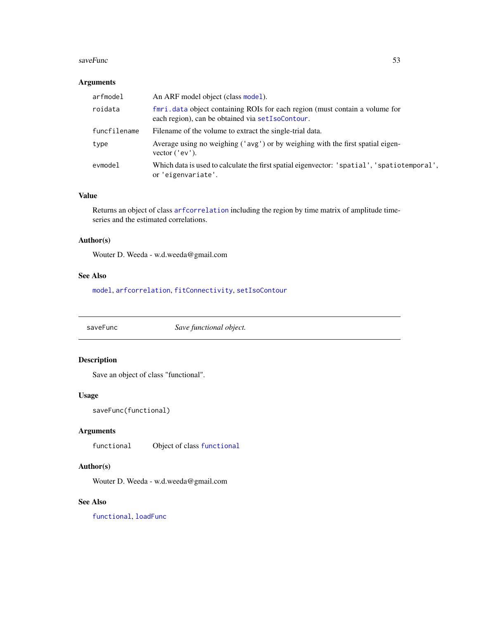#### <span id="page-52-0"></span>saveFunc 53

## Arguments

| arfmodel     | An ARF model object (class model).                                                                                               |
|--------------|----------------------------------------------------------------------------------------------------------------------------------|
| roidata      | fmri, data object containing ROIs for each region (must contain a volume for<br>each region), can be obtained via setIsoContour. |
| funcfilename | Filename of the volume to extract the single-trial data.                                                                         |
| type         | Average using no weighing ('avg') or by weighing with the first spatial eigen-<br>vector $('ev').$                               |
| evmodel      | Which data is used to calculate the first spatial eigenvector: 'spatial', 'spatiotemporal',<br>or 'eigenvariate'.                |

# Value

Returns an object of class [arfcorrelation](#page-4-0) including the region by time matrix of amplitude timeseries and the estimated correlations.

# Author(s)

Wouter D. Weeda - w.d.weeda@gmail.com

# See Also

[model](#page-37-0), [arfcorrelation](#page-4-0), [fitConnectivity](#page-16-0), [setIsoContour](#page-57-0)

saveFunc *Save functional object.*

# Description

Save an object of class "functional".

# Usage

```
saveFunc(functional)
```
# Arguments

functional Object of class [functional](#page-22-0)

# Author(s)

Wouter D. Weeda - w.d.weeda@gmail.com

## See Also

[functional](#page-22-0), [loadFunc](#page-27-0)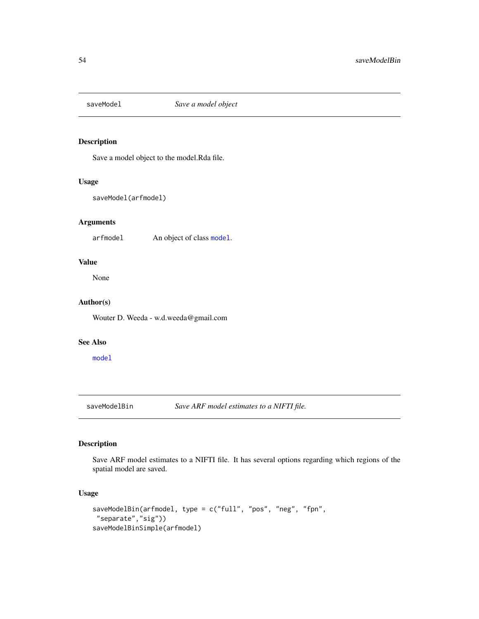<span id="page-53-0"></span>

Save a model object to the model.Rda file.

## Usage

```
saveModel(arfmodel)
```
# Arguments

arfmodel An object of class [model](#page-37-0).

## Value

None

# Author(s)

Wouter D. Weeda - w.d.weeda@gmail.com

## See Also

[model](#page-37-0)

saveModelBin *Save ARF model estimates to a NIFTI file.*

## Description

Save ARF model estimates to a NIFTI file. It has several options regarding which regions of the spatial model are saved.

## Usage

```
saveModelBin(arfmodel, type = c("full", "pos", "neg", "fpn",
"separate","sig"))
saveModelBinSimple(arfmodel)
```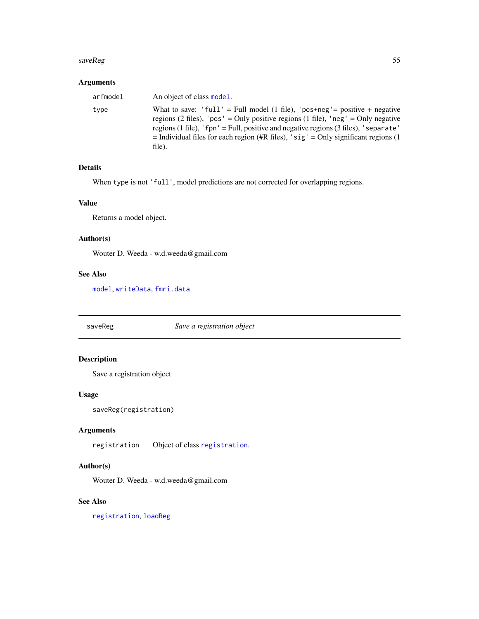#### <span id="page-54-0"></span>saveReg 55

# Arguments

| arfmodel | An object of class model.                                                                                                                                                                                                                                                                                                                                    |
|----------|--------------------------------------------------------------------------------------------------------------------------------------------------------------------------------------------------------------------------------------------------------------------------------------------------------------------------------------------------------------|
| type     | What to save: 'full' = Full model (1 file), 'pos+neg' = positive + negative<br>regions (2 files), 'pos' = Only positive regions (1 file), 'neg' = Only negative<br>regions $(1$ file), 'fpn' = Full, positive and negative regions $(3$ files), 'separate'<br>$=$ Individual files for each region (#R files), 'sig' = Only significant regions (1<br>file). |

# Details

When type is not 'full', model predictions are not corrected for overlapping regions.

# Value

Returns a model object.

# Author(s)

Wouter D. Weeda - w.d.weeda@gmail.com

#### See Also

[model](#page-37-0), [writeData](#page-65-0), [fmri.data](#page-19-0)

saveReg *Save a registration object*

# Description

Save a registration object

# Usage

```
saveReg(registration)
```
## Arguments

registration Object of class [registration](#page-49-0).

## Author(s)

Wouter D. Weeda - w.d.weeda@gmail.com

## See Also

[registration](#page-49-0), [loadReg](#page-29-0)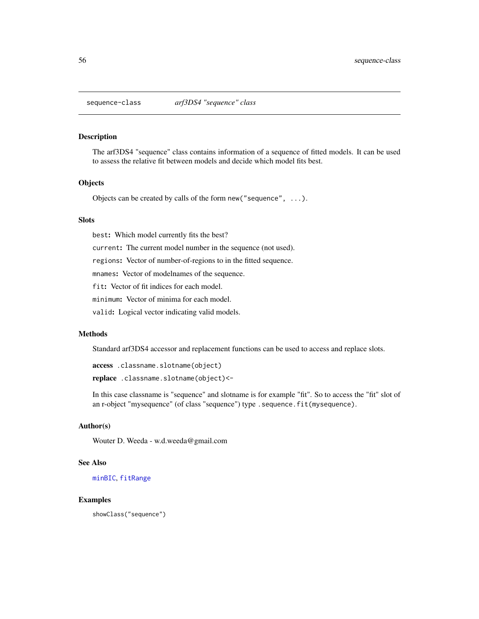<span id="page-55-1"></span><span id="page-55-0"></span>

The arf3DS4 "sequence" class contains information of a sequence of fitted models. It can be used to assess the relative fit between models and decide which model fits best.

### **Objects**

Objects can be created by calls of the form new ("sequence",  $\dots$ ).

## **Slots**

best: Which model currently fits the best?

current: The current model number in the sequence (not used).

regions: Vector of number-of-regions to in the fitted sequence.

mnames: Vector of modelnames of the sequence.

fit: Vector of fit indices for each model.

minimum: Vector of minima for each model.

valid: Logical vector indicating valid models.

#### Methods

Standard arf3DS4 accessor and replacement functions can be used to access and replace slots.

access .classname.slotname(object)

replace .classname.slotname(object)<-

In this case classname is "sequence" and slotname is for example "fit". So to access the "fit" slot of an r-object "mysequence" (of class "sequence") type .sequence.fit(mysequence).

## Author(s)

Wouter D. Weeda - w.d.weeda@gmail.com

## See Also

[minBIC](#page-36-0), [fitRange](#page-18-0)

## Examples

showClass("sequence")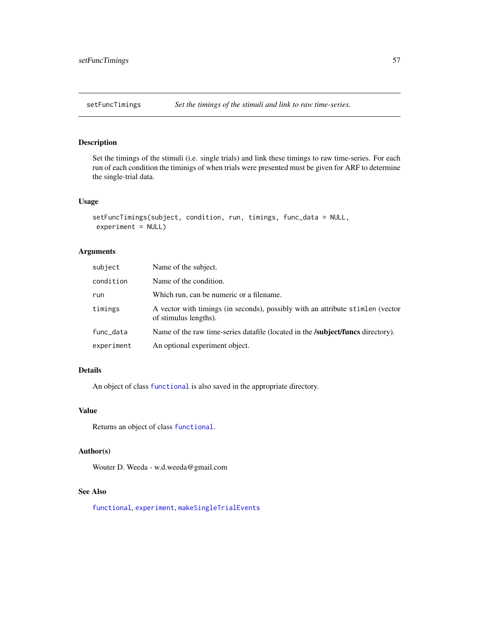<span id="page-56-0"></span>Set the timings of the stimuli (i.e. single trials) and link these timings to raw time-series. For each run of each condition the timinigs of when trials were presented must be given for ARF to determine the single-trial data.

## Usage

```
setFuncTimings(subject, condition, run, timings, func_data = NULL,
experiment = NULL)
```
### Arguments

| subject    | Name of the subject.                                                                                    |
|------------|---------------------------------------------------------------------------------------------------------|
| condition  | Name of the condition.                                                                                  |
| run        | Which run, can be numeric or a filename.                                                                |
| timings    | A vector with timings (in seconds), possibly with an attribute stimlen (vector<br>of stimulus lengths). |
| func_data  | Name of the raw time-series datafile (located in the <b>/subject/funcs</b> directory).                  |
| experiment | An optional experiment object.                                                                          |

# Details

An object of class [functional](#page-22-0) is also saved in the appropriate directory.

### Value

Returns an object of class [functional](#page-22-0).

## Author(s)

Wouter D. Weeda - w.d.weeda@gmail.com

## See Also

[functional](#page-22-0), [experiment](#page-13-0), [makeSingleTrialEvents](#page-34-0)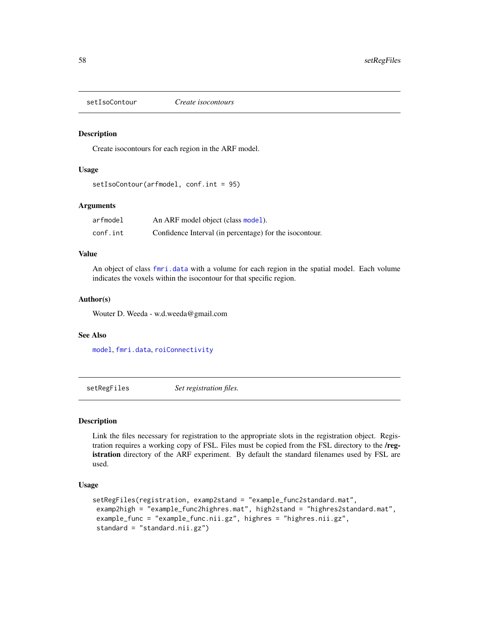<span id="page-57-2"></span><span id="page-57-0"></span>

Create isocontours for each region in the ARF model.

## Usage

setIsoContour(arfmodel, conf.int = 95)

# Arguments

| arfmodel | An ARF model object (class model).                      |
|----------|---------------------------------------------------------|
| conf.int | Confidence Interval (in percentage) for the isocontour. |

# Value

An object of class [fmri.data](#page-19-0) with a volume for each region in the spatial model. Each volume indicates the voxels within the isocontour for that specific region.

#### Author(s)

Wouter D. Weeda - w.d.weeda@gmail.com

## See Also

[model](#page-37-0), [fmri.data](#page-19-0), [roiConnectivity](#page-51-0)

<span id="page-57-1"></span>setRegFiles *Set registration files.*

## Description

Link the files necessary for registration to the appropriate slots in the registration object. Registration requires a working copy of FSL. Files must be copied from the FSL directory to the /registration directory of the ARF experiment. By default the standard filenames used by FSL are used.

## Usage

```
setRegFiles(registration, examp2stand = "example_func2standard.mat",
examp2high = "example_func2highres.mat", high2stand = "highres2standard.mat",
example_func = "example_func.nii.gz", highres = "highres.nii.gz",
standard = "standard.nii.gz")
```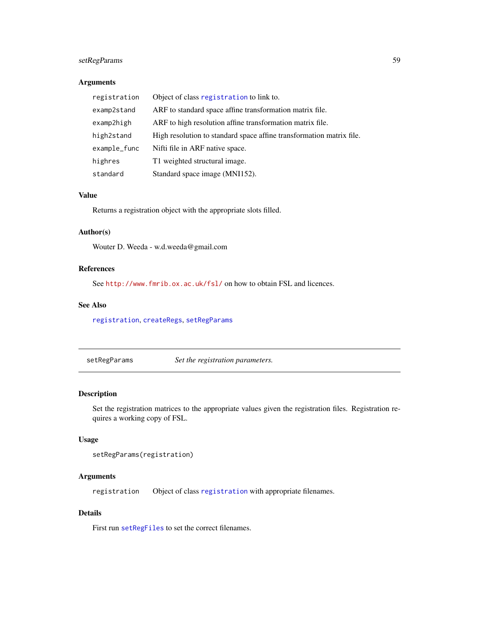# <span id="page-58-1"></span>setRegParams 59

## Arguments

| registration | Object of class registration to link to.                             |
|--------------|----------------------------------------------------------------------|
| examp2stand  | ARF to standard space affine transformation matrix file.             |
| examp2high   | ARF to high resolution affine transformation matrix file.            |
| high2stand   | High resolution to standard space affine transformation matrix file. |
| example_func | Nifti file in ARF native space.                                      |
| highres      | T1 weighted structural image.                                        |
| standard     | Standard space image (MNI152).                                       |

## Value

Returns a registration object with the appropriate slots filled.

## Author(s)

Wouter D. Weeda - w.d.weeda@gmail.com

## References

See <http://www.fmrib.ox.ac.uk/fsl/> on how to obtain FSL and licences.

## See Also

[registration](#page-49-0), [createRegs](#page-9-0), [setRegParams](#page-58-0)

<span id="page-58-0"></span>setRegParams *Set the registration parameters.*

## Description

Set the registration matrices to the appropriate values given the registration files. Registration requires a working copy of FSL.

## Usage

```
setRegParams(registration)
```
# Arguments

registration Object of class [registration](#page-49-0) with appropriate filenames.

# Details

First run [setRegFiles](#page-57-1) to set the correct filenames.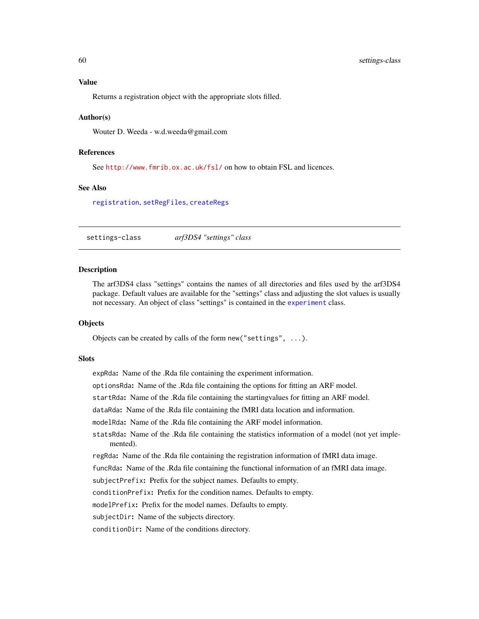## <span id="page-59-0"></span>Value

Returns a registration object with the appropriate slots filled.

#### Author(s)

Wouter D. Weeda - w.d.weeda@gmail.com

## References

See <http://www.fmrib.ox.ac.uk/fsl/> on how to obtain FSL and licences.

### See Also

[registration](#page-49-0), [setRegFiles](#page-57-1), [createRegs](#page-9-0)

settings-class *arf3DS4 "settings" class*

#### Description

The arf3DS4 class "settings" contains the names of all directories and files used by the arf3DS4 package. Default values are available for the "settings" class and adjusting the slot values is usually not necessary. An object of class "settings" is contained in the [experiment](#page-13-0) class.

### **Objects**

Objects can be created by calls of the form new("settings", ...).

#### **Slots**

expRda: Name of the .Rda file containing the experiment information.

optionsRda: Name of the .Rda file containing the options for fitting an ARF model.

startRda: Name of the .Rda file containing the startingvalues for fitting an ARF model.

dataRda: Name of the .Rda file containing the fMRI data location and information.

modelRda: Name of the .Rda file containing the ARF model information.

statsRda: Name of the .Rda file containing the statistics information of a model (not yet implemented).

regRda: Name of the .Rda file containing the registration information of fMRI data image.

funcRda: Name of the .Rda file containing the functional information of an fMRI data image.

subjectPrefix: Prefix for the subject names. Defaults to empty.

conditionPrefix: Prefix for the condition names. Defaults to empty.

modelPrefix: Prefix for the model names. Defaults to empty.

subjectDir: Name of the subjects directory.

conditionDir: Name of the conditions directory.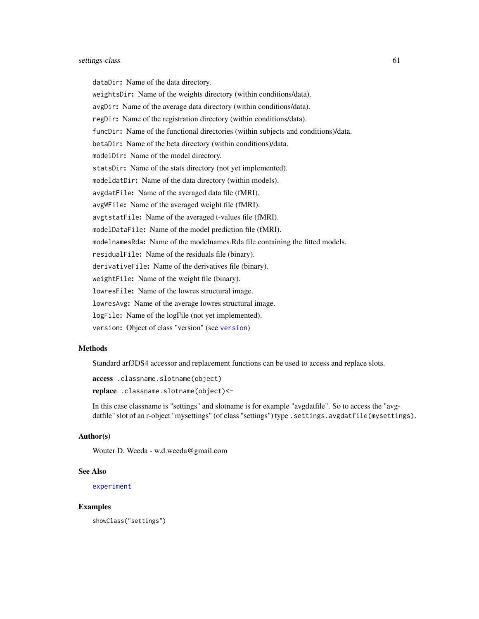#### settings-class 61

dataDir: Name of the data directory.

weightsDir: Name of the weights directory (within conditions/data). avgDir: Name of the average data directory (within conditions/data). regDir: Name of the registration directory (within conditions/data). funcDir: Name of the functional directories (within subjects and conditions)/data. betaDir: Name of the beta directory (within conditions)/data. modelDir: Name of the model directory. statsDir: Name of the stats directory (not yet implemented). modeldatDir: Name of the data directory (within models). avgdatFile: Name of the averaged data file (fMRI). avgWFile: Name of the averaged weight file (fMRI). avgtstatFile: Name of the averaged t-values file (fMRI). modelDataFile: Name of the model prediction file (fMRI). modelnamesRda: Name of the modelnames.Rda file containing the fitted models. residualFile: Name of the residuals file (binary). derivativeFile: Name of the derivatives file (binary). weightFile: Name of the weight file (binary). lowresFile: Name of the lowres structural image. lowresAvg: Name of the average lowres structural image. logFile: Name of the logFile (not yet implemented). version: Object of class "version" (see [version](#page-62-0))

#### Methods

Standard arf3DS4 accessor and replacement functions can be used to access and replace slots.

access .classname.slotname(object)

replace .classname.slotname(object)<-

In this case classname is "settings" and slotname is for example "avgdatfile". So to access the "avgdatfile" slot of an r-object "mysettings" (of class "settings") type . settings. avgdatfile(mysettings).

#### Author(s)

Wouter D. Weeda - w.d.weeda@gmail.com

#### See Also

[experiment](#page-13-0)

#### Examples

showClass("settings")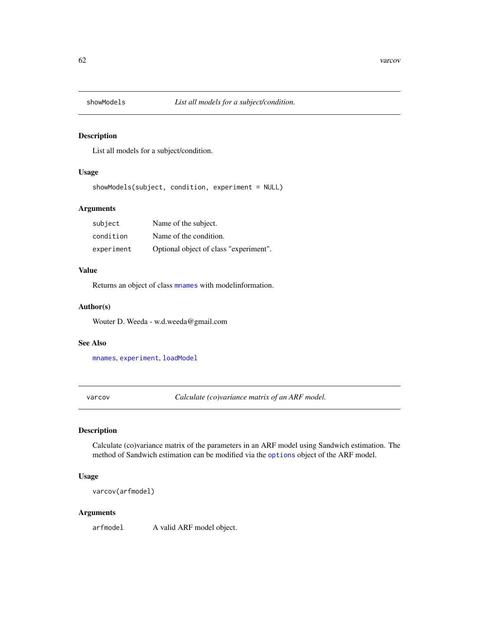<span id="page-61-1"></span>

List all models for a subject/condition.

# Usage

showModels(subject, condition, experiment = NULL)

## Arguments

| subject    | Name of the subject.                   |
|------------|----------------------------------------|
| condition  | Name of the condition.                 |
| experiment | Optional object of class "experiment". |

## Value

Returns an object of class [mnames](#page-36-1) with modelinformation.

## Author(s)

Wouter D. Weeda - w.d.weeda@gmail.com

#### See Also

[mnames](#page-36-1), [experiment](#page-13-0), [loadModel](#page-27-1)

<span id="page-61-0"></span>varcov *Calculate (co)variance matrix of an ARF model.*

# Description

Calculate (co)variance matrix of the parameters in an ARF model using Sandwich estimation. The method of Sandwich estimation can be modified via the [options](#page-44-0) object of the ARF model.

# Usage

varcov(arfmodel)

## Arguments

arfmodel A valid ARF model object.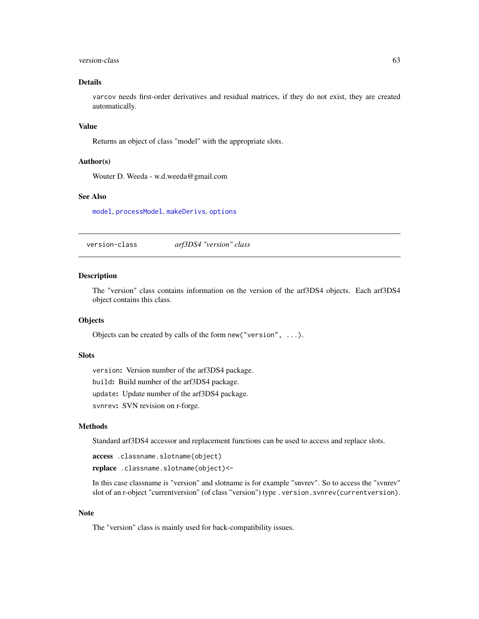#### <span id="page-62-1"></span>version-class 63

## Details

varcov needs first-order derivatives and residual matrices, if they do not exist, they are created automatically.

## Value

Returns an object of class "model" with the appropriate slots.

## Author(s)

Wouter D. Weeda - w.d.weeda@gmail.com

## See Also

[model](#page-37-0), [processModel](#page-45-0), [makeDerivs](#page-31-0), [options](#page-44-0)

<span id="page-62-0"></span>version-class *arf3DS4 "version" class*

#### **Description**

The "version" class contains information on the version of the arf3DS4 objects. Each arf3DS4 object contains this class.

#### **Objects**

Objects can be created by calls of the form new("version", ...).

#### **Slots**

version: Version number of the arf3DS4 package. build: Build number of the arf3DS4 package. update: Update number of the arf3DS4 package. svnrev: SVN revision on r-forge.

#### Methods

Standard arf3DS4 accessor and replacement functions can be used to access and replace slots.

access .classname.slotname(object)

replace .classname.slotname(object)<-

In this case classname is "version" and slotname is for example "snvrev". So to access the "svnrev" slot of an r-object "currentversion" (of class "version") type .version.svnrev(currentversion).

## Note

The "version" class is mainly used for back-compatibility issues.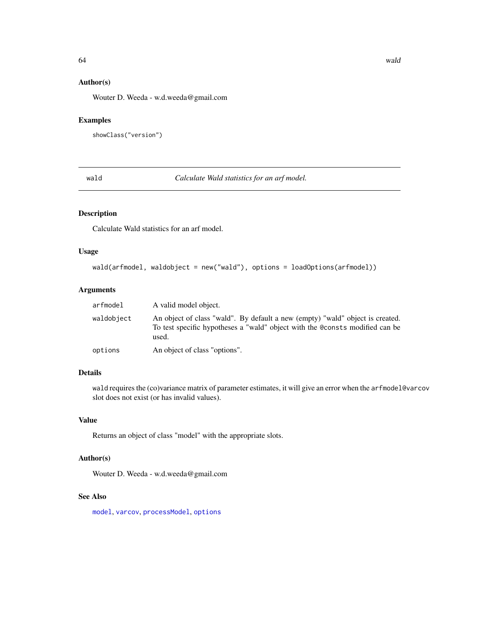# <span id="page-63-1"></span>Author(s)

Wouter D. Weeda - w.d.weeda@gmail.com

# Examples

```
showClass("version")
```
<span id="page-63-0"></span>wald *Calculate Wald statistics for an arf model.*

# Description

Calculate Wald statistics for an arf model.

## Usage

```
wald(arfmodel, waldobject = new("wald"), options = loadOptions(arfmodel))
```
# Arguments

| arfmodel   | A valid model object.                                                                                                                                                  |
|------------|------------------------------------------------------------------------------------------------------------------------------------------------------------------------|
| waldobject | An object of class "wald". By default a new (empty) "wald" object is created.<br>To test specific hypotheses a "wald" object with the @consts modified can be<br>used. |
| options    | An object of class "options".                                                                                                                                          |

# Details

wald requires the (co)variance matrix of parameter estimates, it will give an error when the arfmodel@varcov slot does not exist (or has invalid values).

# Value

Returns an object of class "model" with the appropriate slots.

## Author(s)

Wouter D. Weeda - w.d.weeda@gmail.com

## See Also

[model](#page-37-0), [varcov](#page-61-0), [processModel](#page-45-0), [options](#page-44-0)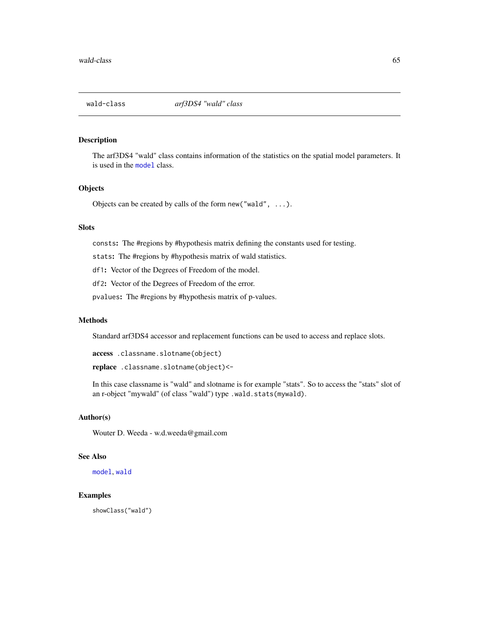<span id="page-64-1"></span><span id="page-64-0"></span>

The arf3DS4 "wald" class contains information of the statistics on the spatial model parameters. It is used in the [model](#page-37-0) class.

## **Objects**

Objects can be created by calls of the form new ("wald",  $\dots$ ).

## Slots

consts: The #regions by #hypothesis matrix defining the constants used for testing.

stats: The #regions by #hypothesis matrix of wald statistics.

df1: Vector of the Degrees of Freedom of the model.

df2: Vector of the Degrees of Freedom of the error.

pvalues: The #regions by #hypothesis matrix of p-values.

## **Methods**

Standard arf3DS4 accessor and replacement functions can be used to access and replace slots.

access .classname.slotname(object)

replace .classname.slotname(object)<-

In this case classname is "wald" and slotname is for example "stats". So to access the "stats" slot of an r-object "mywald" (of class "wald") type .wald.stats(mywald).

# Author(s)

Wouter D. Weeda - w.d.weeda@gmail.com

# See Also

[model](#page-37-0), [wald](#page-63-0)

#### Examples

showClass("wald")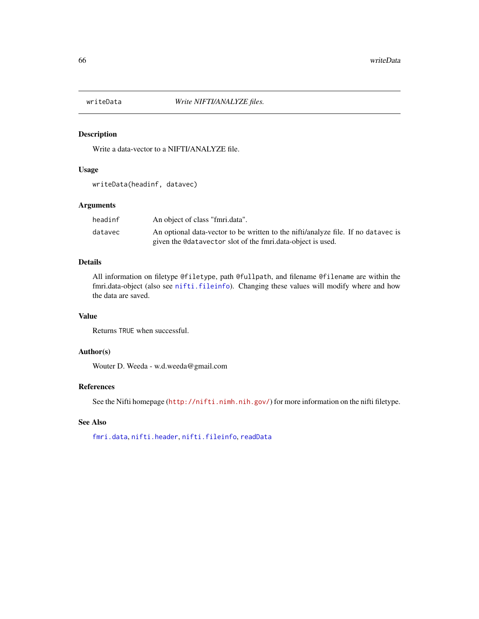<span id="page-65-1"></span><span id="page-65-0"></span>

Write a data-vector to a NIFTI/ANALYZE file.

## Usage

writeData(headinf, datavec)

# Arguments

| headinf | An object of class "fmri.data".                                                   |
|---------|-----------------------------------------------------------------------------------|
| datavec | An optional data-vector to be written to the nifti/analyze file. If no datavec is |
|         | given the Colatavector slot of the fmri.data-object is used.                      |

# Details

All information on filetype @filetype, path @fullpath, and filename @filename are within the fmri.data-object (also see [nifti.fileinfo](#page-40-0)). Changing these values will modify where and how the data are saved.

## Value

Returns TRUE when successful.

#### Author(s)

Wouter D. Weeda - w.d.weeda@gmail.com

# References

See the Nifti homepage (<http://nifti.nimh.nih.gov/>) for more information on the nifti filetype.

# See Also

[fmri.data](#page-19-0), [nifti.header](#page-41-0), [nifti.fileinfo](#page-40-0), [readData](#page-48-0)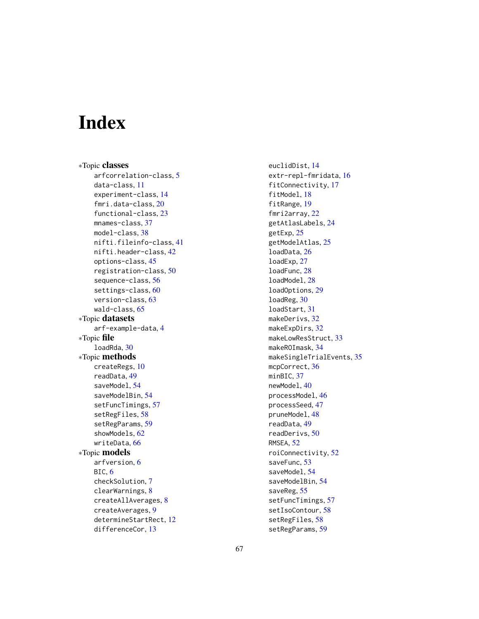# **Index**

∗Topic classes arfcorrelation-class, [5](#page-4-1) data-class, [11](#page-10-1) experiment-class, [14](#page-13-1) fmri.data-class, [20](#page-19-1) functional-class, [23](#page-22-1) mnames-class, [37](#page-36-2) model-class, [38](#page-37-1) nifti.fileinfo-class, [41](#page-40-1) nifti.header-class, [42](#page-41-1) options-class, [45](#page-44-1) registration-class, [50](#page-49-1) sequence-class, [56](#page-55-1) settings-class, [60](#page-59-0) version-class, [63](#page-62-1) wald-class, [65](#page-64-1) ∗Topic datasets arf-example-data, [4](#page-3-0) ∗Topic file loadRda, [30](#page-29-1) ∗Topic methods createRegs, [10](#page-9-1) readData, [49](#page-48-1) saveModel, [54](#page-53-0) saveModelBin, [54](#page-53-0) setFuncTimings, [57](#page-56-0) setRegFiles, [58](#page-57-2) setRegParams, [59](#page-58-1) showModels, [62](#page-61-1) writeData, [66](#page-65-1) ∗Topic models arfversion, [6](#page-5-1) BIC, [6](#page-5-1) checkSolution, [7](#page-6-0) clearWarnings, [8](#page-7-0) createAllAverages, [8](#page-7-0) createAverages, [9](#page-8-0) determineStartRect, [12](#page-11-0) differenceCor, [13](#page-12-0)

euclidDist, [14](#page-13-1) extr-repl-fmridata, [16](#page-15-0) fitConnectivity, [17](#page-16-1) fitModel, [18](#page-17-1) fitRange, [19](#page-18-1) fmri2array, [22](#page-21-0) getAtlasLabels, [24](#page-23-0) getExp, [25](#page-24-0) getModelAtlas, [25](#page-24-0) loadData, [26](#page-25-0) loadExp, [27](#page-26-0) loadFunc, [28](#page-27-2) loadModel, [28](#page-27-2) loadOptions, [29](#page-28-0) loadReg, [30](#page-29-1) loadStart, [31](#page-30-0) makeDerivs, [32](#page-31-1) makeExpDirs, [32](#page-31-1) makeLowResStruct, [33](#page-32-0) makeROImask, [34](#page-33-0) makeSingleTrialEvents, [35](#page-34-1) mcpCorrect, [36](#page-35-0) minBIC, [37](#page-36-2) newModel, [40](#page-39-1) processModel, [46](#page-45-1) processSeed, [47](#page-46-1) pruneModel, [48](#page-47-1) readData, [49](#page-48-1) readDerivs, [50](#page-49-1) RMSEA, [52](#page-51-1) roiConnectivity, [52](#page-51-1) saveFunc, [53](#page-52-0) saveModel, [54](#page-53-0) saveModelBin, [54](#page-53-0) saveReg, [55](#page-54-0) setFuncTimings, [57](#page-56-0) setIsoContour, [58](#page-57-2) setRegFiles, [58](#page-57-2) setRegParams, [59](#page-58-1)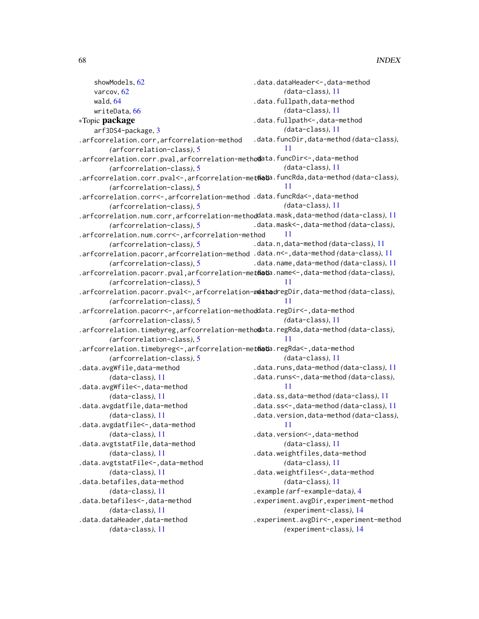```
showModels, 62
    varcov, 62
    wald, 64
    writeData, 66
∗Topic package
    arf3DS4-package, 3
.arfcorrelation.corr,arfcorrelation-method
        (arfcorrelation-class), 5
.arfcorrelation.corr.pval, arfcorrelation-methodata.funcDir<-,data-method
        (arfcorrelation-class), 5
.arfcorrelation.corr.pval<-,arfcorrelation-metdata.funcRda,data-method (data-class),
        (arfcorrelation-class), 5
.arfcorrelation.corr<-,arfcorrelation-method
.data.funcRda<-,data-method
        (arfcorrelation-class), 5
.arfcorrelation.num.corr,arfcorrelation-methoddata.mask,data-method (data-class)11
        (arfcorrelation-class), 5
.arfcorrelation.num.corr<-,arfcorrelation-method
        (arfcorrelation-class), 5
.arfcorrelation.pacorr,arfcorrelation-method
.data.n<-,data-method (data-class), 11
        (arfcorrelation-class), 5
.arfcorrelation.pacorr.pval,arfcorrelation-methoda.name<-,data-method (data-class),
        (arfcorrelation-class), 5
.arfcorrelation.pacorr.pval<-,arfcorrelation-method regDir,data-method (data-class),
        (arfcorrelation-class), 5
.arfcorrelation.pacorr<-,arfcorrelation-methoddata.regDir<-,data-method
        (arfcorrelation-class), 5
.arfcorrelation.timebyreg,arfcorrelation-methodata.regRda,data-method (data-class),
        (arfcorrelation-class), 5
.arfcorrelation.timebyreg<-,arfcorrelation-methoda.regRda<-,data-method
        (arfcorrelation-class), 5
.data.avgWfile,data-method
        (data-class), 11
.data.avgWfile<-,data-method
        (data-class), 11
.data.avgdatfile,data-method
        (data-class), 11
.data.avgdatfile<-,data-method
        (data-class), 11
.data.avgtstatFile,data-method
        (data-class), 11
.data.avgtstatFile<-,data-method
        (data-class), 11
.data.betafiles,data-method
        (data-class), 11
.data.betafiles<-,data-method
        (data-class), 11
.data.dataHeader,data-method
        (data-class), 11
                                               .data.dataHeader<-,data-method
                                                       (data-class), 11
                                               .data.fullpath,data-method
                                                       (data-class), 11
                                               .data.fullpath <-, data-method
                                                       (data-class), 11
                                               .data.funcDir,data-method (data-class),
                                                       11
                                                       (data-class), 11
                                                       11
                                                       (data-class), 11
                                               .data.mask<-,data-method (data-class),
                                                       11
                                               .data.n,data-method (data-class), 11
                                               .data.name,data-method (data-class), 11
                                                       11
                                                       11
                                                       (data-class), 11
                                                       11
                                                       (data-class), 11
                                               .data.runs,data-method (data-class), 11
                                               .data.runs<-,data-method (data-class),
                                                       11
                                               .data.ss,data-method (data-class), 11
                                               .data.ss<-,data-method (data-class), 11
                                               .data.version,data-method (data-class),
                                                       11
                                               .data.version<-,data-method
                                                       (data-class), 11
                                               .data.weightfiles,data-method
                                                       (data-class), 11
                                               .data.weightfiles<-,data-method
                                                       (data-class), 11
                                               .example (arf-example-data), 4
                                               .experiment.avgDir,experiment-method
                                                       (experiment-class), 14
                                               .experiment.avgDir<-,experiment-method
                                                       (experiment-class), 14
```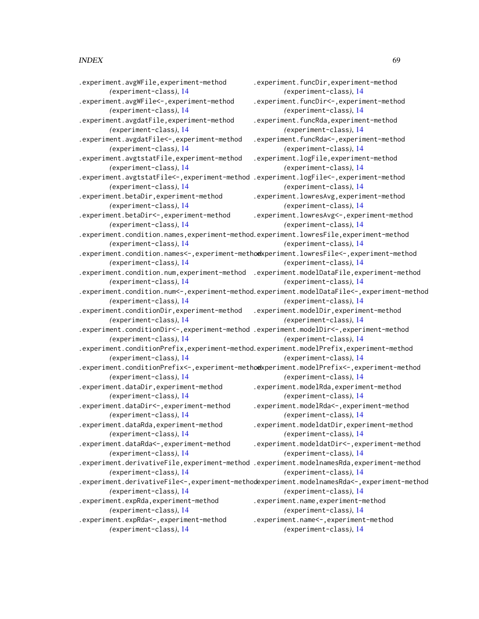#### INDEX  $\sim$  69

*(*experiment-class*)*, [14](#page-13-1)

*(*experiment-class*)*, [14](#page-13-1)

*(*experiment-class*)*, [14](#page-13-1)

*(*experiment-class*)*, [14](#page-13-1)

*(*experiment-class*)*, [14](#page-13-1)

*(*experiment-class*)*, [14](#page-13-1)

*(*experiment-class*)*, [14](#page-13-1)

*(*experiment-class*)*, [14](#page-13-1)

.experiment.avgWFile,experiment-method .experiment.avgWFile<-,experiment-method .experiment.avgdatFile,experiment-method .experiment.avgdatFile<-,experiment-method .experiment.avgtstatFile,experiment-method .experiment.avgtstatFile<-,experiment-method .experiment.logFile<-,experiment-method .experiment.betaDir,experiment-method .experiment.betaDir<-,experiment-method .experiment.condition.names,experiment-method .experiment.lowresFile,experiment-method .experiment.funcDir,experiment-method *(*experiment-class*)*, [14](#page-13-1) .experiment.funcDir<-,experiment-method *(*experiment-class*)*, [14](#page-13-1) .experiment.funcRda,experiment-method *(*experiment-class*)*, [14](#page-13-1) .experiment.funcRda<-,experiment-method *(*experiment-class*)*, [14](#page-13-1) .experiment.logFile,experiment-method *(*experiment-class*)*, [14](#page-13-1) *(*experiment-class*)*, [14](#page-13-1) .experiment.lowresAvg,experiment-method *(*experiment-class*)*, [14](#page-13-1) .experiment.lowresAvg<-,experiment-method *(*experiment-class*)*, [14](#page-13-1) *(*experiment-class*)*, [14](#page-13-1) *(*experiment-class*)*, [14](#page-13-1) *(*experiment-class*)*, [14](#page-13-1) *(*experiment-class*)*, [14](#page-13-1) .experiment.modelDir,experiment-method *(*experiment-class*)*, [14](#page-13-1) *(*experiment-class*)*, [14](#page-13-1)

*(*experiment-class*)*, [14](#page-13-1) *(*experiment-class*)*, [14](#page-13-1)

*(*experiment-class*)*, [14](#page-13-1) .experiment.dataDir,experiment-method *(*experiment-class*)*, [14](#page-13-1) .experiment.dataDir<-,experiment-method *(*experiment-class*)*, [14](#page-13-1) .experiment.dataRda,experiment-method *(*experiment-class*)*, [14](#page-13-1) .experiment.modelRda,experiment-method *(*experiment-class*)*, [14](#page-13-1) .experiment.modelRda<-,experiment-method *(*experiment-class*)*, [14](#page-13-1) .experiment.modeldatDir,experiment-method

*(*experiment-class*)*, [14](#page-13-1) .experiment.dataRda<-,experiment-method *(*experiment-class*)*, [14](#page-13-1) *(*experiment-class*)*, [14](#page-13-1) .experiment.modeldatDir<-,experiment-method

.experiment.derivativeFile,experiment-method .experiment.modelnamesRda,experiment-method *(*experiment-class*)*, [14](#page-13-1) *(*experiment-class*)*, [14](#page-13-1)

*(*experiment-class*)*, [14](#page-13-1)

.experiment.derivativeFile<-,experiment-method .experiment.modelnamesRda<-,experiment-method *(*experiment-class*)*, [14](#page-13-1) .experiment.expRda,experiment-method *(*experiment-class*)*, [14](#page-13-1) *(*experiment-class*)*, [14](#page-13-1) .experiment.name,experiment-method *(*experiment-class*)*, [14](#page-13-1) .experiment.name<-,experiment-method

.experiment.expRda<-,experiment-method *(*experiment-class*)*, [14](#page-13-1)

*(*experiment-class*)*, [14](#page-13-1)

*(*experiment-class*)*, [14](#page-13-1) .experiment.condition.names<-,experiment-method .experiment.lowresFile<-,experiment-method *(*experiment-class*)*, [14](#page-13-1)

.experiment.condition.num,experiment-method .experiment.modelDataFile,experiment-method *(*experiment-class*)*, [14](#page-13-1)

.experiment.condition.num<-,experiment-method .experiment.modelDataFile<-,experiment-method *(*experiment-class*)*, [14](#page-13-1)

.experiment.conditionDir,experiment-method *(*experiment-class*)*, [14](#page-13-1)

.experiment.conditionDir<-,experiment-method .experiment.modelDir<-,experiment-method *(*experiment-class*)*, [14](#page-13-1)

.experiment.conditionPrefix,experiment-method .experiment.modelPrefix,experiment-method

.experiment.conditionPrefix<-,experiment-method .experiment.modelPrefix<-,experiment-method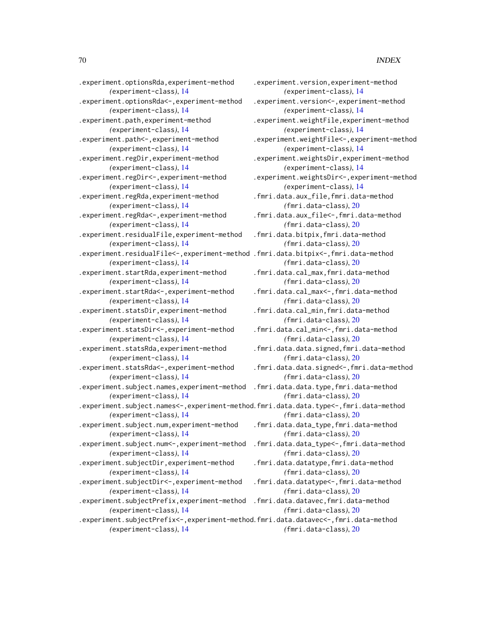.experiment.optionsRda,experiment-method *(*experiment-class*)*, [14](#page-13-1) .experiment.optionsRda<-,experiment-method *(*experiment-class*)*, [14](#page-13-1) .experiment.path,experiment-method *(*experiment-class*)*, [14](#page-13-1) .experiment.path<-,experiment-method *(*experiment-class*)*, [14](#page-13-1) .experiment.regDir,experiment-method *(*experiment-class*)*, [14](#page-13-1) .experiment.regDir<-,experiment-method *(*experiment-class*)*, [14](#page-13-1) .experiment.regRda,experiment-method *(*experiment-class*)*, [14](#page-13-1) .experiment.regRda<-,experiment-method *(*experiment-class*)*, [14](#page-13-1) .experiment.residualFile,experiment-method *(*experiment-class*)*, [14](#page-13-1) .experiment.residualFile<-,experiment-method .fmri.data.bitpix<-,fmri.data-method *(*experiment-class*)*, [14](#page-13-1) .experiment.startRda,experiment-method *(*experiment-class*)*, [14](#page-13-1) .experiment.startRda<-,experiment-method *(*experiment-class*)*, [14](#page-13-1) .experiment.statsDir,experiment-method *(*experiment-class*)*, [14](#page-13-1) .experiment.statsDir<-,experiment-method *(*experiment-class*)*, [14](#page-13-1) .experiment.statsRda,experiment-method *(*experiment-class*)*, [14](#page-13-1) .experiment.statsRda<-,experiment-method *(*experiment-class*)*, [14](#page-13-1) .experiment.subject.names,experiment-method *(*experiment-class*)*, [14](#page-13-1) .experiment.subject.names<-,experiment-method.fmri.data.data.type<-,fmri.data-method *(*experiment-class*)*, [14](#page-13-1) .experiment.subject.num,experiment-method *(*experiment-class*)*, [14](#page-13-1) .experiment.subject.num<-,experiment-method *(*experiment-class*)*, [14](#page-13-1) .experiment.subjectDir,experiment-method *(*experiment-class*)*, [14](#page-13-1) .experiment.subjectDir<-,experiment-method *(*experiment-class*)*, [14](#page-13-1) .experiment.subjectPrefix,experiment-method *(*experiment-class*)*, [14](#page-13-1) .experiment.subjectPrefix<-,experiment-method .fmri.data.datavec<-,fmri.data-method *(*experiment-class*)*, [14](#page-13-1)

.experiment.version,experiment-method *(*experiment-class*)*, [14](#page-13-1) .experiment.version<-,experiment-method *(*experiment-class*)*, [14](#page-13-1) .experiment.weightFile,experiment-method *(*experiment-class*)*, [14](#page-13-1) .experiment.weightFile<-,experiment-method *(*experiment-class*)*, [14](#page-13-1) .experiment.weightsDir,experiment-method *(*experiment-class*)*, [14](#page-13-1) .experiment.weightsDir<-,experiment-method *(*experiment-class*)*, [14](#page-13-1) .fmri.data.aux\_file,fmri.data-method *(*fmri.data-class*)*, [20](#page-19-1) .fmri.data.aux\_file<-,fmri.data-method *(*fmri.data-class*)*, [20](#page-19-1) .fmri.data.bitpix,fmri.data-method *(*fmri.data-class*)*, [20](#page-19-1) *(*fmri.data-class*)*, [20](#page-19-1) .fmri.data.cal\_max,fmri.data-method *(*fmri.data-class*)*, [20](#page-19-1) .fmri.data.cal\_max<-,fmri.data-method *(*fmri.data-class*)*, [20](#page-19-1) .fmri.data.cal\_min,fmri.data-method *(*fmri.data-class*)*, [20](#page-19-1) .fmri.data.cal\_min<-,fmri.data-method *(*fmri.data-class*)*, [20](#page-19-1) .fmri.data.data.signed,fmri.data-method *(*fmri.data-class*)*, [20](#page-19-1) .fmri.data.data.signed<-,fmri.data-method *(*fmri.data-class*)*, [20](#page-19-1) .fmri.data.data.type,fmri.data-method *(*fmri.data-class*)*, [20](#page-19-1) *(*fmri.data-class*)*, [20](#page-19-1) .fmri.data.data\_type,fmri.data-method *(*fmri.data-class*)*, [20](#page-19-1) .fmri.data.data\_type<-,fmri.data-method *(*fmri.data-class*)*, [20](#page-19-1) .fmri.data.datatype,fmri.data-method *(*fmri.data-class*)*, [20](#page-19-1) .fmri.data.datatype<-,fmri.data-method *(*fmri.data-class*)*, [20](#page-19-1) .fmri.data.datavec,fmri.data-method *(*fmri.data-class*)*, [20](#page-19-1)

*(*fmri.data-class*)*, [20](#page-19-1)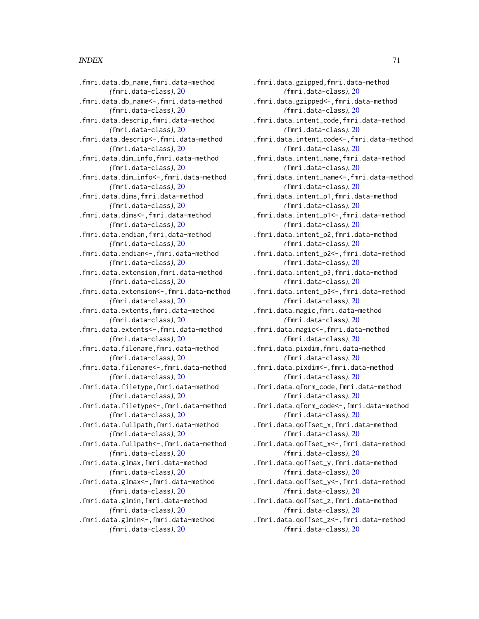#### $I<sub>N</sub>$  in  $I<sub>1</sub>$  is  $I<sub>2</sub>$  in  $I<sub>3</sub>$  in  $I<sub>4</sub>$  in  $I<sub>5</sub>$  in  $I<sub>6</sub>$  in  $I<sub>7</sub>$  in  $I<sub>8</sub>$  in  $I<sub>9</sub>$  in  $I<sub>9</sub>$  in  $I<sub>9</sub>$  in  $I<sub>9</sub>$  in  $I<sub>9</sub>$  in  $I<sub>9</sub>$  in  $I<sub>9</sub>$  i

.fmri.data.db\_name,fmri.data-method *(*fmri.data-class*)*, [20](#page-19-1) .fmri.data.db\_name<-,fmri.data-method *(*fmri.data-class*)*, [20](#page-19-1) .fmri.data.descrip,fmri.data-method *(*fmri.data-class*)*, [20](#page-19-1) .fmri.data.descrip<-,fmri.data-method *(*fmri.data-class*)*, [20](#page-19-1) .fmri.data.dim\_info,fmri.data-method *(*fmri.data-class*)*, [20](#page-19-1) .fmri.data.dim\_info<-,fmri.data-method *(*fmri.data-class*)*, [20](#page-19-1) .fmri.data.dims,fmri.data-method *(*fmri.data-class*)*, [20](#page-19-1) .fmri.data.dims<-,fmri.data-method *(*fmri.data-class*)*, [20](#page-19-1) .fmri.data.endian,fmri.data-method *(*fmri.data-class*)*, [20](#page-19-1) .fmri.data.endian<-,fmri.data-method *(*fmri.data-class*)*, [20](#page-19-1) .fmri.data.extension,fmri.data-method *(*fmri.data-class*)*, [20](#page-19-1) .fmri.data.extension<-,fmri.data-method *(*fmri.data-class*)*, [20](#page-19-1) .fmri.data.extents,fmri.data-method *(*fmri.data-class*)*, [20](#page-19-1) .fmri.data.extents<-,fmri.data-method *(*fmri.data-class*)*, [20](#page-19-1) .fmri.data.filename,fmri.data-method *(*fmri.data-class*)*, [20](#page-19-1) .fmri.data.filename<-,fmri.data-method *(*fmri.data-class*)*, [20](#page-19-1) .fmri.data.filetype,fmri.data-method *(*fmri.data-class*)*, [20](#page-19-1) .fmri.data.filetype<-,fmri.data-method *(*fmri.data-class*)*, [20](#page-19-1) .fmri.data.fullpath,fmri.data-method *(*fmri.data-class*)*, [20](#page-19-1) .fmri.data.fullpath<-,fmri.data-method *(*fmri.data-class*)*, [20](#page-19-1) .fmri.data.glmax,fmri.data-method *(*fmri.data-class*)*, [20](#page-19-1) .fmri.data.glmax<-,fmri.data-method *(*fmri.data-class*)*, [20](#page-19-1) .fmri.data.glmin,fmri.data-method *(*fmri.data-class*)*, [20](#page-19-1) .fmri.data.glmin<-,fmri.data-method *(*fmri.data-class*)*, [20](#page-19-1)

.fmri.data.gzipped,fmri.data-method *(*fmri.data-class*)*, [20](#page-19-1) .fmri.data.gzipped<-,fmri.data-method *(*fmri.data-class*)*, [20](#page-19-1) .fmri.data.intent\_code,fmri.data-method *(*fmri.data-class*)*, [20](#page-19-1) .fmri.data.intent\_code<-,fmri.data-method *(*fmri.data-class*)*, [20](#page-19-1) .fmri.data.intent\_name,fmri.data-method *(*fmri.data-class*)*, [20](#page-19-1) .fmri.data.intent\_name<-,fmri.data-method *(*fmri.data-class*)*, [20](#page-19-1) .fmri.data.intent\_p1,fmri.data-method *(*fmri.data-class*)*, [20](#page-19-1) .fmri.data.intent\_p1<-,fmri.data-method *(*fmri.data-class*)*, [20](#page-19-1) .fmri.data.intent\_p2,fmri.data-method *(*fmri.data-class*)*, [20](#page-19-1) .fmri.data.intent\_p2<-,fmri.data-method *(*fmri.data-class*)*, [20](#page-19-1) .fmri.data.intent\_p3,fmri.data-method *(*fmri.data-class*)*, [20](#page-19-1) .fmri.data.intent\_p3<-,fmri.data-method *(*fmri.data-class*)*, [20](#page-19-1) .fmri.data.magic,fmri.data-method *(*fmri.data-class*)*, [20](#page-19-1) .fmri.data.magic<-,fmri.data-method *(*fmri.data-class*)*, [20](#page-19-1) .fmri.data.pixdim,fmri.data-method *(*fmri.data-class*)*, [20](#page-19-1) .fmri.data.pixdim<-,fmri.data-method *(*fmri.data-class*)*, [20](#page-19-1) .fmri.data.qform\_code,fmri.data-method *(*fmri.data-class*)*, [20](#page-19-1) .fmri.data.qform\_code<-,fmri.data-method *(*fmri.data-class*)*, [20](#page-19-1) .fmri.data.qoffset\_x,fmri.data-method *(*fmri.data-class*)*, [20](#page-19-1) .fmri.data.qoffset\_x<-,fmri.data-method *(*fmri.data-class*)*, [20](#page-19-1) .fmri.data.qoffset\_y,fmri.data-method *(*fmri.data-class*)*, [20](#page-19-1) .fmri.data.qoffset\_y<-,fmri.data-method *(*fmri.data-class*)*, [20](#page-19-1) .fmri.data.qoffset\_z,fmri.data-method *(*fmri.data-class*)*, [20](#page-19-1) .fmri.data.qoffset\_z<-,fmri.data-method *(*fmri.data-class*)*, [20](#page-19-1)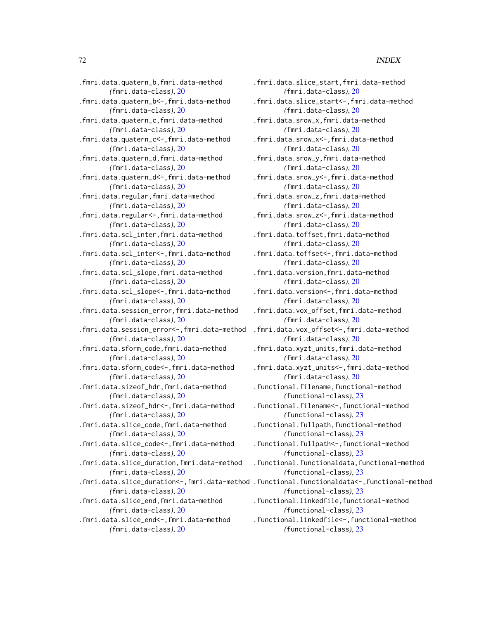.fmri.data.quatern\_b,fmri.data-method *(*fmri.data-class*)*, [20](#page-19-1) .fmri.data.quatern\_b<-,fmri.data-method *(*fmri.data-class*)*, [20](#page-19-1) .fmri.data.quatern\_c,fmri.data-method *(*fmri.data-class*)*, [20](#page-19-1) .fmri.data.quatern\_c<-,fmri.data-method *(*fmri.data-class*)*, [20](#page-19-1) .fmri.data.quatern\_d,fmri.data-method *(*fmri.data-class*)*, [20](#page-19-1) .fmri.data.quatern\_d<-,fmri.data-method *(*fmri.data-class*)*, [20](#page-19-1) .fmri.data.regular,fmri.data-method *(*fmri.data-class*)*, [20](#page-19-1) .fmri.data.regular<-,fmri.data-method *(*fmri.data-class*)*, [20](#page-19-1) .fmri.data.scl\_inter,fmri.data-method *(*fmri.data-class*)*, [20](#page-19-1) .fmri.data.scl\_inter<-,fmri.data-method *(*fmri.data-class*)*, [20](#page-19-1) .fmri.data.scl\_slope,fmri.data-method *(*fmri.data-class*)*, [20](#page-19-1) .fmri.data.scl\_slope<-,fmri.data-method *(*fmri.data-class*)*, [20](#page-19-1) .fmri.data.session\_error,fmri.data-method *(*fmri.data-class*)*, [20](#page-19-1) .fmri.data.session\_error<-,fmri.data-method *(*fmri.data-class*)*, [20](#page-19-1) .fmri.data.sform\_code,fmri.data-method *(*fmri.data-class*)*, [20](#page-19-1) .fmri.data.sform\_code<-,fmri.data-method *(*fmri.data-class*)*, [20](#page-19-1) .fmri.data.sizeof\_hdr,fmri.data-method *(*fmri.data-class*)*, [20](#page-19-1) .fmri.data.sizeof\_hdr<-,fmri.data-method *(*fmri.data-class*)*, [20](#page-19-1) .fmri.data.slice\_code,fmri.data-method *(*fmri.data-class*)*, [20](#page-19-1) .fmri.data.slice\_code<-,fmri.data-method *(*fmri.data-class*)*, [20](#page-19-1) .fmri.data.slice\_duration,fmri.data-method *(*fmri.data-class*)*, [20](#page-19-1) *(*fmri.data-class*)*, [20](#page-19-1) .fmri.data.slice\_end,fmri.data-method *(*fmri.data-class*)*, [20](#page-19-1) .fmri.data.slice\_end<-,fmri.data-method

*(*fmri.data-class*)*, [20](#page-19-1)

.fmri.data.slice\_duration<-,fmri.data-method .functional.functionaldata<-,functional-method .fmri.data.slice\_start,fmri.data-method *(*fmri.data-class*)*, [20](#page-19-1) .fmri.data.slice\_start<-,fmri.data-method *(*fmri.data-class*)*, [20](#page-19-1) .fmri.data.srow\_x,fmri.data-method *(*fmri.data-class*)*, [20](#page-19-1) .fmri.data.srow\_x<-,fmri.data-method *(*fmri.data-class*)*, [20](#page-19-1) .fmri.data.srow\_y,fmri.data-method *(*fmri.data-class*)*, [20](#page-19-1) .fmri.data.srow\_y<-,fmri.data-method *(*fmri.data-class*)*, [20](#page-19-1) .fmri.data.srow\_z,fmri.data-method *(*fmri.data-class*)*, [20](#page-19-1) .fmri.data.srow\_z<-,fmri.data-method *(*fmri.data-class*)*, [20](#page-19-1) .fmri.data.toffset,fmri.data-method *(*fmri.data-class*)*, [20](#page-19-1) .fmri.data.toffset<-,fmri.data-method *(*fmri.data-class*)*, [20](#page-19-1) .fmri.data.version,fmri.data-method *(*fmri.data-class*)*, [20](#page-19-1) .fmri.data.version<-,fmri.data-method *(*fmri.data-class*)*, [20](#page-19-1) .fmri.data.vox\_offset,fmri.data-method *(*fmri.data-class*)*, [20](#page-19-1) .fmri.data.vox\_offset<-,fmri.data-method *(*fmri.data-class*)*, [20](#page-19-1) .fmri.data.xyzt\_units,fmri.data-method *(*fmri.data-class*)*, [20](#page-19-1) .fmri.data.xyzt\_units<-,fmri.data-method *(*fmri.data-class*)*, [20](#page-19-1) .functional.filename,functional-method *(*functional-class*)*, [23](#page-22-1) .functional.filename<-,functional-method *(*functional-class*)*, [23](#page-22-1) .functional.fullpath,functional-method *(*functional-class*)*, [23](#page-22-1) .functional.fullpath<-,functional-method *(*functional-class*)*, [23](#page-22-1) .functional.functionaldata,functional-method *(*functional-class*)*, [23](#page-22-1) *(*functional-class*)*, [23](#page-22-1) .functional.linkedfile,functional-method *(*functional-class*)*, [23](#page-22-1) .functional.linkedfile<-,functional-method *(*functional-class*)*, [23](#page-22-1)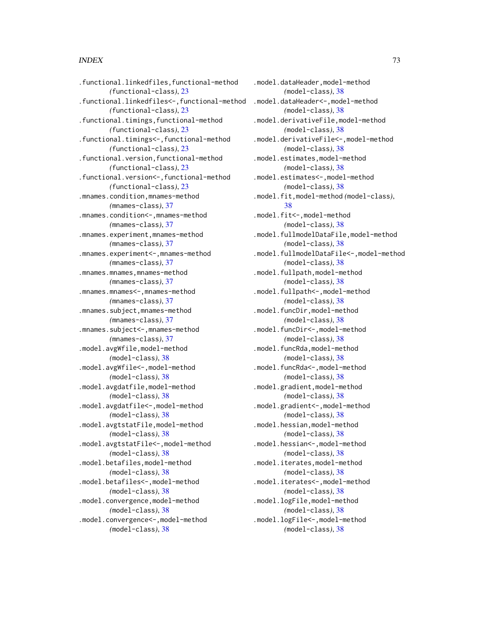## $I<sub>N</sub>$   $I<sub>3</sub>$   $I<sub>3</sub>$   $I<sub>4</sub>$   $I<sub>5</sub>$   $I<sub>6</sub>$   $I<sub>7</sub>$   $I<sub>8</sub>$   $I<sub>9</sub>$   $I<sub>9</sub>$   $I<sub>9</sub>$   $I<sub>9</sub>$   $I<sub>9</sub>$   $I<sub>9</sub>$   $I<sub>9</sub>$   $I<sub>9</sub>$   $I<sub>9</sub>$   $I<sub>9</sub>$   $I<sub>9</sub>$   $I<sub>9</sub>$   $I$

.functional.linkedfiles,functional-method *(*functional-class*)*, [23](#page-22-0) .functional.linkedfiles<-,functional-method *(*functional-class*)*, [23](#page-22-0) .functional.timings,functional-method *(*functional-class*)*, [23](#page-22-0) .functional.timings<-,functional-method *(*functional-class*)*, [23](#page-22-0) .functional.version,functional-method *(*functional-class*)*, [23](#page-22-0) .functional.version<-,functional-method *(*functional-class*)*, [23](#page-22-0) .mnames.condition,mnames-method *(*mnames-class*)*, [37](#page-36-0) .mnames.condition<-,mnames-method *(*mnames-class*)*, [37](#page-36-0) .mnames.experiment,mnames-method *(*mnames-class*)*, [37](#page-36-0) .mnames.experiment<-,mnames-method *(*mnames-class*)*, [37](#page-36-0) .mnames.mnames,mnames-method *(*mnames-class*)*, [37](#page-36-0) .mnames.mnames<-,mnames-method *(*mnames-class*)*, [37](#page-36-0) .mnames.subject,mnames-method *(*mnames-class*)*, [37](#page-36-0) .mnames.subject<-,mnames-method *(*mnames-class*)*, [37](#page-36-0) .model.avgWfile,model-method *(*model-class*)*, [38](#page-37-0) .model.avgWfile<-,model-method *(*model-class*)*, [38](#page-37-0) .model.avgdatfile,model-method *(*model-class*)*, [38](#page-37-0) .model.avgdatfile<-,model-method *(*model-class*)*, [38](#page-37-0) .model.avgtstatFile,model-method *(*model-class*)*, [38](#page-37-0) .model.avgtstatFile<-,model-method *(*model-class*)*, [38](#page-37-0) .model.betafiles,model-method *(*model-class*)*, [38](#page-37-0) .model.betafiles<-,model-method *(*model-class*)*, [38](#page-37-0) .model.convergence,model-method *(*model-class*)*, [38](#page-37-0) .model.convergence<-,model-method *(*model-class*)*, [38](#page-37-0)

.model.dataHeader,model-method *(*model-class*)*, [38](#page-37-0) .model.dataHeader<-,model-method *(*model-class*)*, [38](#page-37-0) .model.derivativeFile,model-method *(*model-class*)*, [38](#page-37-0) .model.derivativeFile<-,model-method *(*model-class*)*, [38](#page-37-0) .model.estimates,model-method *(*model-class*)*, [38](#page-37-0) .model.estimates<-,model-method *(*model-class*)*, [38](#page-37-0) .model.fit,model-method *(*model-class*)*, [38](#page-37-0) .model.fit<-,model-method *(*model-class*)*, [38](#page-37-0) .model.fullmodelDataFile,model-method *(*model-class*)*, [38](#page-37-0) .model.fullmodelDataFile<-,model-method *(*model-class*)*, [38](#page-37-0) .model.fullpath,model-method *(*model-class*)*, [38](#page-37-0) .model.fullpath<-,model-method *(*model-class*)*, [38](#page-37-0) .model.funcDir,model-method *(*model-class*)*, [38](#page-37-0) .model.funcDir<-,model-method *(*model-class*)*, [38](#page-37-0) .model.funcRda,model-method *(*model-class*)*, [38](#page-37-0) .model.funcRda<-,model-method *(*model-class*)*, [38](#page-37-0) .model.gradient,model-method *(*model-class*)*, [38](#page-37-0) .model.gradient<-,model-method *(*model-class*)*, [38](#page-37-0) .model.hessian,model-method *(*model-class*)*, [38](#page-37-0) .model.hessian<-,model-method *(*model-class*)*, [38](#page-37-0) .model.iterates,model-method *(*model-class*)*, [38](#page-37-0) .model.iterates<-,model-method *(*model-class*)*, [38](#page-37-0) .model.logFile,model-method *(*model-class*)*, [38](#page-37-0) .model.logFile<-,model-method *(*model-class*)*, [38](#page-37-0)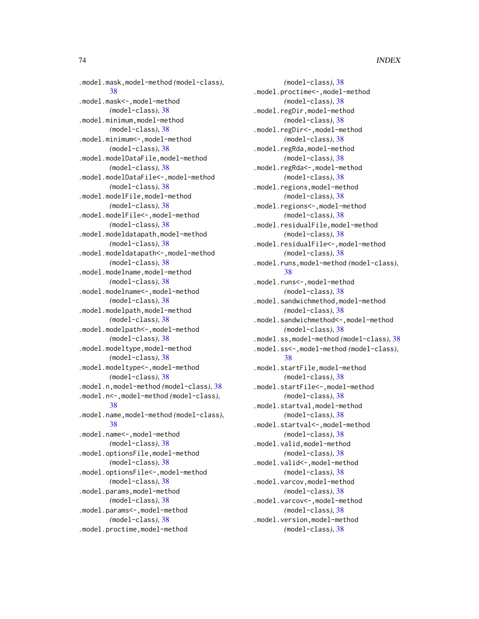.model.mask,model-method *(*model-class*)*, [38](#page-37-0) .model.mask<-,model-method *(*model-class*)*, [38](#page-37-0) .model.minimum,model-method *(*model-class*)*, [38](#page-37-0) .model.minimum<-,model-method *(*model-class*)*, [38](#page-37-0) .model.modelDataFile,model-method *(*model-class*)*, [38](#page-37-0) .model.modelDataFile<-,model-method *(*model-class*)*, [38](#page-37-0) .model.modelFile,model-method *(*model-class*)*, [38](#page-37-0) .model.modelFile<-,model-method *(*model-class*)*, [38](#page-37-0) .model.modeldatapath,model-method *(*model-class*)*, [38](#page-37-0) .model.modeldatapath<-,model-method *(*model-class*)*, [38](#page-37-0) .model.modelname,model-method *(*model-class*)*, [38](#page-37-0) .model.modelname<-,model-method *(*model-class*)*, [38](#page-37-0) .model.modelpath,model-method *(*model-class*)*, [38](#page-37-0) .model.modelpath<-,model-method *(*model-class*)*, [38](#page-37-0) .model.modeltype,model-method *(*model-class*)*, [38](#page-37-0) .model.modeltype<-,model-method *(*model-class*)*, [38](#page-37-0) .model.n,model-method *(*model-class*)*, [38](#page-37-0) .model.n<-,model-method *(*model-class*)*, [38](#page-37-0) .model.name,model-method *(*model-class*)*, [38](#page-37-0) .model.name<-,model-method *(*model-class*)*, [38](#page-37-0) .model.optionsFile,model-method *(*model-class*)*, [38](#page-37-0) .model.optionsFile<-,model-method *(*model-class*)*, [38](#page-37-0) .model.params,model-method *(*model-class*)*, [38](#page-37-0) .model.params<-,model-method *(*model-class*)*, [38](#page-37-0) .model.proctime,model-method

*(*model-class*)*, [38](#page-37-0) .model.proctime<-,model-method *(*model-class*)*, [38](#page-37-0) .model.regDir,model-method *(*model-class*)*, [38](#page-37-0) .model.regDir<-,model-method *(*model-class*)*, [38](#page-37-0) .model.regRda,model-method *(*model-class*)*, [38](#page-37-0) .model.regRda<-,model-method *(*model-class*)*, [38](#page-37-0) .model.regions,model-method *(*model-class*)*, [38](#page-37-0) .model.regions<-,model-method *(*model-class*)*, [38](#page-37-0) .model.residualFile,model-method *(*model-class*)*, [38](#page-37-0) .model.residualFile<-,model-method *(*model-class*)*, [38](#page-37-0) .model.runs,model-method *(*model-class*)*, [38](#page-37-0) .model.runs<-,model-method *(*model-class*)*, [38](#page-37-0) .model.sandwichmethod,model-method *(*model-class*)*, [38](#page-37-0) .model.sandwichmethod<-,model-method *(*model-class*)*, [38](#page-37-0) .model.ss,model-method *(*model-class*)*, [38](#page-37-0) .model.ss<-,model-method *(*model-class*)*, [38](#page-37-0) .model.startFile,model-method *(*model-class*)*, [38](#page-37-0) .model.startFile<-,model-method *(*model-class*)*, [38](#page-37-0) .model.startval,model-method *(*model-class*)*, [38](#page-37-0) .model.startval<-,model-method *(*model-class*)*, [38](#page-37-0) .model.valid,model-method *(*model-class*)*, [38](#page-37-0) .model.valid<-,model-method *(*model-class*)*, [38](#page-37-0) .model.varcov,model-method *(*model-class*)*, [38](#page-37-0) .model.varcov<-,model-method *(*model-class*)*, [38](#page-37-0) .model.version,model-method *(*model-class*)*, [38](#page-37-0)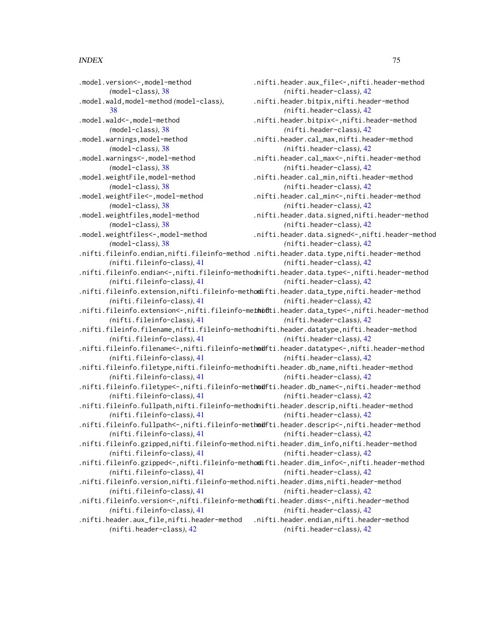.model.version<-,model-method *(*model-class*)*, [38](#page-37-0) .model.wald,model-method *(*model-class*)*, [38](#page-37-0) .model.wald<-,model-method *(*model-class*)*, [38](#page-37-0) .model.warnings,model-method *(*model-class*)*, [38](#page-37-0) .model.warnings<-,model-method *(*model-class*)*, [38](#page-37-0) .model.weightFile,model-method *(*model-class*)*, [38](#page-37-0) .model.weightFile<-,model-method *(*model-class*)*, [38](#page-37-0) .model.weightfiles,model-method *(*model-class*)*, [38](#page-37-0) .model.weightfiles<-,model-method *(*model-class*)*, [38](#page-37-0) .nifti.fileinfo.endian,nifti.fileinfo-method .nifti.header.data.type,nifti.header-method *(*nifti.fileinfo-class*)*, [41](#page-40-0) .nifti.fileinfo.endian<-,nifti.fileinfo-methodnifti.header.data.type<-,nifti.header-method *(*nifti.fileinfo-class*)*, [41](#page-40-0) .nifti.fileinfo.extension,nifti.fileinfo-methodifti.header.data\_type,nifti.header-method *(*nifti.fileinfo-class*)*, [41](#page-40-0) .nifti.fileinfo.extension<-,nifti.fileinfo-methodti.header.data\_type<-,nifti.header-method *(*nifti.fileinfo-class*)*, [41](#page-40-0) .nifti.fileinfo.filename,nifti.fileinfo-methodnifti.header.datatype,nifti.header-method *(*nifti.fileinfo-class*)*, [41](#page-40-0) .nifti.fileinfo.filename<-,nifti.fileinfo-methodfti.header.datatype<-,nifti.header-method *(*nifti.fileinfo-class*)*, [41](#page-40-0) .nifti.fileinfo.filetype,nifti.fileinfo-methodnifti.header.db\_name,nifti.header-method *(*nifti.fileinfo-class*)*, [41](#page-40-0) .nifti.fileinfo.filetype<-,nifti.fileinfo-methodfti.header.db\_name<-,nifti.header-method *(*nifti.fileinfo-class*)*, [41](#page-40-0) .nifti.fileinfo.fullpath,nifti.fileinfo-methodnifti.header.descrip,nifti.header-method *(*nifti.fileinfo-class*)*, [41](#page-40-0) .nifti.fileinfo.fullpath<-,nifti.fileinfo-methodfti.header.descrip<-,nifti.header-method *(*nifti.fileinfo-class*)*, [41](#page-40-0) .nifti.fileinfo.gzipped,nifti.fileinfo-method .nifti.header.dim\_info,nifti.header-method *(*nifti.fileinfo-class*)*, [41](#page-40-0) .nifti.fileinfo.gzipped<-,nifti.fileinfo-methodifti.header.dim\_info<-,nifti.header-method *(*nifti.fileinfo-class*)*, [41](#page-40-0) .nifti.fileinfo.version,nifti.fileinfo-method .nifti.header.dims,nifti.header-method *(*nifti.fileinfo-class*)*, [41](#page-40-0) .nifti.fileinfo.version<-,nifti.fileinfo-methodifti.header.dims<-,nifti.header-method *(*nifti.fileinfo-class*)*, [41](#page-40-0) .nifti.header.aux\_file<-,nifti.header-method *(*nifti.header-class*)*, [42](#page-41-0) .nifti.header.bitpix,nifti.header-method *(*nifti.header-class*)*, [42](#page-41-0) .nifti.header.bitpix<-,nifti.header-method *(*nifti.header-class*)*, [42](#page-41-0) .nifti.header.cal\_max,nifti.header-method *(*nifti.header-class*)*, [42](#page-41-0) .nifti.header.cal\_max<-,nifti.header-method *(*nifti.header-class*)*, [42](#page-41-0) .nifti.header.cal\_min,nifti.header-method *(*nifti.header-class*)*, [42](#page-41-0) .nifti.header.cal\_min<-,nifti.header-method *(*nifti.header-class*)*, [42](#page-41-0) .nifti.header.data.signed,nifti.header-method *(*nifti.header-class*)*, [42](#page-41-0) .nifti.header.data.signed<-,nifti.header-method *(*nifti.header-class*)*, [42](#page-41-0) *(*nifti.header-class*)*, [42](#page-41-0) *(*nifti.header-class*)*, [42](#page-41-0) *(*nifti.header-class*)*, [42](#page-41-0) *(*nifti.header-class*)*, [42](#page-41-0) *(*nifti.header-class*)*, [42](#page-41-0) *(*nifti.header-class*)*, [42](#page-41-0) *(*nifti.header-class*)*, [42](#page-41-0) *(*nifti.header-class*)*, [42](#page-41-0) *(*nifti.header-class*)*, [42](#page-41-0) *(*nifti.header-class*)*, [42](#page-41-0) *(*nifti.header-class*)*, [42](#page-41-0) *(*nifti.header-class*)*, [42](#page-41-0) *(*nifti.header-class*)*, [42](#page-41-0) *(*nifti.header-class*)*, [42](#page-41-0)

.nifti.header.aux\_file,nifti.header-method .nifti.header.endian,nifti.header-method *(*nifti.header-class*)*, [42](#page-41-0) *(*nifti.header-class*)*, [42](#page-41-0)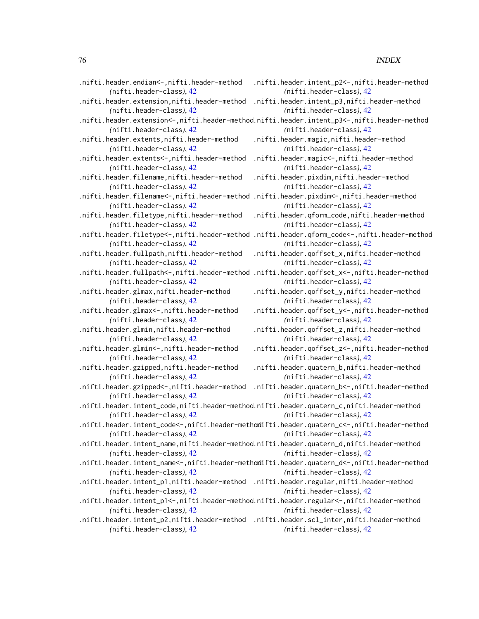| .nifti.header.endian<-,nifti.header-method                                               | .nifti.header.intent_p2<-,nifti.header-method                                               |
|------------------------------------------------------------------------------------------|---------------------------------------------------------------------------------------------|
| (nifti.header-class), 42                                                                 | (nifti.header-class), 42                                                                    |
| .nifti.header.extension,nifti.header-method                                              | .nifti.header.intent_p3,nifti.header-method                                                 |
| (nifti.header-class), 42                                                                 | (nifti.header-class), 42                                                                    |
|                                                                                          | nifti.header.extension<-,nifti.header-method.nifti.header.intent_p3<-,nifti.header-method.  |
| (nifti.header-class), 42                                                                 | (nifti.header-class), 42                                                                    |
| .nifti.header.extents,nifti.header-method                                                | .nifti.header.magic,nifti.header-method                                                     |
| (nifti.header-class), 42                                                                 | (nifti.header-class), 42                                                                    |
| .nifti.header.extents<-,nifti.header-method                                              | .nifti.header.magic <-, nifti.header-method                                                 |
| (nifti.header-class), 42                                                                 | (nifti.header-class), 42                                                                    |
| .nifti.header.filename,nifti.header-method                                               | .nifti.header.pixdim,nifti.header-method                                                    |
| (nifti.header-class), 42                                                                 | (nifti.header-class), 42                                                                    |
| .nifti.header.filename<-,nifti.header-method .nifti.header.pixdim<-,nifti.header-method  |                                                                                             |
| (nifti.header-class), 42                                                                 | (nifti.header-class), 42                                                                    |
| .nifti.header.filetype,nifti.header-method                                               | .nifti.header.qform_code,nifti.header-method                                                |
| (nifti.header-class), 42                                                                 | (nifti.header-class), 42                                                                    |
|                                                                                          | nifti.header.filetype<-,nifti.header-method .nifti.header.qform_code<-,nifti.header-method. |
| (nifti.header-class), 42                                                                 | (nifti.header-class), 42                                                                    |
| .nifti.header.fullpath,nifti.header-method                                               | .nifti.header.qoffset_x,nifti.header-method                                                 |
| (nifti.header-class), 42                                                                 | (nifti.header-class), 42                                                                    |
|                                                                                          | nifti.header.fullpath<-,nifti.header-method .nifti.header.qoffset_x<-,nifti.header-method   |
| (nifti.header-class), 42                                                                 | (nifti.header-class), 42                                                                    |
| .nifti.header.glmax,nifti.header-method                                                  | .nifti.header.qoffset_y,nifti.header-method                                                 |
| (nifti.header-class), 42                                                                 | (nifti.header-class), 42                                                                    |
| .nifti.header.glmax <-,nifti.header-method                                               | .nifti.header.qoffset_y<-,nifti.header-method                                               |
| (nifti.header-class), 42                                                                 | (nifti.header-class), 42                                                                    |
| .nifti.header.glmin,nifti.header-method                                                  | .nifti.header.qoffset_z,nifti.header-method                                                 |
| (nifti.header-class), 42                                                                 | (nifti.header-class), 42                                                                    |
| .nifti.header.glmin <-, nifti.header-method                                              | .nifti.header.qoffset_z <-,nifti.header-method                                              |
| (nifti.header-class), 42                                                                 | (nifti.header-class), 42                                                                    |
| .nifti.header.gzipped,nifti.header-method                                                | .nifti.header.quatern_b,nifti.header-method                                                 |
| (nifti.header-class), 42                                                                 | (nifti.header-class), 42                                                                    |
| .nifti.header.gzipped<-,nifti.header-method                                              | .nifti.header.quatern_b<-,nifti.header-method                                               |
| (nifti.header-class), 42                                                                 | (nifti.header-class), 42                                                                    |
| .nifti.header.intent_code,nifti.header-method.nifti.header.quatern_c,nifti.header-method |                                                                                             |
| (nifti.header-class), 42                                                                 | (nifti.header-class), 42                                                                    |
|                                                                                          | nifti.header.intent_code<-,nifti.header-methodifti.header.quatern_c<-,nifti.header-method.  |
| (nifti.header-class), 42                                                                 | (nifti.header-class), 42                                                                    |
| nifti.header.intent_name,nifti.header-method.nifti.header.quatern_d,nifti.header-method. |                                                                                             |
| (nifti.header-class), 42                                                                 | (nifti.header-class), 42                                                                    |
|                                                                                          | nifti.header.intent_name<-,nifti.header-methodifti.header.quatern_d<-,nifti.header-method.  |
| (nifti.header-class), 42                                                                 | (nifti.header-class), 42                                                                    |
| .nifti.header.intent_p1,nifti.header-method                                              | .nifti.header.regular,nifti.header-method                                                   |
| (nifti.header-class), 42                                                                 | (nifti.header-class), 42                                                                    |
| .nifti.header.intent_p1<-,nifti.header-method.nifti.header.regular<-,nifti.header-method |                                                                                             |
| (nifti.header-class), 42                                                                 | (nifti.header-class), 42                                                                    |
| nifti.header.intent_p2,nifti.header-method .nifti.header.scl_inter,nifti.header-method.  |                                                                                             |
| (nifti.header-class), 42                                                                 | (nifti.header-class), 42                                                                    |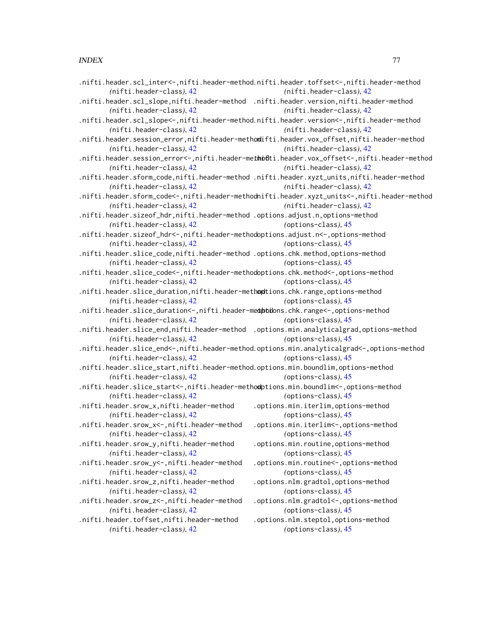|                                                                                        | .nifti.header.scl_inter<-,nifti.header-method.nifti.header.toffset<-,nifti.header-method    |
|----------------------------------------------------------------------------------------|---------------------------------------------------------------------------------------------|
| (nifti.header-class), 42                                                               | (nifti.header-class), 42                                                                    |
| .nifti.header.scl_slope,nifti.header-method .nifti.header.version,nifti.header-method  |                                                                                             |
| (nifti.header-class), 42                                                               | (nifti.header-class), 42                                                                    |
|                                                                                        | .nifti.header.scl_slope<-,nifti.header-method.nifti.header.version<-,nifti.header-method    |
| (nifti.header-class), 42                                                               | (nifti.header-class), 42                                                                    |
|                                                                                        | .nifti.header.session_error,nifti.header-methodifti.header.vox_offset,nifti.header-method   |
| (nifti.header-class), 42                                                               | (nifti.header-class), 42                                                                    |
|                                                                                        | nifti.header.session_error<-,nifti.header-methifiti.header.vox_offset<-,nifti.header-method |
| (nifti.header-class), 42                                                               | (nifti.header-class), 42                                                                    |
|                                                                                        | .nifti.header.sform_code,nifti.header-method .nifti.header.xyzt_units,nifti.header-method   |
| (nifti.header-class), 42                                                               | (nifti.header-class), 42                                                                    |
|                                                                                        | .nifti.header.sform_code<-,nifti.header-methodnifti.header.xyzt_units<-,nifti.header-method |
| (nifti.header-class), 42                                                               | (nifti.header-class), 42                                                                    |
| .nifti.header.sizeof_hdr,nifti.header-method.options.adjust.n,options-method           |                                                                                             |
| (nifti.header-class), 42                                                               | (options-class), 45                                                                         |
| .nifti.header.sizeof_hdr<-,nifti.header-methodoptions.adjust.n<-,options-method        |                                                                                             |
| (nifti.header-class), 42                                                               | (options-class), 45                                                                         |
| .nifti.header.slice_code,nifti.header-method.options.chk.method,options-method         |                                                                                             |
| (nifti.header-class), 42                                                               | (options-class), 45                                                                         |
| .nifti.header.slice_code<-,nifti.header-methodoptions.chk.method<-,options-method      |                                                                                             |
| (nifti.header-class), 42                                                               | (options-class), 45                                                                         |
| .nifti.header.slice_duration,nifti.header-methoptions.chk.range,options-method         |                                                                                             |
| (nifti.header-class), 42                                                               | (options-class), 45                                                                         |
| .nifti.header.slice_duration<-,nifti.header-mediptions.chk.range<-,options-method      |                                                                                             |
| (nifti.header-class), 42                                                               | (options-class), 45                                                                         |
| .nifti.header.slice_end,nifti.header-method .options.min.analyticalgrad,options-method |                                                                                             |
| (nifti.header-class), 42                                                               | (options-class), 45                                                                         |
|                                                                                        | .nifti.header.slice_end<-,nifti.header-method.options.min.analyticalgrad<-,options-method   |
| (nifti.header-class), 42                                                               | (options-class), 45                                                                         |
| .nifti.header.slice_start,nifti.header-method.options.min.boundlim,options-method      |                                                                                             |
| (nifti.header-class), 42                                                               | (options-class), 45                                                                         |
| .nifti.header.slice_start<-,nifti.header-methodptions.min.boundlim<-,options-method    |                                                                                             |
| (nifti.header-class), 42                                                               | (options-class), 45                                                                         |
| .nifti.header.srow_x,nifti.header-method                                               | .options.min.iterlim,options-method                                                         |
| (nifti.header-class), 42                                                               | (options-class), 45                                                                         |
| nifti.header.srow_x <-, nifti.header-method                                            | .options.min.iterlim <-, options-method                                                     |
| (nifti.header-class), 42                                                               | (options-class), 45                                                                         |
| .nifti.header.srow_y,nifti.header-method                                               | .options.min.routine,options-method                                                         |
| (nifti.header-class), 42                                                               | (options-class), 45                                                                         |
| .nifti.header.srow_y<-,nifti.header-method                                             | .options.min.routine <-, options-method                                                     |
| (nifti.header-class), 42                                                               | (options-class), 45                                                                         |
| .nifti.header.srow_z,nifti.header-method                                               | .options.nlm.gradtol,options-method                                                         |
| (nifti.header-class), 42                                                               | (options-class), 45                                                                         |
| .nifti.header.srow_z <-, nifti.header-method                                           | .options.nlm.gradtol <-, options-method                                                     |
| (nifti.header-class), 42                                                               | (options-class), 45                                                                         |
| .nifti.header.toffset,nifti.header-method                                              | .options.nlm.steptol,options-method                                                         |
| (nifti.header-class), 42                                                               | (options-class), 45                                                                         |
|                                                                                        |                                                                                             |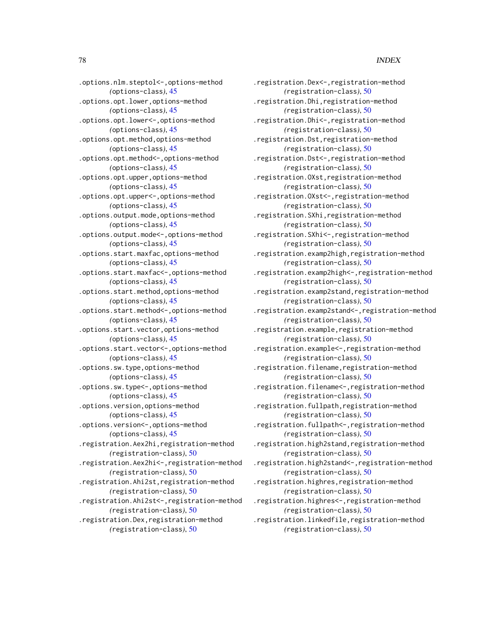.options.nlm.steptol<-,options-method *(*options-class*)*, [45](#page-44-0) .options.opt.lower,options-method *(*options-class*)*, [45](#page-44-0) .options.opt.lower<-,options-method *(*options-class*)*, [45](#page-44-0) .options.opt.method,options-method *(*options-class*)*, [45](#page-44-0) .options.opt.method<-,options-method *(*options-class*)*, [45](#page-44-0) .options.opt.upper,options-method *(*options-class*)*, [45](#page-44-0) .options.opt.upper<-,options-method *(*options-class*)*, [45](#page-44-0) .options.output.mode,options-method *(*options-class*)*, [45](#page-44-0) .options.output.mode<-,options-method *(*options-class*)*, [45](#page-44-0) .options.start.maxfac,options-method *(*options-class*)*, [45](#page-44-0) .options.start.maxfac<-,options-method *(*options-class*)*, [45](#page-44-0) .options.start.method,options-method *(*options-class*)*, [45](#page-44-0) .options.start.method<-,options-method *(*options-class*)*, [45](#page-44-0) .options.start.vector,options-method *(*options-class*)*, [45](#page-44-0) .options.start.vector<-,options-method *(*options-class*)*, [45](#page-44-0) .options.sw.type,options-method *(*options-class*)*, [45](#page-44-0) .options.sw.type<-,options-method *(*options-class*)*, [45](#page-44-0) .options.version,options-method *(*options-class*)*, [45](#page-44-0) .options.version<-,options-method *(*options-class*)*, [45](#page-44-0) .registration.Aex2hi,registration-method *(*registration-class*)*, [50](#page-49-0) .registration.Aex2hi<-,registration-method *(*registration-class*)*, [50](#page-49-0) .registration.Ahi2st,registration-method *(*registration-class*)*, [50](#page-49-0) .registration.Ahi2st<-,registration-method *(*registration-class*)*, [50](#page-49-0) .registration.Dex,registration-method *(*registration-class*)*, [50](#page-49-0)

.registration.Dex<-,registration-method *(*registration-class*)*, [50](#page-49-0) .registration.Dhi,registration-method *(*registration-class*)*, [50](#page-49-0) .registration.Dhi<-,registration-method *(*registration-class*)*, [50](#page-49-0) .registration.Dst,registration-method *(*registration-class*)*, [50](#page-49-0) .registration.Dst<-,registration-method *(*registration-class*)*, [50](#page-49-0) .registration.OXst,registration-method *(*registration-class*)*, [50](#page-49-0) .registration.OXst<-,registration-method *(*registration-class*)*, [50](#page-49-0) .registration.SXhi,registration-method *(*registration-class*)*, [50](#page-49-0) .registration.SXhi<-,registration-method *(*registration-class*)*, [50](#page-49-0) .registration.examp2high,registration-method *(*registration-class*)*, [50](#page-49-0) .registration.examp2high<-,registration-method *(*registration-class*)*, [50](#page-49-0) .registration.examp2stand,registration-method *(*registration-class*)*, [50](#page-49-0) .registration.examp2stand<-,registration-method *(*registration-class*)*, [50](#page-49-0) .registration.example,registration-method *(*registration-class*)*, [50](#page-49-0) .registration.example<-,registration-method *(*registration-class*)*, [50](#page-49-0) .registration.filename,registration-method *(*registration-class*)*, [50](#page-49-0) .registration.filename<-,registration-method *(*registration-class*)*, [50](#page-49-0) .registration.fullpath,registration-method *(*registration-class*)*, [50](#page-49-0) .registration.fullpath<-,registration-method *(*registration-class*)*, [50](#page-49-0) .registration.high2stand,registration-method *(*registration-class*)*, [50](#page-49-0) .registration.high2stand<-,registration-method *(*registration-class*)*, [50](#page-49-0) .registration.highres,registration-method *(*registration-class*)*, [50](#page-49-0) .registration.highres<-,registration-method *(*registration-class*)*, [50](#page-49-0) .registration.linkedfile,registration-method *(*registration-class*)*, [50](#page-49-0)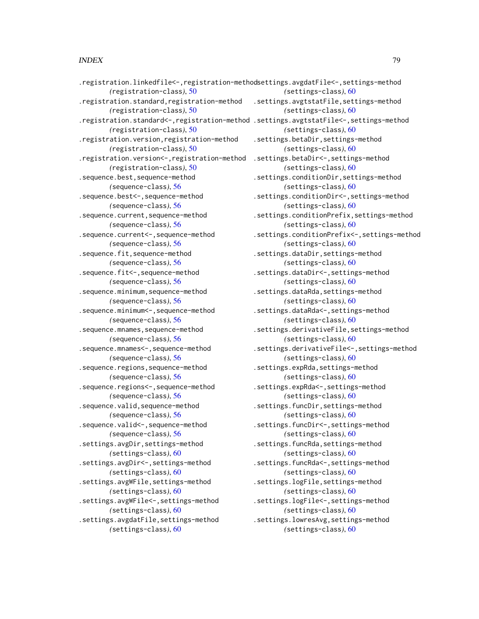.registration.linkedfile<-,registration-methodsettings.avgdatFile<-,settings-method *(*registration-class*)*, [50](#page-49-0) .registration.standard,registration-method .settings.avgtstatFile,settings-method *(*registration-class*)*, [50](#page-49-0) *(*registration-class*)*, [50](#page-49-0) .registration.version,registration-method *(*registration-class*)*, [50](#page-49-0) .registration.version<-,registration-method .settings.betaDir<-,settings-method *(*registration-class*)*, [50](#page-49-0) .sequence.best,sequence-method *(*sequence-class*)*, [56](#page-55-0) .sequence.best<-,sequence-method *(*sequence-class*)*, [56](#page-55-0) .sequence.current,sequence-method *(*sequence-class*)*, [56](#page-55-0) .sequence.current<-,sequence-method *(*sequence-class*)*, [56](#page-55-0) .sequence.fit,sequence-method *(*sequence-class*)*, [56](#page-55-0) .sequence.fit<-,sequence-method *(*sequence-class*)*, [56](#page-55-0) .sequence.minimum,sequence-method *(*sequence-class*)*, [56](#page-55-0) .sequence.minimum<-,sequence-method *(*sequence-class*)*, [56](#page-55-0) .sequence.mnames,sequence-method *(*sequence-class*)*, [56](#page-55-0) .sequence.mnames<-,sequence-method *(*sequence-class*)*, [56](#page-55-0) .sequence.regions,sequence-method *(*sequence-class*)*, [56](#page-55-0) .sequence.regions<-,sequence-method *(*sequence-class*)*, [56](#page-55-0) .sequence.valid,sequence-method *(*sequence-class*)*, [56](#page-55-0) .sequence.valid <-, sequence-method *(*sequence-class*)*, [56](#page-55-0) .settings.avgDir,settings-method *(*settings-class*)*, [60](#page-59-0) .settings.avgDir<-,settings-method *(*settings-class*)*, [60](#page-59-0) .settings.avgWFile,settings-method *(*settings-class*)*, [60](#page-59-0) .settings.avgWFile<-,settings-method *(*settings-class*)*, [60](#page-59-0) .settings.avgdatFile,settings-method *(*settings-class*)*, [60](#page-59-0)

.registration.standard<-,registration-method .settings.avgtstatFile<-,settings-method *(*settings-class*)*, [60](#page-59-0) *(*settings-class*)*, [60](#page-59-0) *(*settings-class*)*, [60](#page-59-0) .settings.betaDir,settings-method *(*settings-class*)*, [60](#page-59-0) *(*settings-class*)*, [60](#page-59-0) .settings.conditionDir,settings-method *(*settings-class*)*, [60](#page-59-0) .settings.conditionDir<-,settings-method *(*settings-class*)*, [60](#page-59-0) .settings.conditionPrefix,settings-method *(*settings-class*)*, [60](#page-59-0) .settings.conditionPrefix<-,settings-method *(*settings-class*)*, [60](#page-59-0) .settings.dataDir,settings-method *(*settings-class*)*, [60](#page-59-0) .settings.dataDir<-,settings-method *(*settings-class*)*, [60](#page-59-0) .settings.dataRda,settings-method *(*settings-class*)*, [60](#page-59-0) .settings.dataRda<-,settings-method *(*settings-class*)*, [60](#page-59-0) .settings.derivativeFile,settings-method *(*settings-class*)*, [60](#page-59-0) .settings.derivativeFile<-,settings-method *(*settings-class*)*, [60](#page-59-0) .settings.expRda,settings-method *(*settings-class*)*, [60](#page-59-0) .settings.expRda<-,settings-method *(*settings-class*)*, [60](#page-59-0) .settings.funcDir,settings-method *(*settings-class*)*, [60](#page-59-0) .settings.funcDir<-,settings-method *(*settings-class*)*, [60](#page-59-0) .settings.funcRda,settings-method *(*settings-class*)*, [60](#page-59-0) .settings.funcRda<-,settings-method *(*settings-class*)*, [60](#page-59-0) .settings.logFile,settings-method *(*settings-class*)*, [60](#page-59-0) .settings.logFile<-,settings-method *(*settings-class*)*, [60](#page-59-0) .settings.lowresAvg,settings-method *(*settings-class*)*, [60](#page-59-0)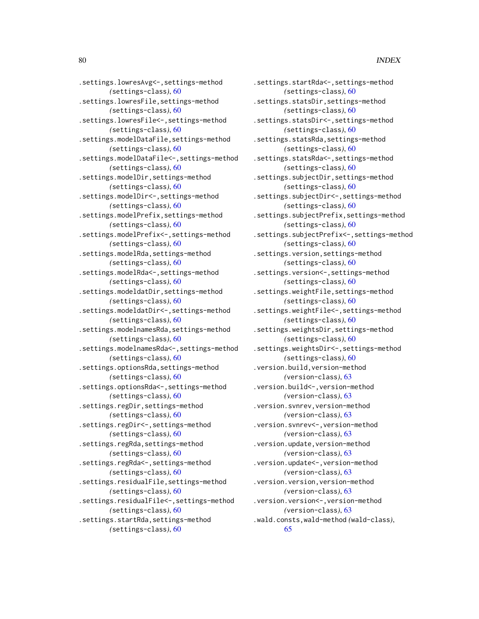.settings.lowresAvg<-,settings-method *(*settings-class*)*, [60](#page-59-0) .settings.lowresFile,settings-method *(*settings-class*)*, [60](#page-59-0) .settings.lowresFile<-,settings-method *(*settings-class*)*, [60](#page-59-0) .settings.modelDataFile,settings-method *(*settings-class*)*, [60](#page-59-0) .settings.modelDataFile<-,settings-method *(*settings-class*)*, [60](#page-59-0) .settings.modelDir,settings-method *(*settings-class*)*, [60](#page-59-0) .settings.modelDir<-,settings-method *(*settings-class*)*, [60](#page-59-0) .settings.modelPrefix,settings-method *(*settings-class*)*, [60](#page-59-0) .settings.modelPrefix<-,settings-method *(*settings-class*)*, [60](#page-59-0) .settings.modelRda,settings-method *(*settings-class*)*, [60](#page-59-0) .settings.modelRda<-,settings-method *(*settings-class*)*, [60](#page-59-0) .settings.modeldatDir,settings-method *(*settings-class*)*, [60](#page-59-0) .settings.modeldatDir<-,settings-method *(*settings-class*)*, [60](#page-59-0) .settings.modelnamesRda,settings-method *(*settings-class*)*, [60](#page-59-0) .settings.modelnamesRda<-,settings-method *(*settings-class*)*, [60](#page-59-0) .settings.optionsRda,settings-method *(*settings-class*)*, [60](#page-59-0) .settings.optionsRda<-,settings-method *(*settings-class*)*, [60](#page-59-0) .settings.regDir,settings-method *(*settings-class*)*, [60](#page-59-0) .settings.regDir<-,settings-method *(*settings-class*)*, [60](#page-59-0) .settings.regRda,settings-method *(*settings-class*)*, [60](#page-59-0) .settings.regRda<-,settings-method *(*settings-class*)*, [60](#page-59-0) .settings.residualFile,settings-method *(*settings-class*)*, [60](#page-59-0) .settings.residualFile<-,settings-method *(*settings-class*)*, [60](#page-59-0) .settings.startRda,settings-method *(*settings-class*)*, [60](#page-59-0)

.settings.startRda<-,settings-method *(*settings-class*)*, [60](#page-59-0) .settings.statsDir,settings-method *(*settings-class*)*, [60](#page-59-0) .settings.statsDir<-,settings-method *(*settings-class*)*, [60](#page-59-0) .settings.statsRda,settings-method *(*settings-class*)*, [60](#page-59-0) .settings.statsRda<-,settings-method *(*settings-class*)*, [60](#page-59-0) .settings.subjectDir,settings-method *(*settings-class*)*, [60](#page-59-0) .settings.subjectDir<-,settings-method *(*settings-class*)*, [60](#page-59-0) .settings.subjectPrefix,settings-method *(*settings-class*)*, [60](#page-59-0) .settings.subjectPrefix<-,settings-method *(*settings-class*)*, [60](#page-59-0) .settings.version,settings-method *(*settings-class*)*, [60](#page-59-0) .settings.version<-,settings-method *(*settings-class*)*, [60](#page-59-0) .settings.weightFile,settings-method *(*settings-class*)*, [60](#page-59-0) .settings.weightFile<-,settings-method *(*settings-class*)*, [60](#page-59-0) .settings.weightsDir,settings-method *(*settings-class*)*, [60](#page-59-0) .settings.weightsDir<-,settings-method *(*settings-class*)*, [60](#page-59-0) .version.build,version-method *(*version-class*)*, [63](#page-62-0) .version.build<-,version-method *(*version-class*)*, [63](#page-62-0) .version.svnrev,version-method *(*version-class*)*, [63](#page-62-0) .version.svnrev<-,version-method *(*version-class*)*, [63](#page-62-0) .version.update,version-method *(*version-class*)*, [63](#page-62-0) .version.update<-,version-method *(*version-class*)*, [63](#page-62-0) .version.version,version-method *(*version-class*)*, [63](#page-62-0) .version.version<-,version-method *(*version-class*)*, [63](#page-62-0) .wald.consts,wald-method *(*wald-class*)*, [65](#page-64-0)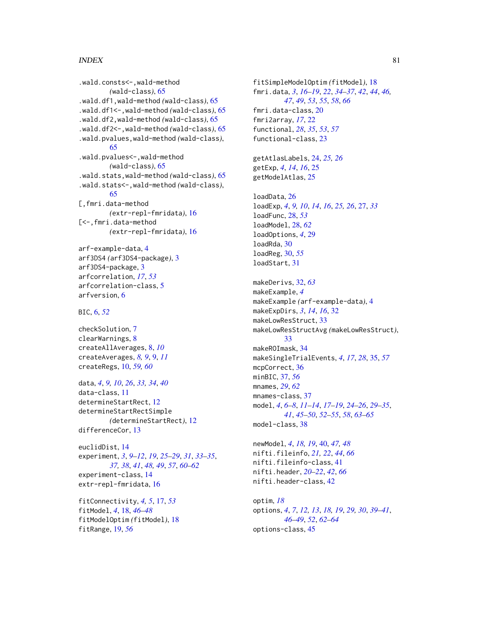.wald.consts<-,wald-method *(*wald-class*)*, [65](#page-64-0) .wald.df1,wald-method *(*wald-class*)*, [65](#page-64-0) .wald.df1<-,wald-method *(*wald-class*)*, [65](#page-64-0) .wald.df2,wald-method *(*wald-class*)*, [65](#page-64-0) .wald.df2<-,wald-method *(*wald-class*)*, [65](#page-64-0) .wald.pvalues,wald-method *(*wald-class*)*, [65](#page-64-0) .wald.pvalues<-,wald-method *(*wald-class*)*, [65](#page-64-0) .wald.stats,wald-method *(*wald-class*)*, [65](#page-64-0) .wald.stats<-,wald-method *(*wald-class*)*, [65](#page-64-0) [,fmri.data-method *(*extr-repl-fmridata*)*, [16](#page-15-0) [<-,fmri.data-method *(*extr-repl-fmridata*)*, [16](#page-15-0)

```
arf-example-data, 4
arf3DS4 (arf3DS4-package), 3
arf3DS4-package, 3
arfcorrelation, 17, 53
arfcorrelation-class, 5
arfversion, 6
```
BIC, [6,](#page-5-0) *[52](#page-51-0)*

checkSolution, [7](#page-6-0) clearWarnings, [8](#page-7-0) createAllAverages, [8,](#page-7-0) *[10](#page-9-0)* createAverages, *[8,](#page-7-0) [9](#page-8-0)*, [9,](#page-8-0) *[11](#page-10-0)* createRegs, [10,](#page-9-0) *[59,](#page-58-0) [60](#page-59-0)*

data, *[4](#page-3-0)*, *[9,](#page-8-0) [10](#page-9-0)*, *[26](#page-25-0)*, *[33,](#page-32-0) [34](#page-33-0)*, *[40](#page-39-0)* data-class, [11](#page-10-0) determineStartRect, [12](#page-11-0) determineStartRectSimple *(*determineStartRect*)*, [12](#page-11-0) differenceCor, [13](#page-12-0)

euclidDist, [14](#page-13-0) experiment, *[3](#page-2-0)*, *[9](#page-8-0)[–12](#page-11-0)*, *[19](#page-18-0)*, *[25–](#page-24-0)[29](#page-28-0)*, *[31](#page-30-0)*, *[33–](#page-32-0)[35](#page-34-0)*, *[37,](#page-36-0) [38](#page-37-0)*, *[41](#page-40-0)*, *[48,](#page-47-0) [49](#page-48-0)*, *[57](#page-56-0)*, *[60–](#page-59-0)[62](#page-61-0)* experiment-class, [14](#page-13-0) extr-repl-fmridata, [16](#page-15-0)

```
fitConnectivity, 4, 5, 17, 53
fitModel, 4, 18, 46–48
fitModelOptim (fitModel), 18
fitRange, 19, 56
```
fitSimpleModelOptim *(*fitModel*)*, [18](#page-17-0) fmri.data, *[3](#page-2-0)*, *[16](#page-15-0)[–19](#page-18-0)*, *[22](#page-21-0)*, *[34](#page-33-0)[–37](#page-36-0)*, *[42](#page-41-0)*, *[44](#page-43-0)*, *[46,](#page-45-0) [47](#page-46-0)*, *[49](#page-48-0)*, *[53](#page-52-0)*, *[55](#page-54-0)*, *[58](#page-57-0)*, *[66](#page-65-0)* fmri.data-class, [20](#page-19-0) fmri2array, *[17](#page-16-0)*, [22](#page-21-0) functional, *[28](#page-27-0)*, *[35](#page-34-0)*, *[53](#page-52-0)*, *[57](#page-56-0)* functional-class, [23](#page-22-0) getAtlasLabels, [24,](#page-23-0) *[25,](#page-24-0) [26](#page-25-0)* getExp, *[4](#page-3-0)*, *[14](#page-13-0)*, *[16](#page-15-0)*, [25](#page-24-0) getModelAtlas, [25](#page-24-0) loadData, [26](#page-25-0) loadExp, *[4](#page-3-0)*, *[9,](#page-8-0) [10](#page-9-0)*, *[14](#page-13-0)*, *[16](#page-15-0)*, *[25,](#page-24-0) [26](#page-25-0)*, [27,](#page-26-0) *[33](#page-32-0)* loadFunc, [28,](#page-27-0) *[53](#page-52-0)* loadModel, [28,](#page-27-0) *[62](#page-61-0)* loadOptions, *[4](#page-3-0)*, [29](#page-28-0) loadRda, [30](#page-29-0) loadReg, [30,](#page-29-0) *[55](#page-54-0)* loadStart, [31](#page-30-0) makeDerivs, [32,](#page-31-0) *[63](#page-62-0)* makeExample, *[4](#page-3-0)* makeExample *(*arf-example-data*)*, [4](#page-3-0) makeExpDirs, *[3](#page-2-0)*, *[14](#page-13-0)*, *[16](#page-15-0)*, [32](#page-31-0) makeLowResStruct, [33](#page-32-0) makeLowResStructAvg *(*makeLowResStruct*)*, [33](#page-32-0) makeROImask, [34](#page-33-0) makeSingleTrialEvents, *[4](#page-3-0)*, *[17](#page-16-0)*, *[28](#page-27-0)*, [35,](#page-34-0) *[57](#page-56-0)* mcpCorrect, [36](#page-35-0) minBIC, [37,](#page-36-0) *[56](#page-55-0)* mnames, *[29](#page-28-0)*, *[62](#page-61-0)* mnames-class, [37](#page-36-0) model, *[4](#page-3-0)*, *[6](#page-5-0)[–8](#page-7-0)*, *[11](#page-10-0)[–14](#page-13-0)*, *[17](#page-16-0)[–19](#page-18-0)*, *[24](#page-23-0)[–26](#page-25-0)*, *[29](#page-28-0)[–35](#page-34-0)*, *[41](#page-40-0)*, *[45](#page-44-0)[–50](#page-49-0)*, *[52](#page-51-0)[–55](#page-54-0)*, *[58](#page-57-0)*, *[63](#page-62-0)[–65](#page-64-0)* model-class, [38](#page-37-0)

newModel, *[4](#page-3-0)*, *[18,](#page-17-0) [19](#page-18-0)*, [40,](#page-39-0) *[47,](#page-46-0) [48](#page-47-0)* nifti.fileinfo, *[21,](#page-20-0) [22](#page-21-0)*, *[44](#page-43-0)*, *[66](#page-65-0)* nifti.fileinfo-class, [41](#page-40-0) nifti.header, *[20](#page-19-0)[–22](#page-21-0)*, *[42](#page-41-0)*, *[66](#page-65-0)* nifti.header-class, [42](#page-41-0)

```
optim, 18
options, 4, 7, 12, 13, 18, 19, 29, 30, 39–41,
         46–49, 52, 62–64
options-class, 45
```